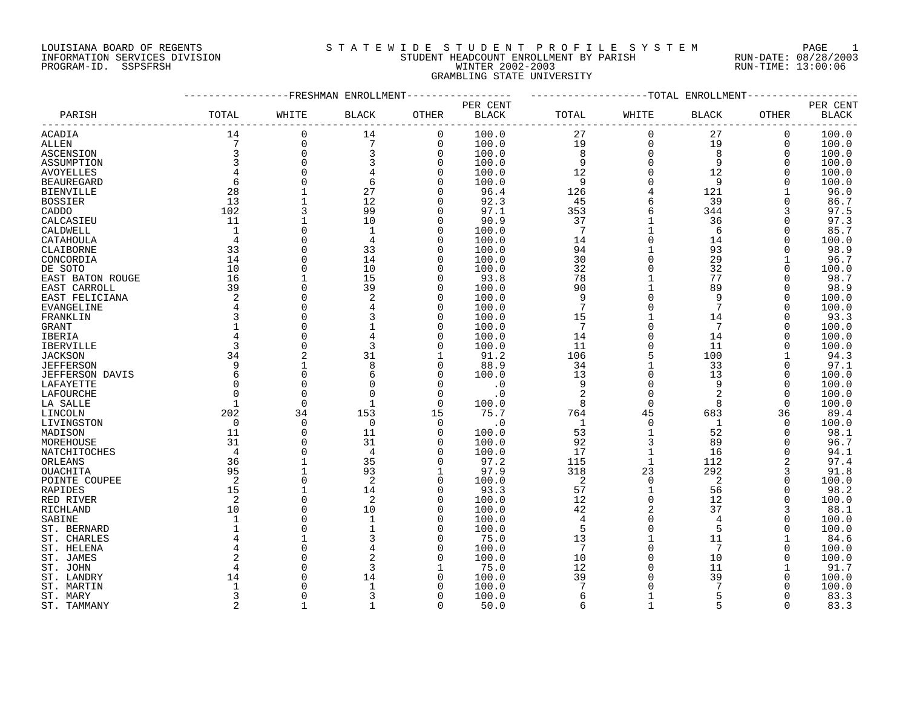# LOUISIANA BOARD OF REGENTS SOURCLEARIE WIDE STUDENT PROFILE SYSTEM PAGE 1 INFORMATION SERVICES DIVISION STUDENT HEADCOUNT ENROLLMENT BY PARISH RUN-DATE: 08/28/2003 PROGRAM-ID. SSPSFRSH WINTER 2002-2003 RUN-TIME: 13:00:06 GRAMBLING STATE UNIVERSITY

|                            |                |                          | ----------FRESHMAN ENROLLMENT |                      |               |                 |              | ------------TOTAL ENROLLMENT- |              |               |
|----------------------------|----------------|--------------------------|-------------------------------|----------------------|---------------|-----------------|--------------|-------------------------------|--------------|---------------|
|                            |                |                          |                               |                      | PER CENT      |                 |              |                               |              | PER CENT      |
| PARISH                     | TOTAL          | WHITE                    | <b>BLACK</b>                  | OTHER                | <b>BLACK</b>  | TOTAL           | WHITE        | <b>BLACK</b>                  | OTHER        | <b>BLACK</b>  |
| ACADIA                     | 14             | 0                        | 14                            | 0                    | 100.0         | 27              | 0            | 27                            | 0            | 100.0         |
| ALLEN                      |                | $\mathbf 0$              | $7\phantom{.0}$               | $\mathbf 0$          | 100.0         | 19              | $\Omega$     | 19                            | $\mathbf 0$  | 100.0         |
| ASCENSION                  | 3              | $\mathbf 0$              |                               | $\Omega$             | 100.0         | 8               | $\Omega$     | 8                             | $\Omega$     | 100.0         |
| ASSUMPTION                 | $\overline{3}$ | $\Omega$                 |                               | $\Omega$             | 100.0         | 9               | $\Omega$     | 9                             | $\Omega$     | 100.0         |
| AVOYELLES                  |                | $\Omega$                 |                               | $\Omega$             | 100.0         | 12              | $\Omega$     | 12                            | $\Omega$     | 100.0         |
| <b>BEAUREGARD</b>          | 6              | $\Omega$                 | 6                             |                      | 100.0         | 9               |              | 9                             | $\Omega$     | 100.0         |
| <b>BIENVILLE</b>           | 28             | $\mathbf{1}$             | 27                            |                      | 96.4          | 126             |              | 121                           |              | 96.0          |
| <b>BOSSIER</b>             | 13             | $\mathbf{1}$             | 12                            |                      | 92.3          | 45              |              | 39                            | 0            | 86.7          |
| CADDO                      | 102            | 3                        | 99                            | 0                    | 97.1          | 353             |              | 344                           |              | 97.5          |
| CALCASIEU                  | 11             |                          | 10                            | $\Omega$             | 90.9          | 37              |              | 36                            |              | 97.3          |
| CALDWELL                   | 1              | $\Omega$                 | $\mathbf{1}$                  | 0                    | 100.0         | $7\phantom{.0}$ |              | 6                             | 0            | 85.7          |
| CATAHOULA                  |                | $\Omega$                 | $\overline{4}$                | U                    | 100.0         | 14              |              | 14                            |              | 100.0         |
| CLAIBORNE                  | 33             | $\Omega$                 | 33                            | <sup>0</sup>         | 100.0         | 94              |              | 93                            | $\Omega$     | 98.9          |
| CONCORDIA                  | 14             | $\Omega$                 | 14                            | <sup>0</sup>         | 100.0         | 30              |              | 29                            |              | 96.7          |
| DE SOTO                    | 10             | $\Omega$                 | 10                            | $\Omega$             | 100.0         | 32              |              | 32                            | $\Omega$     | 100.0         |
| EAST BATON ROUGE           | 16             | $\mathbf{1}$             | 15                            | $\Omega$             | 93.8          | 78              |              | 77                            | $\Omega$     | 98.7          |
| EAST CARROLL               | 39             | $\Omega$                 | 39                            | $\Omega$             | 100.0         | 90              |              | 89                            | $\Omega$     | 98.9          |
| EAST FELICIANA             | 2              | $\mathbf 0$              |                               | $\Omega$             | 100.0         | 9               |              | 9                             | $\mathbf 0$  | 100.0         |
| EVANGELINE                 |                | $\Omega$                 |                               | <sup>0</sup>         | 100.0         | 7               |              | 7                             | <sup>0</sup> | 100.0         |
| FRANKLIN                   |                | $\Omega$                 |                               | <sup>0</sup>         | 100.0         | 15              |              | 14                            | O            | 93.3          |
| GRANT                      |                | $\Omega$                 |                               | <sup>0</sup>         | 100.0         | 7               |              | 7                             | O            | 100.0         |
| IBERIA                     |                | $\Omega$                 |                               | U                    | 100.0         | 14              | $\Omega$     | 14                            | O            | 100.0         |
| IBERVILLE                  |                | $\Omega$                 |                               |                      | 100.0         | 11              |              | 11                            | O            | 100.0         |
| JACKSON                    | 34             | $\overline{2}$           | 31                            |                      | 91.2          | 106             |              | 100                           |              | 94.3          |
| <b>JEFFERSON</b>           | 9              |                          |                               | U                    | 88.9          | 34              |              | 33                            | $\Omega$     | 97.1          |
| <b>JEFFERSON DAVIS</b>     | 6              | $\Omega$                 | 6                             | U                    | 100.0         | 13              |              | 13                            | $\Omega$     | 100.0         |
| LAFAYETTE                  |                | $\Omega$                 |                               | $\Omega$             | $\cdot$ 0     | 9               | $\Omega$     | 9                             | $\Omega$     | 100.0         |
| LAFOURCHE                  |                | $\Omega$                 |                               | $\Omega$             | $\cdot$ 0     | $\overline{2}$  | $\Omega$     | $\overline{2}$                | $\Omega$     | 100.0         |
| LA SALLE                   |                | $\overline{0}$           | $\mathbf{1}$                  | 0                    | 100.0         | 8               | $\mathbf 0$  | 8                             | $\mathbf 0$  | 100.0         |
| LINCOLN                    | 202            | 34                       | 153                           | 15                   | 75.7          | 764             | 45           | 683                           | 36           | 89.4          |
| LIVINGSTON                 | 0              | $\Omega$                 | 0                             | $\Omega$             | $\cdot$ 0     | $\mathbf{1}$    | $\mathbf 0$  | 1                             | $\Omega$     | 100.0         |
| MADISON                    | 11             | $\mathbf 0$              | 11                            | 0                    | 100.0         | 53              | $\mathbf{1}$ | 52                            | 0            | 98.1          |
| MOREHOUSE                  | 31             | $\Omega$                 | 31                            | $\Omega$             | 100.0         | 92              |              | 89                            | 0            | 96.7          |
| NATCHITOCHES               | $\overline{4}$ | $\Omega$                 | $\overline{4}$                | <sup>0</sup>         | 100.0         | 17              | $\mathbf{1}$ | 16                            | 0            | 94.1          |
| ORLEANS                    | 36             | $\mathbf{1}$             | 35                            | U                    | 97.2          | 115             | $\mathbf{1}$ | 112                           |              | 97.4          |
| <b>OUACHITA</b>            | 95             | $\mathbf{1}$             | 93                            |                      | 97.9          | 318             | 23           | 292                           | 3            | 91.8          |
| POINTE COUPEE              | 2              | $\Omega$                 | 2                             | $\Omega$<br>$\Omega$ | 100.0         | -2              | $\Omega$     | 2                             | O            | 100.0         |
| RAPIDES                    | 15<br>2        | $\mathbf{1}$<br>$\Omega$ | 14<br>$\overline{2}$          | <sup>0</sup>         | 93.3          | 57<br>12        | $\Omega$     | 56<br>12                      | O            | 98.2          |
| RED RIVER                  |                | $\Omega$                 |                               | <sup>0</sup>         | 100.0         |                 |              | 37                            | $\Omega$     | 100.0         |
| RICHLAND                   | 10             | $\Omega$                 | 10<br>$\mathbf{1}$            | <sup>0</sup>         | 100.0         | 42<br>4         |              | 4                             | 3            | 88.1          |
| SABINE                     |                | $\Omega$                 |                               | <sup>0</sup>         | 100.0         | 5               |              | 5                             | 0<br>O       | 100.0         |
| ST. BERNARD<br>ST. CHARLES |                |                          |                               | U                    | 100.0<br>75.0 | 13              |              | 11                            |              | 100.0<br>84.6 |
| ST. HELENA                 |                | $\Omega$                 |                               |                      | 100.0         | 7               |              | 7                             | O            | 100.0         |
| ST. JAMES                  |                | $\Omega$                 |                               |                      | 100.0         | 10              |              | 10                            | O            | 100.0         |
| ST. JOHN                   |                | $\Omega$                 | 3                             |                      | 75.0          | 12              |              | 11                            |              | 91.7          |
| ST. LANDRY                 | 14             | $\Omega$                 | 14                            | <sup>0</sup>         | 100.0         | 39              |              | 39                            | O            | 100.0         |
| ST. MARTIN                 |                | $\Omega$                 | $\mathbf{1}$                  |                      | 100.0         | 7               |              | 7                             |              | 100.0         |
| ST. MARY                   | 3              | $\Omega$                 |                               | <sup>0</sup>         | 100.0         | 6               | 1            | 5                             | U            | 83.3          |
| ST. TAMMANY                |                |                          |                               | $\cap$               | 50.0          | 6               |              |                               |              | 83.3          |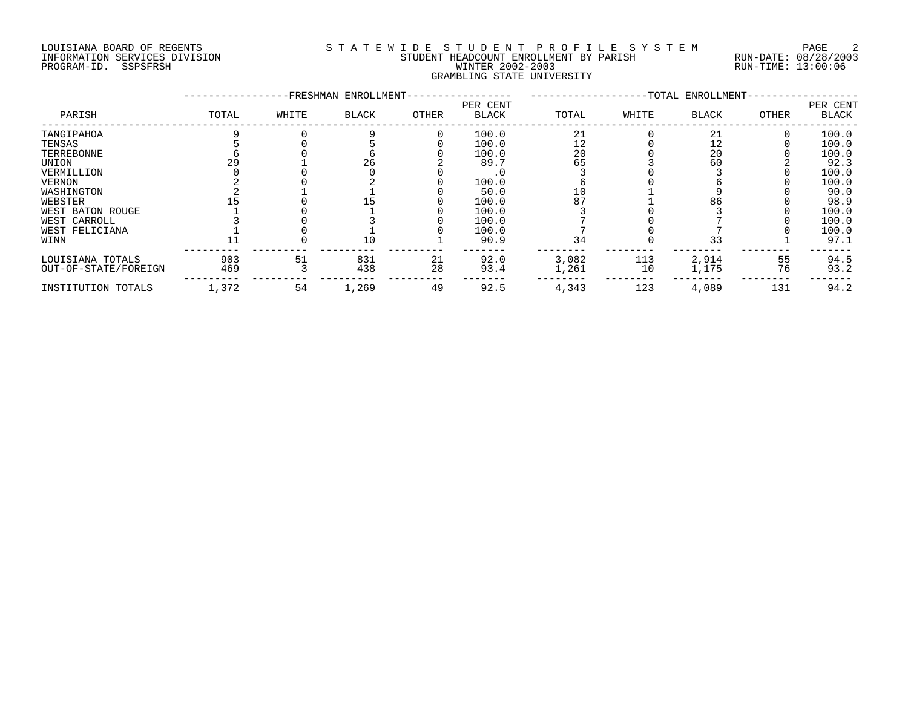# LOUISIANA BOARD OF REGENTS SOURCLEARIE WIDE STUDENT PROFILE SYSTEM PAGE 2 INFORMATION SERVICES DIVISION STUDENT HEADCOUNT ENROLLMENT BY PARISH RUN-DATE: 08/28/2003 PROGRAM-ID. SSPSFRSH WINTER 2002-2003 RUN-TIME: 13:00:06 GRAMBLING STATE UNIVERSITY

|                      |       |       | -FRESHMAN ENROLLMENT- |       |                          |       |       | -TOTAL ENROLLMENT- |              |                   |
|----------------------|-------|-------|-----------------------|-------|--------------------------|-------|-------|--------------------|--------------|-------------------|
| PARISH               | TOTAL | WHITE | <b>BLACK</b>          | OTHER | PER CENT<br><b>BLACK</b> | TOTAL | WHITE | <b>BLACK</b>       | <b>OTHER</b> | PER CENT<br>BLACK |
| TANGIPAHOA           |       |       |                       |       | 100.0                    | 21    |       | 21                 |              | 100.0             |
| TENSAS               |       |       |                       |       | 100.0                    | 12    |       | 12                 |              | 100.0             |
| TERREBONNE           |       |       |                       |       | 100.0                    | 20    |       | 20                 |              | 100.0             |
| UNION                |       |       | 26                    |       | 89.7                     | 65    |       | 60                 |              | 92.3              |
| VERMILLION           |       |       |                       |       |                          |       |       |                    |              | 100.0             |
| <b>VERNON</b>        |       |       |                       |       | 100.0                    |       |       |                    |              | 100.0             |
| WASHINGTON           |       |       |                       |       | 50.0                     | 10    |       |                    |              | 90.0              |
| WEBSTER              |       |       |                       |       | 100.0                    | 87    |       | 86                 |              | 98.9              |
| WEST BATON ROUGE     |       |       |                       |       | 100.0                    |       |       |                    |              | 100.0             |
| WEST CARROLL         |       |       |                       |       | 100.0                    |       |       |                    |              | 100.0             |
| WEST FELICIANA       |       |       |                       |       | 100.0                    |       |       |                    |              | 100.0             |
| WINN                 |       |       | 10                    |       | 90.9                     | 34    |       | 33                 |              | 97.1              |
| LOUISIANA TOTALS     | 903   | 51    | 831                   | 21    | 92.0                     | 3,082 | 113   | 2,914              | 55           | 94.5              |
| OUT-OF-STATE/FOREIGN | 469   |       | 438                   | 28    | 93.4                     | 1,261 | 10    | 1,175              | 76           | 93.2              |
| INSTITUTION TOTALS   | 1,372 | 54    | 1,269                 | 49    | 92.5                     | 4,343 | 123   | 4,089              | 131          | 94.2              |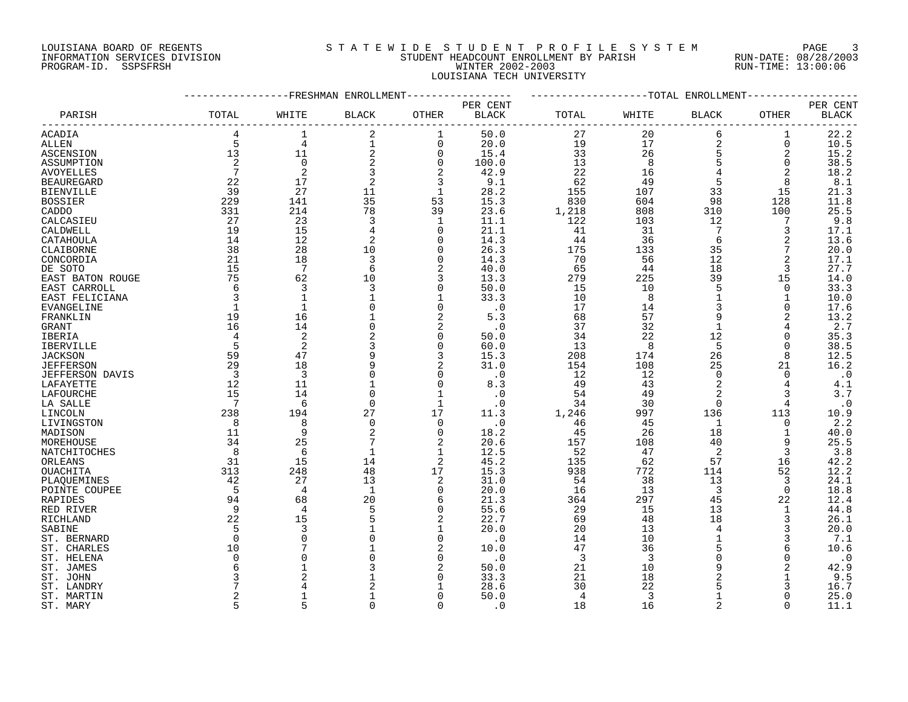### LOUISIANA BOARD OF REGENTS SOURCLEARIE STA T E W I D E S T U D E N T P R O F I L E S Y S T E M PAGE 3 INFORMATION SERVICES DIVISION STUDENT HEADCOUNT ENROLLMENT BY PARISH RUN-DATE: 08/28/2003 PROGRAM-ID. SSPSFRSH WINTER 2002-2003 RUN-TIME: 13:00:06 LOUISIANA TECH UNIVERSITY

|                        |                |                | FRESHMAN ENROLLMENT |                |              |       |       | -TOTAL ENROLLMENT |                |              |
|------------------------|----------------|----------------|---------------------|----------------|--------------|-------|-------|-------------------|----------------|--------------|
|                        |                |                |                     |                | PER CENT     |       |       |                   |                | PER CENT     |
| PARISH                 | TOTAL          | WHITE          | <b>BLACK</b>        | OTHER          | <b>BLACK</b> | TOTAL | WHITE | <b>BLACK</b>      | OTHER          | <b>BLACK</b> |
| ACADIA                 | 4              | $\mathbf{1}$   | $\overline{2}$      | 1              | 50.0         | 27    | 20    | 6                 | 1              | 22.2         |
| ALLEN                  | 5              | $\overline{4}$ | 1                   | $\mathbf 0$    | 20.0         | 19    | 17    | 2                 | 0              | 10.5         |
| ASCENSION              | 13             | 11             | 2                   | $\overline{0}$ | 15.4         | 33    | 26    | 5                 | 2              | 15.2         |
| ASSUMPTION             | 2              | $\Omega$       | 2                   | $\mathbf 0$    | 100.0        | 13    | 8     | 5                 | $\Omega$       | 38.5         |
| <b>AVOYELLES</b>       | 7              | $\overline{2}$ | 3                   | $\overline{2}$ | 42.9         | 22    | 16    |                   | $\overline{2}$ | 18.2         |
| <b>BEAUREGARD</b>      | 22             | 17             | $\overline{a}$      | 3              | 9.1          | 62    | 49    | 5                 | 8              | 8.1          |
| <b>BIENVILLE</b>       | 39             | 27             | 11                  | 1              | 28.2         | 155   | 107   | 33                | 15             | 21.3         |
| <b>BOSSIER</b>         | 229            | 141            | 35                  | 53             | 15.3         | 830   | 604   | 98                | 128            | 11.8         |
| CADDO                  | 331            | 214            | 78                  | 39             | 23.6         | 1,218 | 808   | 310               | 100            | 25.5         |
| CALCASIEU              | 27             | 23             | 3                   | 1              | 11.1         | 122   | 103   | 12                | 7              | 9.8          |
| CALDWELL               | 19             | 15             | 4                   | $\Omega$       | 21.1         | 41    | 31    | 7                 | 3              | 17.1         |
| CATAHOULA              | 14             | 12             | 2                   | $\Omega$       | 14.3         | 44    | 36    | 6                 | 2              | 13.6         |
| CLAIBORNE              | 38             | 28             | 10                  | $\Omega$       | 26.3         | 175   | 133   | 35                | 7              | 20.0         |
| CONCORDIA              | 21             | 18             | 3                   | $\mathbf 0$    | 14.3         | 70    | 56    | 12                | $\overline{2}$ | 17.1         |
|                        | 15             | $\overline{7}$ | 6                   | $\overline{2}$ | 40.0         | 65    |       | 18                | 3              |              |
| DE SOTO                | 75             |                |                     |                |              |       | 44    |                   |                | 27.7         |
| EAST BATON ROUGE       | 6              | 62             | 10                  | 3              | 13.3         | 279   | 225   | 39                | 15             | 14.0         |
| EAST CARROLL           |                | 3              | 3                   | 0              | 50.0         | 15    | 10    | 5                 | 0              | 33.3         |
| EAST FELICIANA         | 3              | $\mathbf{1}$   |                     |                | 33.3         | 10    | 8     | $\mathbf{1}$      | 1              | 10.0         |
| EVANGELINE             | $\mathbf{1}$   | $\mathbf{1}$   |                     | $\Omega$       | $\cdot$ 0    | 17    | 14    | 3                 | $\Omega$       | 17.6         |
| FRANKLIN               | 19             | 16             |                     | $\overline{2}$ | 5.3          | 68    | 57    | 9                 | 2              | 13.2         |
| GRANT                  | 16             | 14             |                     | $\overline{2}$ | $\cdot$ 0    | 37    | 32    | $\mathbf{1}$      | 4              | 2.7          |
| IBERIA                 | 4              | $\overline{2}$ | 2                   | $\mathbf 0$    | 50.0         | 34    | 22    | 12                | $\Omega$       | 35.3         |
| <b>IBERVILLE</b>       | 5              | $\overline{2}$ | 3                   | $\Omega$       | 60.0         | 13    | 8     | 5                 | $\Omega$       | 38.5         |
| <b>JACKSON</b>         | 59             | 47             | 9                   | 3              | 15.3         | 208   | 174   | 26                | 8              | 12.5         |
| <b>JEFFERSON</b>       | 29             | 18             |                     | 2              | 31.0         | 154   | 108   | 25                | 21             | 16.2         |
| <b>JEFFERSON DAVIS</b> | 3              | 3              |                     | $\mathbf 0$    | $\cdot$ 0    | 12    | 12    | $\mathbf 0$       | 0              | $\cdot$ 0    |
| LAFAYETTE              | 12             | 11             |                     | 0              | 8.3          | 49    | 43    | 2                 | 4              | 4.1          |
| LAFOURCHE              | 15             | 14             |                     | 1              | $\cdot$ 0    | 54    | 49    | $\overline{a}$    | 3              | 3.7          |
| LA SALLE               | 7              | 6              | $\mathbf 0$         | $\mathbf 1$    | $\cdot$ 0    | 34    | 30    | $\mathbf 0$       | 4              | $\cdot$ 0    |
| LINCOLN                | 238            | 194            | 27                  | 17             | 11.3         | 1,246 | 997   | 136               | 113            | 10.9         |
| LIVINGSTON             | 8              | 8              | $\Omega$            | $\Omega$       | $\cdot$ 0    | 46    | 45    | 1                 | 0              | 2.2          |
| MADISON                | 11             | 9              | $\overline{2}$      | $\mathbf 0$    | 18.2         | 45    | 26    | 18                | $\mathbf{1}$   | 40.0         |
| MOREHOUSE              | 34             | 25             |                     | 2              | 20.6         | 157   | 108   | 40                | 9              | 25.5         |
| NATCHITOCHES           | 8              | 6              | $\mathbf{1}$        | 1              | 12.5         | 52    | 47    | 2                 | 3              | 3.8          |
| ORLEANS                | 31             | 15             | 14                  | 2              | 45.2         | 135   | 62    | 57                | 16             | 42.2         |
| OUACHITA               | 313            | 248            | 48                  | 17             | 15.3         | 938   | 772   | 114               | 52             | 12.2         |
| PLAQUEMINES            | 42             | 27             | 13                  | 2              | 31.0         | 54    | 38    | 13                | 3              | 24.1         |
| POINTE COUPEE          | 5              | $\overline{4}$ | 1                   | $\mathbf 0$    | 20.0         | 16    | 13    | 3                 | $\Omega$       | 18.8         |
| RAPIDES                | 94             | 68             | 20                  | 6              | 21.3         | 364   | 297   | 45                | 22             | 12.4         |
| RED RIVER              | 9              | $\overline{4}$ | 5                   | $\mathbf 0$    | 55.6         | 29    | 15    | 13                | $\mathbf{1}$   | 44.8         |
| RICHLAND               | 22             | 15             |                     | $\overline{2}$ | 22.7         | 69    | 48    | 18                | 3              | 26.1         |
| SABINE                 | 5              | 3              |                     | 1              | 20.0         | 20    | 13    | 4                 | 3              | 20.0         |
| ST. BERNARD            | $\Omega$       | $\Omega$       |                     | $\Omega$       | $\cdot$ 0    | 14    | 10    | 1                 | 3              | 7.1          |
| ST. CHARLES            | 10             |                |                     | 2              | 10.0         | 47    | 36    | 5                 | 6              | 10.6         |
| ST. HELENA             | 0              | $\Omega$       |                     | $\Omega$       | $\cdot$ 0    | 3     | 3     | 0                 | $\Omega$       | $\cdot$ 0    |
| ST. JAMES              | 6              |                |                     | $\overline{2}$ | 50.0         | 21    | 10    | 9                 |                | 42.9         |
| ST. JOHN               | 3              | $\overline{c}$ |                     | $\Omega$       | 33.3         | 21    | 18    | $\overline{2}$    |                | 9.5          |
| ST. LANDRY             |                |                |                     |                | 28.6         | 30    | 22    | 5                 |                | 16.7         |
| ST. MARTIN             | $\overline{a}$ | $\mathbf{1}$   |                     | $\Omega$       | 50.0         | 4     | 3     | 1                 | <sup>0</sup>   | 25.0         |
| ST. MARY               | 5              | $\overline{5}$ | $\cap$              | $\Omega$       | . 0          | 18    | 16    | $\overline{a}$    | U              | 11.1         |
|                        |                |                |                     |                |              |       |       |                   |                |              |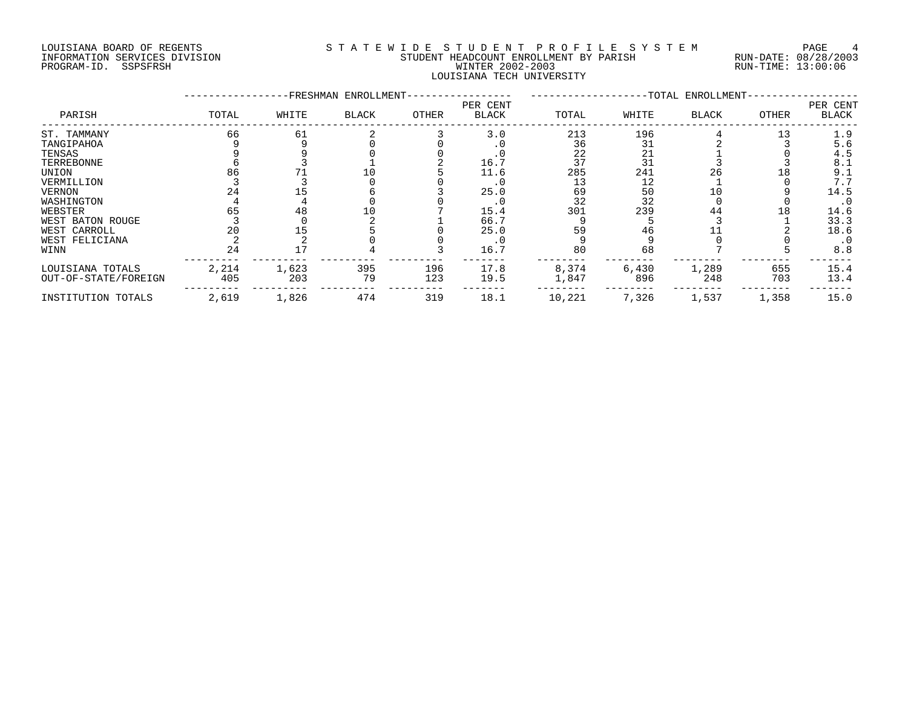# LOUISIANA BOARD OF REGENTS S T A T E W I D E S T U D E N T P R O F I L E S Y S T E M PAGE 4 INFORMATION SERVICES DIVISION STUDENT HEADCOUNT ENROLLMENT BY PARISH RUN-DATE: 08/28/2003 PROGRAM-ID. SSPSFRSH WINTER 2002-2003 RUN-TIME: 13:00:06 LOUISIANA TECH UNIVERSITY

|                      |       |       | -FRESHMAN ENROLLMENT- |       |                          |        |       | -TOTAL ENROLLMENT- |       |                          |
|----------------------|-------|-------|-----------------------|-------|--------------------------|--------|-------|--------------------|-------|--------------------------|
| PARISH               | TOTAL | WHITE | BLACK                 | OTHER | PER CENT<br><b>BLACK</b> | TOTAL  | WHITE | <b>BLACK</b>       | OTHER | PER CENT<br><b>BLACK</b> |
| ST. TAMMANY          | 66    | 61    |                       |       | 3.0                      | 213    | 196   |                    | 13    | 1.9                      |
| TANGIPAHOA           |       |       |                       |       |                          | 36     | 31    |                    |       | 5.6                      |
| TENSAS               |       |       |                       |       |                          | 22     | 21    |                    |       | 4.5                      |
| TERREBONNE           |       |       |                       |       | 16.7                     | 37     | 31    |                    |       | 8.1                      |
| UNION                | 86    |       |                       |       | 11.6                     | 285    | 241   | 26                 | L 8   | 9.1                      |
| VERMILLION           |       |       |                       |       |                          | 13     | 12    |                    |       | 7.7                      |
| <b>VERNON</b>        |       |       |                       |       | 25.0                     | 69     | 50    | 10                 |       | 14.5                     |
| WASHINGTON           |       |       |                       |       | . 0                      | 32     | 32    |                    |       | $\cdot$ 0                |
| WEBSTER              | 65    | 48    |                       |       | 15.4                     | 301    | 239   | 44                 | 18    | 14.6                     |
| WEST BATON ROUGE     |       |       |                       |       | 66.7                     |        |       |                    |       | 33.3                     |
| WEST CARROLL         | 20    |       |                       |       | 25.0                     | 59     | 46    |                    |       | 18.6                     |
| WEST FELICIANA       |       |       |                       |       | $\cdot$ 0                |        |       |                    |       | $\cdot$ 0                |
| WINN                 | 24    |       |                       |       | 16.7                     | 80     | 68    |                    |       | 8.8                      |
| LOUISIANA TOTALS     | 2,214 | 1,623 | 395                   | 196   | 17.8                     | 8,374  | 6,430 | 1,289              | 655   | 15.4                     |
| OUT-OF-STATE/FOREIGN | 405   | 203   | 79                    | 123   | 19.5                     | 1,847  | 896   | 248                | 703   | 13.4                     |
| INSTITUTION TOTALS   | 2,619 | 1,826 | 474                   | 319   | 18.1                     | 10,221 | 7,326 | 1,537              | 1,358 | 15.0                     |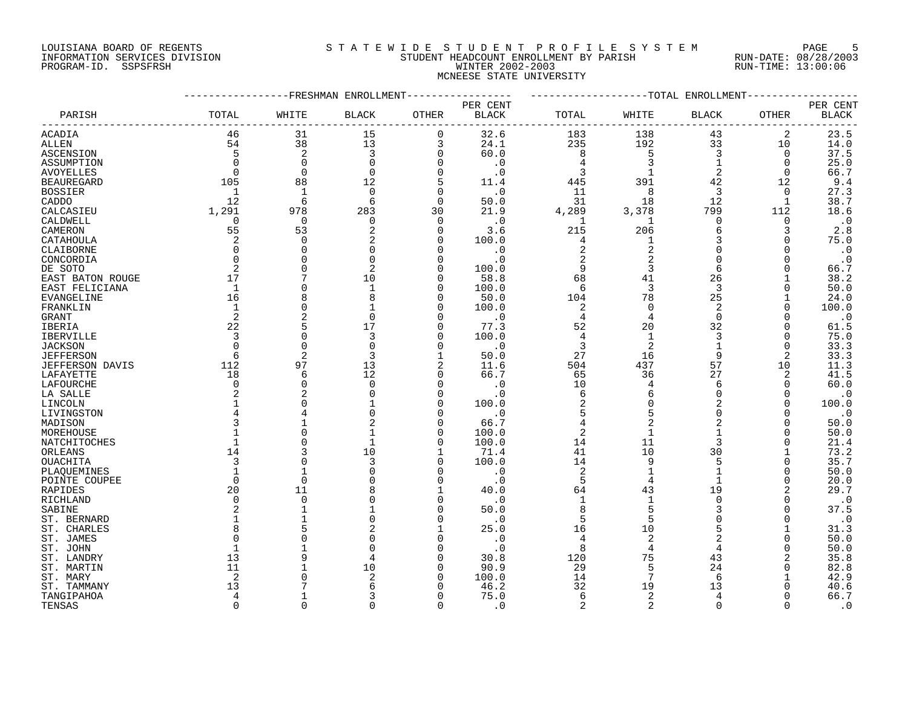#### LOUISIANA BOARD OF REGENTS SOURCLEARIE STA T E W I D E S T U D E N T P R O F I L E S Y S T E M PAGE 5 INFORMATION SERVICES DIVISION STUDENT HEADCOUNT ENROLLMENT BY PARISH RUN-DATE: 08/28/2003 PROGRAM-ID. SSPSFRSH WINTER 2002-2003 RUN-TIME: 13:00:06 MCNEESE STATE UNIVERSITY

|                        |                |                | -----------FRESHMAN ENROLLMENT |              |              | -------------------TOTAL ENROLLMENT- |                |                |              |                        |
|------------------------|----------------|----------------|--------------------------------|--------------|--------------|--------------------------------------|----------------|----------------|--------------|------------------------|
|                        |                |                |                                |              | PER CENT     |                                      |                |                |              | PER CENT               |
| PARISH                 | TOTAL          | WHITE          | <b>BLACK</b>                   | OTHER        | <b>BLACK</b> | TOTAL                                | WHITE          | <b>BLACK</b>   | OTHER        | $\operatorname{BLACK}$ |
| ACADIA                 | 46             | 31             | 15                             | $\mathbf 0$  | 32.6         | 183                                  | 138            | 43             | 2            | 23.5                   |
| <b>ALLEN</b>           | 54             | 38             | 13                             | 3            | 24.1         | 235                                  | 192            | 33             | 10           | 14.0                   |
| ASCENSION              | 5              | $\overline{2}$ | 3                              | $\mathbf 0$  | 60.0         | 8                                    | 5              | 3              | 0            | 37.5                   |
| ASSUMPTION             | $\Omega$       | $\Omega$       | $\Omega$                       | $\mathbf 0$  | $\cdot$ 0    | 4                                    | 3              | $\mathbf{1}$   | 0            | 25.0                   |
| <b>AVOYELLES</b>       | $\Omega$       | $\Omega$       | $\Omega$                       | $\mathbf 0$  | $\cdot$ 0    | 3                                    |                | 2              | $\Omega$     | 66.7                   |
| <b>BEAUREGARD</b>      | 105            | 88             | 12                             | 5            | 11.4         | 445                                  | 391            | 42             | 12           | 9.4                    |
| <b>BOSSIER</b>         | 1              | $\mathbf{1}$   | $\Omega$                       | $\Omega$     | $\cdot$ 0    | 11                                   | 8              | 3              | $\Omega$     | 27.3                   |
| CADDO                  | 12             | 6              | 6                              | $\mathbf 0$  | 50.0         | 31                                   | 18             | 12             | 1            | 38.7                   |
| CALCASIEU              | 1,291          | 978            | 283                            | 30           | 21.9         | 4,289                                | 3,378          | 799            | 112          | 18.6                   |
| CALDWELL               | 0              | $\Omega$       | 0                              | $\mathbf 0$  | $\cdot$ 0    | 1                                    | 1              | $\mathbf 0$    | 0            | $\cdot$ 0              |
| CAMERON                | 55             | 53             | 2                              | $\mathbf 0$  | 3.6          | 215                                  | 206            | 6              | 3            | $2.8$                  |
| CATAHOULA              | 2              | $\Omega$       | 2                              | $\Omega$     | 100.0        | 4                                    | 1              | 3              | $\Omega$     | 75.0                   |
| CLAIBORNE              | $\mathbf 0$    | $\Omega$       |                                | $\Omega$     | $\cdot$ 0    | $\overline{2}$                       | $\overline{2}$ | $\Omega$       | $\Omega$     | $\cdot$ 0              |
| CONCORDIA              | $\Omega$       | $\cap$         | $\Omega$                       | $\Omega$     | $\cdot$ 0    | 2                                    | $\overline{2}$ | $\mathbf 0$    | $\Omega$     |                        |
|                        | $\overline{2}$ | ∩              |                                | $\Omega$     |              |                                      |                | 6              | $\Omega$     | $\cdot$ 0              |
| DE SOTO                | 17             | 7              |                                | $\Omega$     | 100.0        | 9                                    | 3              |                |              | 66.7                   |
| EAST BATON ROUGE       |                |                | 10                             |              | 58.8         | 68                                   | 41             | 26             |              | 38.2                   |
| EAST FELICIANA         | $\mathbf{1}$   |                | -1                             | $\Omega$     | 100.0        | 6                                    | 3              | 3              | $\Omega$     | 50.0                   |
| EVANGELINE             | 16             |                |                                | $\Omega$     | 50.0         | 104                                  | 78             | 25             |              | 24.0                   |
| FRANKLIN               | 1              |                |                                | $\Omega$     | 100.0        | 2                                    | 0              | 2              | 0            | 100.0                  |
| GRANT                  | 2              | 2              | $\Omega$                       | $\Omega$     | $\cdot$ 0    | 4                                    | 4              | $\Omega$       |              | $\cdot$ 0              |
| <b>IBERIA</b>          | 22             | 5              | 17                             | $\Omega$     | 77.3         | 52                                   | 20             | 32             | $\Omega$     | 61.5                   |
| <b>IBERVILLE</b>       | 3              | $\Omega$       | 3                              | $\mathbf 0$  | 100.0        | $\overline{4}$                       | -1             | 3              | $\Omega$     | 75.0                   |
| <b>JACKSON</b>         | $\Omega$       | $\Omega$       | $\Omega$                       | $\Omega$     | $\cdot$ 0    | 3                                    | $\overline{2}$ |                | $\Omega$     | 33.3                   |
| <b>JEFFERSON</b>       | 6              | $\overline{2}$ | 3                              | 1            | 50.0         | 27                                   | 16             | 9              | 2            | 33.3                   |
| <b>JEFFERSON DAVIS</b> | 112            | 97             | 13                             | 2            | 11.6         | 504                                  | 437            | 57             | 10           | 11.3                   |
| LAFAYETTE              | 18             | 6              | 12                             | 0            | 66.7         | 65                                   | 36             | 27             | 2            | 41.5                   |
| LAFOURCHE              | $\Omega$       | $\Omega$       | $\Omega$                       | $\mathbf 0$  | . 0          | 10                                   | $\overline{4}$ | 6              | $\Omega$     | 60.0                   |
| LA SALLE               |                | 2              |                                | $\Omega$     | . 0          | 6                                    | 6              | $\Omega$       | $\Omega$     | $\cdot$ 0              |
| LINCOLN                |                |                |                                | $\Omega$     | 100.0        | $\overline{a}$                       | $\Omega$       | $\overline{2}$ | $\Omega$     | 100.0                  |
| LIVINGSTON             |                |                |                                | $\Omega$     | $\cdot$ 0    | 5                                    |                | $\Omega$       |              | $\cdot$ 0              |
| MADISON                |                |                |                                | $\Omega$     | 66.7         | $\overline{4}$                       | $\overline{2}$ | $\overline{2}$ | O            | 50.0                   |
| MOREHOUSE              |                |                |                                | 0            | 100.0        | $\overline{2}$                       |                | 1              | O            | 50.0                   |
| NATCHITOCHES           |                |                |                                | $\Omega$     | 100.0        | 14                                   | 11             | 3              | $\Omega$     | 21.4                   |
| ORLEANS                | 14             |                | 10                             | $\mathbf{1}$ | 71.4         | 41                                   | 10             | 30             |              | 73.2                   |
| OUACHITA               | 3              |                | 3                              | 0            | 100.0        | 14                                   | 9              | 5              | 0            | 35.7                   |
| PLAQUEMINES            |                |                |                                | $\Omega$     | $\cdot$ 0    | 2                                    |                |                | $\Omega$     | 50.0                   |
| POINTE COUPEE          | $\Omega$       | $\Omega$       |                                | $\Omega$     | . 0          | 5                                    | 4              |                | 0            | 20.0                   |
| <b>RAPIDES</b>         | 20             | 11             |                                | $\mathbf{1}$ | 40.0         | 64                                   | 43             | 19             | 2            | 29.7                   |
| RICHLAND               | $\Omega$       | $\Omega$       |                                | $\Omega$     | $\cdot$ 0    | $\mathbf{1}$                         | 1              | $\Omega$       | $\Omega$     | $\cdot$ 0              |
| SABINE                 | 2              |                |                                | $\Omega$     | 50.0         | 8                                    |                | 3              | 0            | 37.5                   |
| ST. BERNARD            |                |                |                                | $\Omega$     | $\cdot$ 0    | 5                                    |                | $\Omega$       | $\Omega$     | $\cdot$ 0              |
| ST. CHARLES            | 8              |                | 2                              | -1           | 25.0         | 16                                   | 10             | 5              | $\mathbf{1}$ | 31.3                   |
| ST. JAMES              |                |                |                                | $\Omega$     | $\cdot$ 0    | 4                                    | 2              |                | $\Omega$     | 50.0                   |
| ST. JOHN               |                |                |                                | $\Omega$     | $\cdot$ 0    | 8                                    | 4              | 4              | $\Omega$     | 50.0                   |
|                        | 13             |                |                                | $\Omega$     | 30.8         | 120                                  | 75             |                | 2            | 35.8                   |
| ST. LANDRY             | 11             |                |                                | $\Omega$     |              |                                      | 5              | 43             | O            |                        |
| ST. MARTIN             |                |                | 10<br>2                        | $\Omega$     | 90.9         | 29                                   | 7              | 24<br>6        |              | 82.8                   |
| ST. MARY               | 2              |                |                                |              | 100.0        | 14                                   |                |                |              | 42.9                   |
| ST. TAMMANY            | 13             |                | 6                              | $\Omega$     | 46.2         | 32                                   | 19             | 13             |              | 40.6                   |
| TANGIPAHOA             | 4              |                |                                | $\Omega$     | 75.0         | 6                                    | 2              | 4              |              | 66.7                   |
| TENSAS                 | $\Omega$       | $\Omega$       | $\Omega$                       | $\Omega$     | $\cdot$ 0    | $\overline{2}$                       | 2              | $\Omega$       | $\Omega$     | $\cdot$ 0              |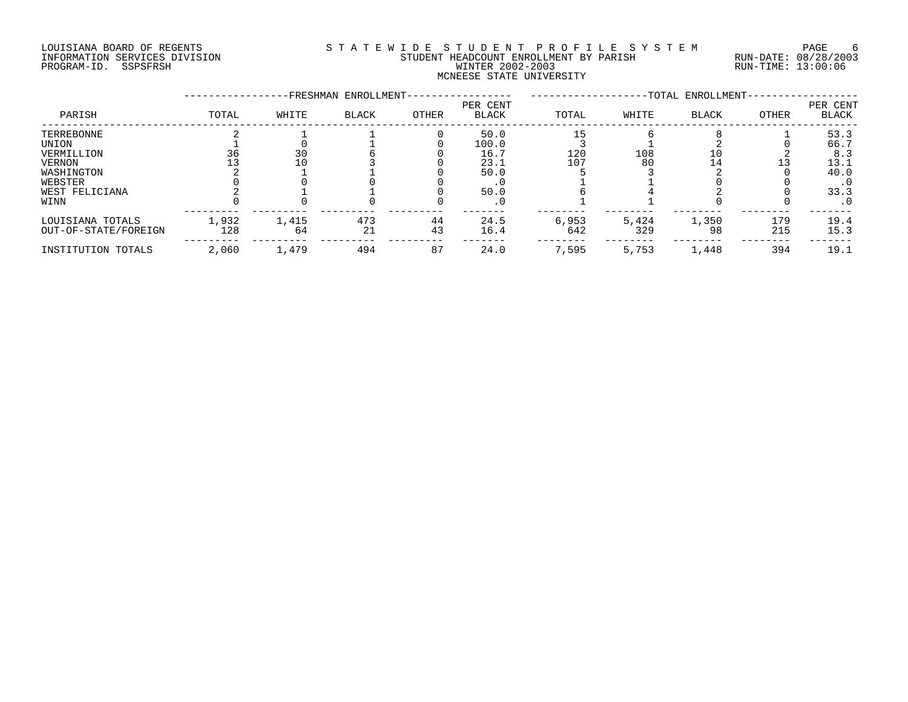# LOUISIANA BOARD OF REGENTS SOURCLEARIE STA T E W I D E S T U D E N T P R O F I L E S Y S T E M PAGE 6 INFORMATION SERVICES DIVISION STUDENT HEADCOUNT ENROLLMENT BY PARISH RUN-DATE: 08/28/2003 PROGRAM-ID. SSPSFRSH WINTER 2002-2003 RUN-TIME: 13:00:06 MCNEESE STATE UNIVERSITY

|                      |       |       | -FRESHMAN ENROLLMENT- |       |                          |       |       | -TOTAL ENROLLMENT- |       |                          |
|----------------------|-------|-------|-----------------------|-------|--------------------------|-------|-------|--------------------|-------|--------------------------|
| PARISH               | TOTAL | WHITE | <b>BLACK</b>          | OTHER | PER CENT<br><b>BLACK</b> | TOTAL | WHITE | <b>BLACK</b>       | OTHER | PER CENT<br><b>BLACK</b> |
| TERREBONNE           |       |       |                       |       | 50.0                     | 15    |       |                    |       | 53.3                     |
| UNION                |       |       |                       |       | 100.0                    |       |       |                    |       | 66.7                     |
| VERMILLION           | 36    | 30    |                       |       | 16.7                     | 120   | 108   |                    |       | 8.3                      |
| <b>VERNON</b>        |       | 10    |                       |       | 23.1                     | 107   | 80    | 14                 |       | 13.1                     |
| WASHINGTON           |       |       |                       |       | 50.0                     |       |       |                    |       | 40.0                     |
| WEBSTER              |       |       |                       |       |                          |       |       |                    |       | . 0                      |
| WEST FELICIANA       |       |       |                       |       | 50.0                     |       |       |                    |       | 33.3                     |
| WINN                 |       |       |                       |       | . 0                      |       |       |                    |       | . 0                      |
| LOUISIANA TOTALS     | 1,932 | 1,415 | 473                   | 44    | 24.5                     | 6,953 | 5,424 | 1,350              | 179   | 19.4                     |
| OUT-OF-STATE/FOREIGN | 128   | 64    | 21                    | 43    | 16.4                     | 642   | 329   | 98                 | 215   | 15.3                     |
| INSTITUTION TOTALS   | 2,060 | 1,479 | 494                   | 87    | 24.0                     | 7,595 | 5,753 | 1,448              | 394   | 19.1                     |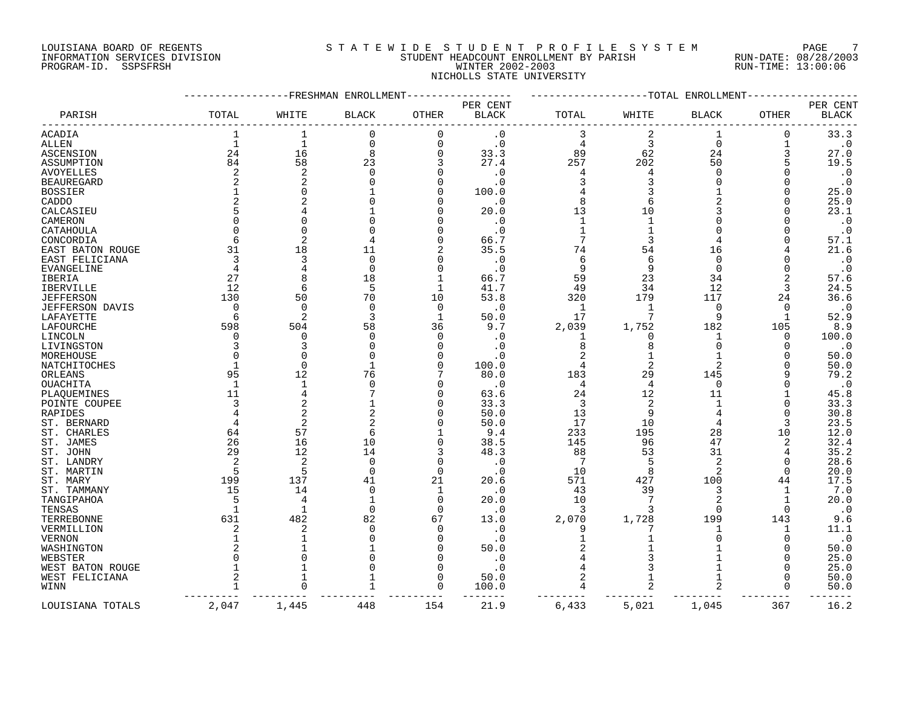# LOUISIANA BOARD OF REGENTS SOURCLEARIE STA T E W I D E S T U D E N T P R O F I L E S Y S T E M PAGE 7 INFORMATION SERVICES DIVISION STUDENT HEADCOUNT ENROLLMENT BY PARISH RUN-DATE: 08/28/2003 PROGRAM-ID. SSPSFRSH WINTER 2002-2003 RUN-TIME: 13:00:06 NICHOLLS STATE UNIVERSITY

|                   |             | FRESHMAN       | ENROLLMENT   |              |              |       | -TOTAL       | ENROLLMENT   |              |                        |
|-------------------|-------------|----------------|--------------|--------------|--------------|-------|--------------|--------------|--------------|------------------------|
|                   |             |                |              |              | PER CENT     |       |              |              |              | PER CENT               |
| PARISH            | TOTAL       | WHITE          | <b>BLACK</b> | <b>OTHER</b> | <b>BLACK</b> | TOTAL | WHITE        | <b>BLACK</b> | OTHER        | <b>BLACK</b>           |
| ACADIA            |             | 1              | $\Omega$     | $\mathbf 0$  | $\cdot$ 0    | 3     | 2            | 1            | 0            | 33.3                   |
| <b>ALLEN</b>      | $\mathbf 1$ | $\mathbf 1$    | $\Omega$     | $\mathbf 0$  | $\cdot$ 0    | 4     | 3            | 0            | 1            | $\boldsymbol{\cdot}$ 0 |
| ASCENSION         | 24          | 16             | 8            | $\Omega$     | 33.3         | 89    | 62           | 24           |              | 27.0                   |
| ASSUMPTION        | 84          | 58             | 23           | 3            | 27.4         | 257   | 202          | 50           | 5            | 19.5                   |
| <b>AVOYELLES</b>  | 2           | $\overline{2}$ | $\cap$       | $\Omega$     | . 0          | 4     |              | $\Omega$     |              | $\cdot$ 0              |
| <b>BEAUREGARD</b> |             |                |              | $\Omega$     | . 0          | 3     |              | $\Omega$     |              | $\boldsymbol{\cdot}$ 0 |
| <b>BOSSIER</b>    |             |                |              | $\Omega$     | 100.0        |       |              |              | O            | 25.0                   |
| CADDO             |             |                |              | $\Omega$     | . 0          | 8     | 6            |              |              | 25.0                   |
| CALCASIEU         |             |                |              | $\Omega$     | 20.0         | 13    | 10           |              |              | 23.1                   |
| CAMERON           |             |                |              |              | . 0          | 1     |              |              |              | $\cdot$ 0              |
| CATAHOULA         |             |                |              | <sup>n</sup> | . 0          |       |              | U            |              | $\cdot$ 0              |
| CONCORDIA         |             | $\overline{2}$ |              | $\Omega$     | 66.7         |       |              |              |              | 57.1                   |
| EAST BATON ROUGE  | 31          | 18             | 11           |              | 35.5         | 74    | 54           | 16           |              | 21.6                   |
| EAST FELICIANA    | 3           | 3              | $\Omega$     | $\Omega$     | . 0          | 6     | 6            | $\Omega$     |              | $\cdot$ 0              |
|                   |             |                | $\Omega$     | $\Omega$     | . 0          | 9     | 9            | $\Omega$     |              | $\cdot$ 0              |
| EVANGELINE        |             | 8              |              | 1            |              |       |              |              |              |                        |
| IBERIA            | 27          |                | 18           |              | 66.7         | 59    | 23           | 34           | 2            | 57.6                   |
| IBERVILLE         | 12          | 6              | 5            | 1            | 41.7         | 49    | 34           | 12           | 3            | 24.5                   |
| <b>JEFFERSON</b>  | 130         | 50             | 70           | 10           | 53.8         | 320   | 179          | 117          | 24           | 36.6                   |
| JEFFERSON DAVIS   | $\Omega$    | $\Omega$       | $\Omega$     | 0            | . 0          | 1     | $\mathbf 1$  | 0            | 0            | $\cdot$ 0              |
| LAFAYETTE         | 6           | $\mathcal{D}$  | 3            | $\mathbf 1$  | 50.0         | 17    |              | 9            | $\mathbf{1}$ | 52.9                   |
| LAFOURCHE         | 598         | 504            | 58           | 36           | 9.7          | 2,039 | 1,752        | 182          | 105          | 8.9                    |
| LINCOLN           | ∩           | $\Omega$       | ∩            | $\Omega$     | . 0          | 1     | <sup>0</sup> | 1            | 0            | 100.0                  |
| LIVINGSTON        |             | 3              |              | $\Omega$     | . 0          | 8     | 8            | $\Omega$     | U            | $\cdot$ 0              |
| MOREHOUSE         |             | $\Omega$       |              | <sup>n</sup> | . 0          |       |              | 1            |              | 50.0                   |
| NATCHITOCHES      |             | $\Omega$       |              | $\Omega$     | 100.0        | 4     |              | 2            |              | 50.0                   |
| ORLEANS           | 95          | 12             | 76           |              | 80.0         | 183   | 29           | 145          |              | 79.2                   |
| OUACHITA          | 1           | -1             | ∩            | <sup>0</sup> | . 0          | 4     | 4            | $\Omega$     |              | $\cdot$ 0              |
| PLAQUEMINES       | 11          |                |              | $\Omega$     | 63.6         | 24    | 12           | 11           |              | 45.8                   |
| POINTE COUPEE     | 3           | $\overline{2}$ |              | <sup>n</sup> | 33.3         | 3     | 2            | -1           |              | 33.3                   |
| <b>RAPIDES</b>    |             | $\mathcal{D}$  |              | <sup>n</sup> | 50.0         | 13    | 9            | 4            | U            | 30.8                   |
| ST. BERNARD       |             | $\overline{2}$ |              | $\Omega$     | 50.0         | 17    | 10           | 4            |              | 23.5                   |
| ST. CHARLES       | 64          | 57             | 6            |              | 9.4          | 233   | 195          | 28           | 10           | 12.0                   |
| ST. JAMES         | 26          | 16             | 10           | $\Omega$     | 38.5         | 145   | 96           | 47           | 2            | 32.4                   |
| ST. JOHN          | 29          | 12             | 14           | 3            | 48.3         | 88    | 53           | 31           | 4            | 35.2                   |
| ST. LANDRY        | 2           | $\overline{2}$ | $\Omega$     | 0            | . 0          | 7     |              | 2            | 0            | 28.6                   |
| ST. MARTIN        | 5           | 5              | $\Omega$     | $\mathbf 0$  | . 0          | 10    | 8            | 2            | $\Omega$     | 20.0                   |
| ST. MARY          | 199         | 137            | 41           | 21           | 20.6         | 571   | 427          | 100          | 44           | 17.5                   |
| ST. TAMMANY       | 15          | 14             | $\Omega$     | 1            | $\cdot$ 0    | 43    | 39           | 3            | 1            | 7.0                    |
| TANGIPAHOA        | .5          | 4              |              | $\Omega$     | 20.0         | 10    | 7            | 2            | 1            | 20.0                   |
| TENSAS            |             | -1             | $\Omega$     | $\Omega$     | . 0          | 3     |              | $\Omega$     | $\Omega$     | $\cdot$ 0              |
| TERREBONNE        | 631         | 482            | 82           | 67           | 13.0         | 2,070 | 1,728        | 199          | 143          | 9.6                    |
| VERMILLION        |             | 2              | ∩            | 0            | . 0          | 9     |              | 1            | 1            | 11.1                   |
| VERNON            |             |                |              | $\Omega$     | . 0          |       |              | O            | 0            | $\boldsymbol{\cdot}$ 0 |
| WASHINGTON        |             |                |              | $\Omega$     | 50.0         |       |              |              | O            | 50.0                   |
| WEBSTER           |             |                |              | <sup>0</sup> | . 0          |       |              |              | O            | 25.0                   |
| WEST BATON ROUGE  |             |                |              | $\Omega$     | . 0          |       |              |              |              | 25.0                   |
| WEST FELICIANA    | 2           |                |              | $\Omega$     | 50.0         | 2     |              | 1            | 0            | 50.0                   |
| WINN              |             |                |              | $\Omega$     | 100.0        | 4     |              |              | $\Omega$     | 50.0                   |
|                   |             |                |              |              |              |       |              |              |              |                        |
| LOUISIANA TOTALS  | 2,047       | 1,445          | 448          | 154          | 21.9         | 6,433 | 5,021        | 1,045        | 367          | 16.2                   |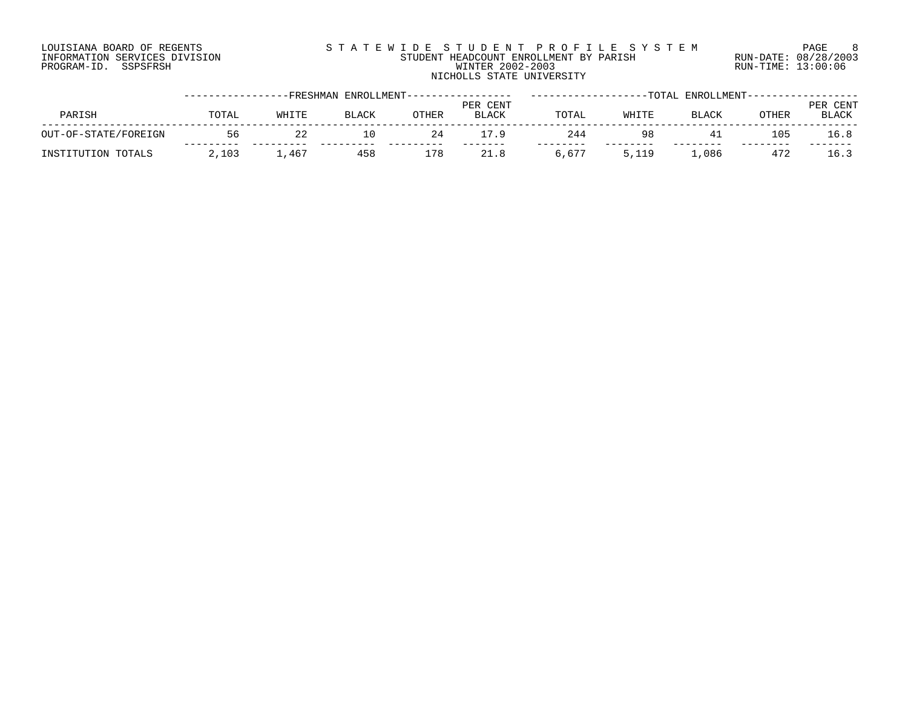# LOUISIANA BOARD OF REGENTS SOURCLEARIE STA T E W I D E S T U D E N T P R O F I L E S Y S T E M PAGE 8 INFORMATION SERVICES DIVISION STUDENT HEADCOUNT ENROLLMENT BY PARISH RUN-DATE: 08/28/2003 PROGRAM-ID. SSPSFRSH WINTER 2002-2003 RUN-TIME: 13:00:06 NICHOLLS STATE UNIVERSITY

|                      |       |       |       | -FRESHMAN ENROLLMENT---------------- |                          |       |       | -TOTAL ENROLLMENT---- |       |                          |
|----------------------|-------|-------|-------|--------------------------------------|--------------------------|-------|-------|-----------------------|-------|--------------------------|
| PARISH               | TOTAL | WHITE | BLACK | OTHER                                | PER CENT<br><b>BLACK</b> | TOTAL | WHITE | <b>BLACK</b>          | OTHER | PER CENT<br><b>BLACK</b> |
| OUT-OF-STATE/FOREIGN | 56    |       | 10    | 24                                   | 79                       | 244   | 98    |                       | 105   | 16.8                     |
| INSTITUTION TOTALS   | 2,103 | 1,467 | 458   | 178                                  | 21.8                     | 6,677 | 5,119 | ,086                  | 472   | 16.3                     |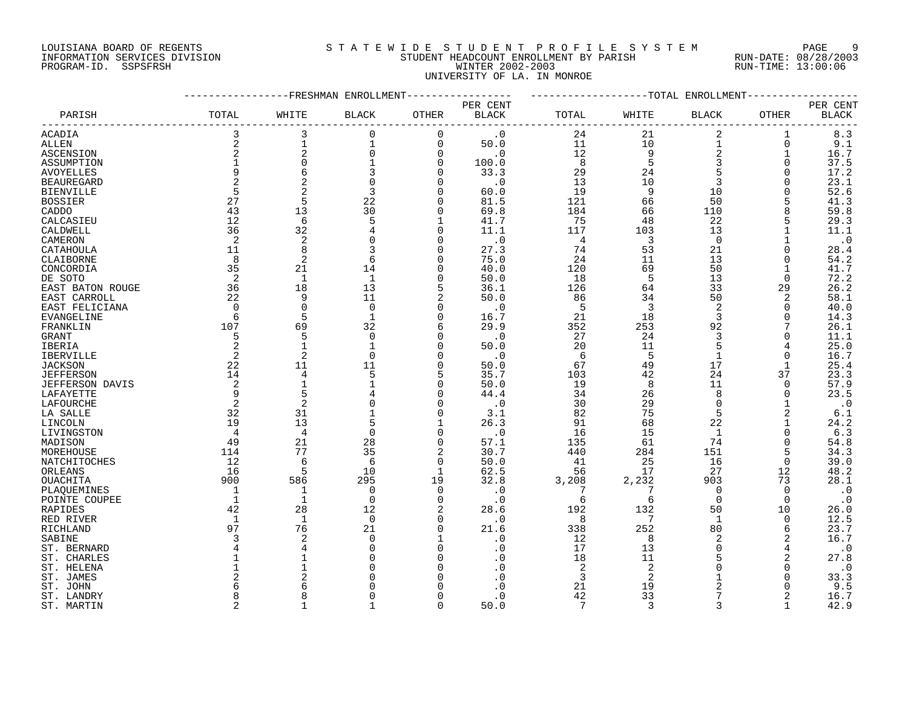### LOUISIANA BOARD OF REGENTS SOURCLEARIE WIDE STUDENT PROFILE SYSTEM PAGE 9 INFORMATION SERVICES DIVISION STUDENT HEADCOUNT ENROLLMENT BY PARISH RUN-DATE: 08/28/2003 PROGRAM-ID. SSPSFRSH WINTER 2002-2003 RUN-TIME: 13:00:06 UNIVERSITY OF LA. IN MONROE

|                        |                |                | FRESHMAN ENROLLMENT |                |                          |                |                | -TOTAL ENROLLMENT |                |                          |
|------------------------|----------------|----------------|---------------------|----------------|--------------------------|----------------|----------------|-------------------|----------------|--------------------------|
| PARISH                 | TOTAL          | WHITE          | <b>BLACK</b>        | OTHER          | PER CENT<br><b>BLACK</b> | TOTAL          | WHITE          | <b>BLACK</b>      | <b>OTHER</b>   | PER CENT<br><b>BLACK</b> |
| ACADIA                 | 3              | 3              | $\mathbf 0$         | 0              | $\cdot$ 0                | 24             | 21             | 2                 | 1              | 8.3                      |
| ALLEN                  | $\sqrt{2}$     |                | $\mathbf 1$         | $\mathbf 0$    | 50.0                     | 11             | 10             | $\mathbf{1}$      | 0              | 9.1                      |
|                        | $\sqrt{2}$     | $\overline{c}$ | 0                   | $\overline{0}$ | $\cdot$ 0                | 12             | 9              | $\mathbf 2$       | 1              | 16.7                     |
| ASCENSION              | $\mathbf{1}$   | $\mathbf 0$    | $\mathbf 1$         | $\Omega$       |                          | 8              | 5              | 3                 | $\Omega$       | 37.5                     |
| ASSUMPTION             |                |                |                     |                | 100.0                    |                |                |                   |                |                          |
| <b>AVOYELLES</b>       | 9              | 6              | 3                   | $\Omega$       | 33.3                     | 29             | 24             |                   | 0              | 17.2                     |
| <b>BEAUREGARD</b>      | 2              | 2              | $\mathbf 0$         | $\Omega$       | $\cdot$ 0                | 13             | 10             | 3                 | $\Omega$       | 23.1                     |
| <b>BIENVILLE</b>       | 5              | $\overline{2}$ | 3                   | $\Omega$       | 60.0                     | 19             | 9              | 10                | ∩              | 52.6                     |
| <b>BOSSIER</b>         | 27             | 5              | 22                  | $\mathbf 0$    | 81.5                     | 121            | 66             | 50                |                | 41.3                     |
| CADDO                  | 43             | 13             | 30                  | 0              | 69.8                     | 184            | 66             | 110               | 8              | 59.8                     |
| CALCASIEU              | 12             | 6              | 5                   | $\mathbf{1}$   | 41.7                     | 75             | 48             | 22                | 5              | 29.3                     |
| CALDWELL               | 36             | 32             | 4                   | $\Omega$       | 11.1                     | 117            | 103            | 13                |                | 11.1                     |
| CAMERON                | $\overline{2}$ | $\overline{a}$ | 0                   | 0              | $\cdot$ 0                | $\overline{4}$ | 3              | $\mathbf 0$       |                | $\cdot$ 0                |
| CATAHOULA              | 11             | 8              | 3                   | $\Omega$       | 27.3                     | 74             | 53             | 21                | 0              | 28.4                     |
| CLAIBORNE              | 8              | $\overline{2}$ | 6                   | $\Omega$       | 75.0                     | 24             | 11             | 13                | $\Omega$       | 54.2                     |
| CONCORDIA              | 35             | 21             | 14                  | $\Omega$       | 40.0                     | 120            | 69             | 50                | -1             | 41.7                     |
| DE SOTO                | 2              | $\mathbf{1}$   | $\mathbf{1}$        | $\mathbf 0$    | 50.0                     | 18             | 5              | 13                | $\Omega$       | 72.2                     |
|                        | 36             | 18             |                     |                |                          |                |                |                   |                |                          |
| EAST BATON ROUGE       |                |                | 13                  | 5              | 36.1                     | 126            | 64             | 33                | 29             | 26.2                     |
| EAST CARROLL           | 22             | 9              | 11                  | 2              | 50.0                     | 86             | 34             | 50                | 2              | 58.1                     |
| EAST FELICIANA         | $\Omega$       | $\Omega$       | $\mathbf 0$         | $\Omega$       | $\cdot$ 0                | 5              | 3              | $\overline{2}$    | $\Omega$       | 40.0                     |
| EVANGELINE             | 6              | 5              | $\mathbf{1}$        | $\overline{0}$ | 16.7                     | 21             | 18             | 3                 | $\Omega$       | 14.3                     |
| FRANKLIN               | 107            | 69             | 32                  | 6              | 29.9                     | 352            | 253            | 92                |                | 26.1                     |
| GRANT                  | 5              | 5              | $\Omega$            | $\Omega$       | $\cdot$ 0                | 27             | 24             | 3                 | $\Omega$       | 11.1                     |
| IBERIA                 | $\overline{c}$ |                | $\mathbf{1}$        | $\Omega$       | 50.0                     | 20             | 11             | 5                 | 4              | 25.0                     |
| IBERVILLE              | $\overline{c}$ | $\overline{2}$ | $\mathbf 0$         | $\mathbf 0$    | $\cdot$ 0                | 6              | 5              | $\mathbf 1$       | 0              | 16.7                     |
| JACKSON                | 22             | 11             | 11                  | 0              | 50.0                     | 67             | 49             | 17                | $\mathbf{1}$   | 25.4                     |
| <b>JEFFERSON</b>       | 14             | 4              | 5                   | 5              | 35.7                     | 103            | 42             | 24                | 37             | 23.3                     |
| <b>JEFFERSON DAVIS</b> | 2              |                | $\mathbf{1}$        | $\Omega$       | 50.0                     | 19             | 8              | 11                | $\Omega$       | 57.9                     |
| LAFAYETTE              | 9              | 5              |                     | 0              | 44.4                     | 34             | 26             | 8                 | 0              | 23.5                     |
| LAFOURCHE              | 2              | 2              | $\Omega$            |                | $\cdot$ 0                | 30             | 29             | $\Omega$          | -1             | $\cdot$ 0                |
|                        | 32             | 31             | $\mathbf{1}$        |                |                          |                | 75             | 5                 | $\overline{2}$ |                          |
| LA SALLE               |                | 13             |                     | $\mathbf 0$    | 3.1                      | 82             |                |                   |                | 6.1                      |
| LINCOLN                | 19             |                | 5                   | $\mathbf{1}$   | 26.3                     | 91             | 68             | 22                |                | 24.2                     |
| LIVINGSTON             | $\overline{4}$ | 4              | $\mathbf 0$         | $\mathbf 0$    | $\cdot$ 0                | 16             | 15             | 1                 | $\Omega$       | 6.3                      |
| MADISON                | 49             | 21             | 28                  | $\mathbf 0$    | 57.1                     | 135            | 61             | 74                | $\Omega$       | 54.8                     |
| MOREHOUSE              | 114            | 77             | 35                  | 2              | 30.7                     | 440            | 284            | 151               | 5              | 34.3                     |
| NATCHITOCHES           | 12             | 6              | 6                   | $\mathbf 0$    | 50.0                     | 41             | 25             | 16                | 0              | 39.0                     |
| ORLEANS                | 16             | 5              | 10                  | 1              | 62.5                     | 56             | 17             | 27                | 12             | 48.2                     |
| OUACHITA               | 900            | 586            | 295                 | 19             | 32.8                     | 3,208          | 2,232          | 903               | 73             | 28.1                     |
| PLAQUEMINES            | $\mathbf{1}$   |                | $\mathbf 0$         | $\Omega$       | $\cdot$ 0                | 7              | 7              | $\mathbf 0$       | $\Omega$       | $\cdot$ 0                |
| POINTE COUPEE          | 1              | $\mathbf{1}$   | $\mathbf 0$         | 0              | $\cdot$ 0                | 6              | 6              | $\Omega$          | $\mathbf 0$    | $\cdot$ 0                |
| RAPIDES                | 42             | 28             | 12                  | 2              | 28.6                     | 192            | 132            | 50                | 10             | 26.0                     |
| RED RIVER              | 1              | $\mathbf{1}$   | $\overline{0}$      | $\Omega$       | $\cdot$ 0                | 8              | 7              | 1                 | 0              | 12.5                     |
| RICHLAND               | 97             | 76             | 21                  | $\Omega$       | 21.6                     | 338            | 252            | 80                | 6              | 23.7                     |
| SABINE                 | 3              | 2              | $\mathbf 0$         |                | $\cdot$ 0                | 12             | 8              | $\overline{2}$    | 2              | 16.7                     |
| ST. BERNARD            | 4              |                | $\Omega$            | $\Omega$       | . 0                      | 17             | 13             | $\Omega$          | 4              | $\cdot$ 0                |
| ST. CHARLES            |                |                | $\Omega$            | $\Omega$       |                          | 18             | 11             | 5                 | 2              | 27.8                     |
|                        |                |                | $\Omega$            | $\Omega$       |                          | 2              | $\overline{2}$ | $\Omega$          | $\Omega$       | $\cdot$ 0                |
| ST. HELENA             |                |                |                     | O              |                          |                |                |                   | $\Omega$       |                          |
| ST. JAMES              |                |                |                     |                |                          | 3              | $\overline{2}$ |                   |                | 33.3                     |
| ST. JOHN               | 6              |                |                     |                |                          | 21             | 19             | $\overline{2}$    | 0              | 9.5                      |
| ST. LANDRY             |                |                |                     | O              |                          | 42             | 33             |                   |                | 16.7                     |
| ST. MARTIN             | $\overline{c}$ |                | 1                   | $\Omega$       | 50.0                     | 7              | 3              | 3                 | $\mathbf{1}$   | 42.9                     |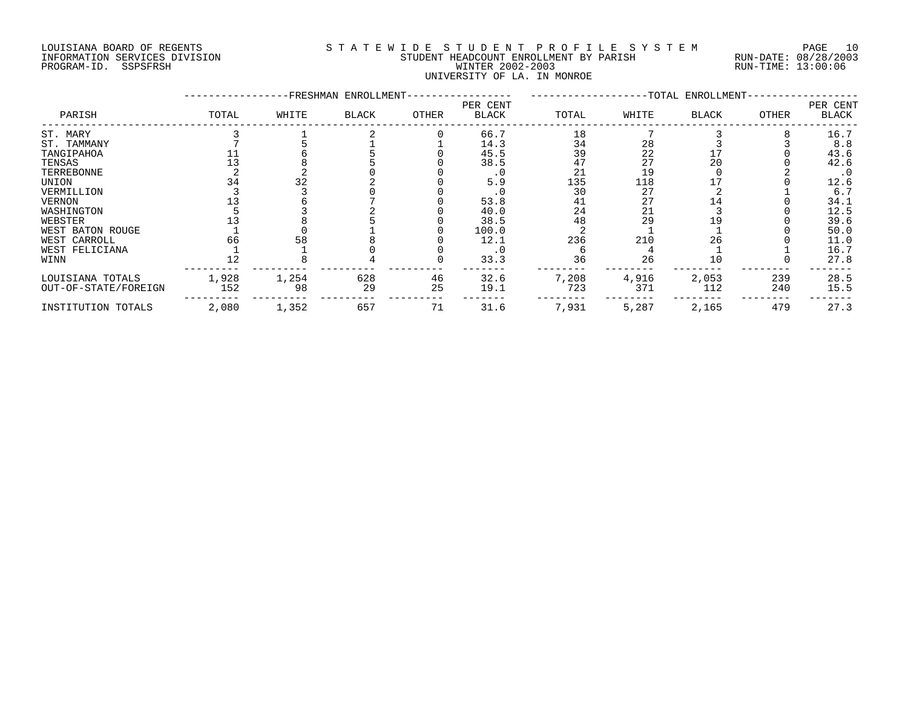# LOUISIANA BOARD OF REGENTS S T A T E W I D E S T U D E N T P R O F I L E S Y S T E M PAGE 10 INFORMATION SERVICES DIVISION STUDENT HEADCOUNT ENROLLMENT BY PARISH RUN-DATE: 08/28/2003 PROGRAM-ID. SSPSFRSH WINTER 2002-2003 RUN-TIME: 13:00:06 UNIVERSITY OF LA. IN MONROE

|                      |       |       | -FRESHMAN ENROLLMENT- |       |                          |       |       | -TOTAL ENROLLMENT- |       |                          |
|----------------------|-------|-------|-----------------------|-------|--------------------------|-------|-------|--------------------|-------|--------------------------|
| PARISH               | TOTAL | WHITE | <b>BLACK</b>          | OTHER | PER CENT<br><b>BLACK</b> | TOTAL | WHITE | <b>BLACK</b>       | OTHER | PER CENT<br><b>BLACK</b> |
| ST. MARY             |       |       |                       |       | 66.7                     | 18    |       |                    |       | 16.7                     |
| ST. TAMMANY          |       |       |                       |       | 14.3                     | 34    | 28    |                    |       | 8.8                      |
| TANGIPAHOA           |       |       |                       |       | 45.5                     | 39    | 22    |                    |       | 43.6                     |
| TENSAS               |       |       |                       |       | 38.5                     | 47    | 27    | 20                 |       | 42.6                     |
| TERREBONNE           |       |       |                       |       |                          | 21    | 19    |                    |       | $\cdot$ 0                |
| UNION                |       | 32    |                       |       | 5.9                      | 135   | 118   |                    |       | 12.6                     |
| VERMILLION           |       |       |                       |       |                          | 30    | 27    |                    |       | 6.7                      |
| <b>VERNON</b>        |       |       |                       |       | 53.8                     | 41    | 27    | 14                 |       | 34.1                     |
| WASHINGTON           |       |       |                       |       | 40.0                     | 24    | 21    |                    |       | 12.5                     |
| WEBSTER              |       |       |                       |       | 38.5                     | 48    | 29    | L 9                |       | 39.6                     |
| WEST BATON ROUGE     |       |       |                       |       | 100.0                    |       |       |                    |       | 50.0                     |
| WEST CARROLL         | 66    | 58    |                       |       | 12.1                     | 236   | 210   | 26                 |       | 11.0                     |
| WEST FELICIANA       |       |       |                       |       |                          |       |       |                    |       | 16.7                     |
| WINN                 |       |       |                       |       | 33.3                     | 36    | 26    | 10                 |       | 27.8                     |
| LOUISIANA TOTALS     | 1,928 | 1,254 | 628                   | 46    | 32.6                     | 7,208 | 4,916 | 2,053              | 239   | 28.5                     |
| OUT-OF-STATE/FOREIGN | 152   | 98    | 29                    | 25    | 19.1                     | 723   | 371   | 112                | 240   | 15.5                     |
| INSTITUTION TOTALS   | 2,080 | 1,352 | 657                   | 71    | 31.6                     | 7,931 | 5,287 | 2,165              | 479   | 27.3                     |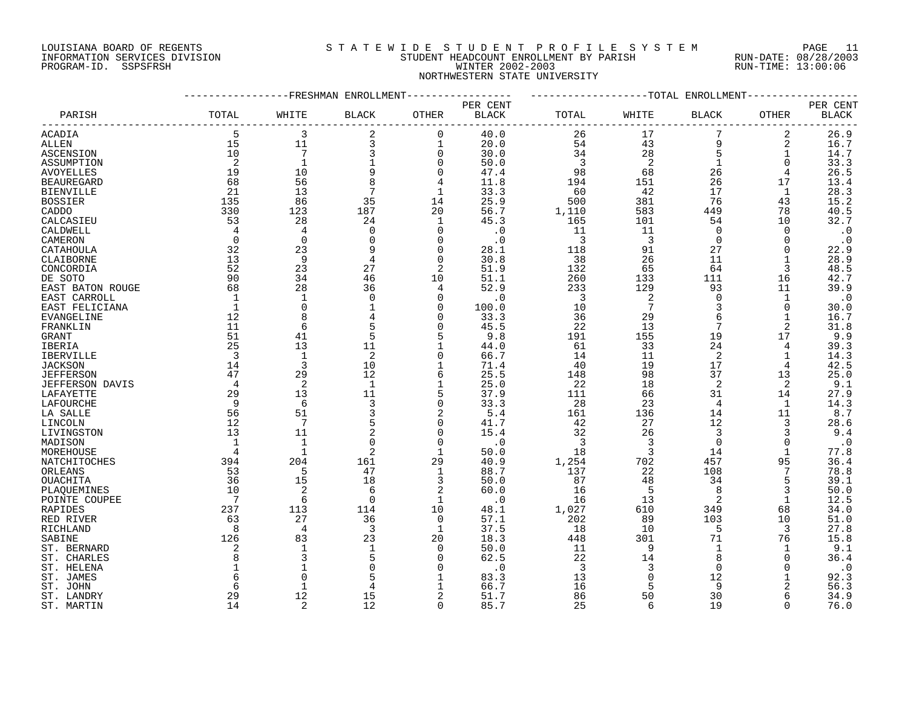## LOUISIANA BOARD OF REGENTS S T A T E W I D E S T U D E N T P R O F I L E S Y S T E M PAGE 11 INFORMATION SERVICES DIVISION STUDENT HEADCOUNT ENROLLMENT BY PARISH RUN-DATE: 08/28/2003 PROGRAM-ID. SSPSFRSH WINTER 2002-2003 RUN-TIME: 13:00:06 NORTHWESTERN STATE UNIVERSITY

|                   |                |                | -FRESHMAN ENROLLMENT |                |              |                |                 | -TOTAL ENROLLMENT |                |              |
|-------------------|----------------|----------------|----------------------|----------------|--------------|----------------|-----------------|-------------------|----------------|--------------|
|                   |                |                |                      |                | PER CENT     |                |                 |                   |                | PER CENT     |
| PARISH            | TOTAL          | WHITE          | BLACK                | <b>OTHER</b>   | <b>BLACK</b> | TOTAL          | WHITE           | <b>BLACK</b>      | OTHER          | <b>BLACK</b> |
|                   |                |                |                      |                |              |                |                 |                   |                |              |
| ACADIA            | 5              | 3              | $\overline{2}$       | $\overline{0}$ | 40.0         | 26             | 17              |                   | $\overline{a}$ | 26.9         |
| ALLEN             | 15             | 11             | 3                    | 1              | 20.0         | 54             | 43              | 9                 | 2              | 16.7         |
| ASCENSION         | 10             | $\overline{7}$ | 3                    | $\mathbf 0$    | 30.0         | 34             | 28              | 5                 | $\mathbf 1$    | 14.7         |
| ASSUMPTION        | 2              | $\mathbf{1}$   |                      | $\Omega$       | 50.0         | 3              | 2               | 1                 | $\Omega$       | 33.3         |
| <b>AVOYELLES</b>  | 19             | 10             | 9                    | $\Omega$       | 47.4         | 98             | 68              | 26                | 4              | 26.5         |
| <b>BEAUREGARD</b> | 68             | 56             | 8                    | 4              | 11.8         | 194            | 151             | 26                | 17             | 13.4         |
|                   |                |                | $7\phantom{.0}$      |                |              |                |                 | 17                |                |              |
| <b>BIENVILLE</b>  | 21             | 13             |                      | 1              | 33.3         | 60             | 42              |                   | 1              | 28.3         |
| <b>BOSSIER</b>    | 135            | 86             | 35                   | 14             | 25.9         | 500            | 381             | 76                | 43             | 15.2         |
| CADDO             | 330            | 123            | 187                  | 20             | 56.7         | 1,110          | 583             | 449               | 78             | 40.5         |
| CALCASIEU         | 53             | 28             | 24                   | 1              | 45.3         | 165            | 101             | 54                | 10             | 32.7         |
| CALDWELL          | 4              | 4              | $\mathbf 0$          | $\Omega$       | $\cdot$ 0    | 11             | 11              | 0                 | $\Omega$       | $\cdot$ 0    |
| CAMERON           | $\Omega$       | $\Omega$       | $\Omega$             | $\Omega$       | $\cdot$ 0    | $\overline{3}$ | 3               | $\Omega$          | $\Omega$       | $\cdot$ 0    |
| CATAHOULA         | 32             | 23             | 9                    | $\Omega$       | 28.1         | 118            | 91              | 27                | $\Omega$       | 22.9         |
| CLAIBORNE         | 13             | 9              | 4                    | $\Omega$       | 30.8         | 38             | 26              | 11                | 1              | 28.9         |
| CONCORDIA         | 52             | 23             | 27                   | 2              | 51.9         | 132            | 65              | 64                | 3              | 48.5         |
| DE SOTO           | 90             | 34             | 46                   | 10             | 51.1         | 260            | 133             | 111               | 16             | 42.7         |
| EAST BATON ROUGE  | 68             | 28             | 36                   | 4              | 52.9         | 233            | 129             | 93                | 11             | 39.9         |
|                   |                |                |                      |                |              |                |                 |                   |                |              |
| EAST CARROLL      |                |                | 0                    | 0              | $\cdot$ 0    | 3              | 2               | 0                 |                | $\cdot$ 0    |
| EAST FELICIANA    | $\mathbf{1}$   | $\Omega$       |                      | $\Omega$       | 100.0        | 10             | $7\phantom{.0}$ | 3                 | $\Omega$       | 30.0         |
| EVANGELINE        | 12             | 8              |                      | $\Omega$       | 33.3         | 36             | 29              | 6                 | 1              | 16.7         |
| FRANKLIN          | 11             | 6              | 5                    | $\Omega$       | 45.5         | 22             | 13              | 7                 | $\overline{a}$ | 31.8         |
| GRANT             | 51             | 41             | 5                    |                | 9.8          | 191            | 155             | 19                | 17             | 9.9          |
| IBERIA            | 25             | 13             | 11                   |                | 44.0         | 61             | 33              | 24                | 4              | 39.3         |
| <b>IBERVILLE</b>  | 3              | $\mathbf{1}$   | 2                    | $\Omega$       | 66.7         | 14             | 11              | $\overline{2}$    | $\mathbf 1$    | 14.3         |
| <b>JACKSON</b>    | 14             | 3              | 10                   | $\mathbf{1}$   | 71.4         | 40             | 19              | 17                | 4              | 42.5         |
| <b>JEFFERSON</b>  | 47             | 29             | 12                   | 6              | 25.5         | 148            | 98              | 37                | 13             | 25.0         |
| JEFFERSON DAVIS   | $\overline{4}$ | $\overline{2}$ | 1                    | 1              | 25.0         | 22             | 18              | $\overline{2}$    | 2              | 9.1          |
| LAFAYETTE         | 29             | 13             | 11                   | 5              | 37.9         | 111            | 66              | 31                | 14             | 27.9         |
| LAFOURCHE         | 9              | 6              | 3                    | $\mathbf 0$    | 33.3         | 28             | 23              | 4                 | $\mathbf 1$    | 14.3         |
|                   |                |                |                      |                |              |                |                 |                   |                |              |
| LA SALLE          | 56             | 51             | 3                    | 2              | 5.4          | 161            | 136             | 14                | 11             | 8.7          |
| LINCOLN           | 12             | 7              | 5                    | $\Omega$       | 41.7         | 42             | 27              | 12                | 3              | 28.6         |
| LIVINGSTON        | 13             | 11             | 2                    | $\Omega$       | 15.4         | 32             | 26              | 3                 | 3              | 9.4          |
| MADISON           | $\mathbf{1}$   | $\mathbf{1}$   | $\Omega$             | $\Omega$       | $\cdot$ 0    | 3              | $\overline{3}$  | $\Omega$          | $\Omega$       | $\cdot$ 0    |
| MOREHOUSE         | $\overline{4}$ | $\mathbf{1}$   | 2                    | $\mathbf{1}$   | 50.0         | 18             | 3               | 14                | 1              | 77.8         |
| NATCHITOCHES      | 394            | 204            | 161                  | 29             | 40.9         | 1,254          | 702             | 457               | 95             | 36.4         |
| ORLEANS           | 53             | -5             | 47                   | 1              | 88.7         | 137            | 22              | 108               |                | 78.8         |
| OUACHITA          | 36             | 15             | 18                   | 3              | 50.0         | 87             | 48              | 34                | 5              | 39.1         |
| PLAQUEMINES       | 10             | 2              | 6                    | 2              | 60.0         | 16             | 5               | 8                 | 3              | 50.0         |
| POINTE COUPEE     | 7              | 6              | $\mathbf 0$          | 1              | $\cdot$ 0    | 16             | 13              | 2                 | 1              | 12.5         |
| RAPIDES           | 237            | 113            | 114                  | 10             | 48.1         | 1,027          | 610             | 349               | 68             | 34.0         |
| RED RIVER         | 63             | 27             | 36                   | $\Omega$       | 57.1         | 202            | 89              | 103               | 10             | 51.0         |
| RICHLAND          | 8              | 4              | 3                    | 1              | 37.5         | 18             | 10              | 5                 | 3              | 27.8         |
|                   |                |                |                      |                |              |                |                 |                   |                |              |
| SABINE            | 126            | 83             | 23                   | 20             | 18.3         | 448            | 301             | 71                | 76             | 15.8         |
| ST. BERNARD       | 2              |                |                      | $\Omega$       | 50.0         | 11             | 9               | 1                 |                | 9.1          |
| ST. CHARLES       | 8              | 3              | 5                    | $\Omega$       | 62.5         | 22             | 14              | 8                 | $\Omega$       | 36.4         |
| ST. HELENA        |                |                | $\Omega$             | $\Omega$       | $\cdot$ 0    | 3              | 3               | $\Omega$          | $\Omega$       | $\cdot$ 0    |
| ST. JAMES         |                |                | 5                    |                | 83.3         | 13             | 0               | 12                |                | 92.3         |
| ST. JOHN          | F              |                |                      | 1              | 66.7         | 16             | 5               | 9                 | 2              | 56.3         |
| ST. LANDRY        | 29             | 12             | 15                   | 2              | 51.7         | 86             | 50              | 30                | 6              | 34.9         |
| ST. MARTIN        | 14             | 2              | 12                   | $\Omega$       | 85.7         | 25             | 6               | 19                | $\Omega$       | 76.0         |
|                   |                |                |                      |                |              |                |                 |                   |                |              |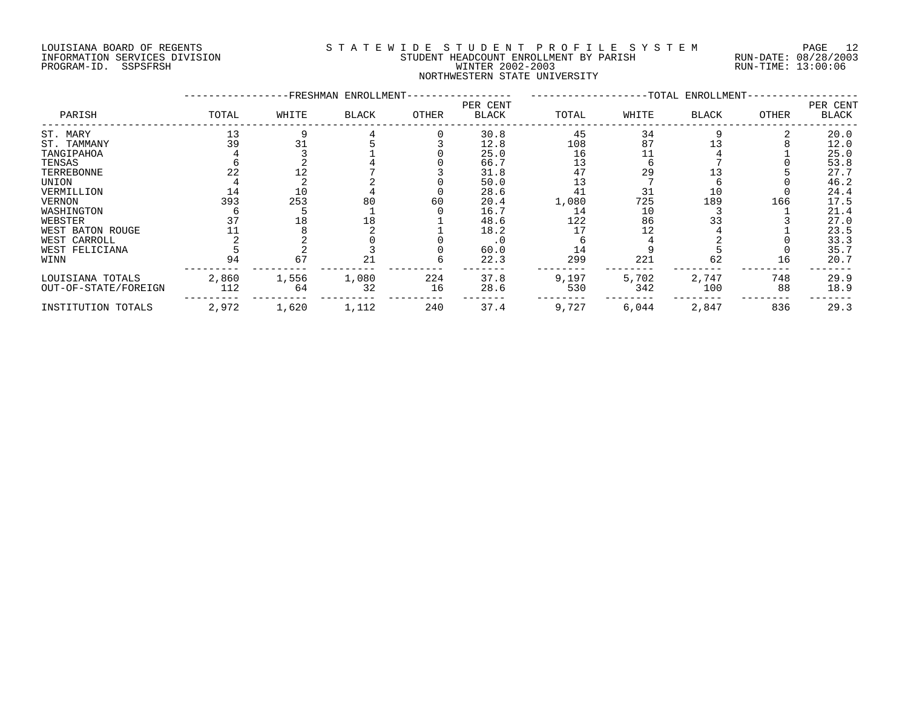# LOUISIANA BOARD OF REGENTS S T A T E W I D E S T U D E N T P R O F I L E S Y S T E M PAGE 12 INFORMATION SERVICES DIVISION STUDENT HEADCOUNT ENROLLMENT BY PARISH RUN-DATE: 08/28/2003 PROGRAM-ID. SSPSFRSH WINTER 2002-2003 RUN-TIME: 13:00:06 NORTHWESTERN STATE UNIVERSITY

|                      |       |       | -FRESHMAN ENROLLMENT- |       |                          |       |       | -TOTAL ENROLLMENT- |       |                   |
|----------------------|-------|-------|-----------------------|-------|--------------------------|-------|-------|--------------------|-------|-------------------|
| PARISH               | TOTAL | WHITE | <b>BLACK</b>          | OTHER | PER CENT<br><b>BLACK</b> | TOTAL | WHITE | <b>BLACK</b>       | OTHER | PER CENT<br>BLACK |
| ST. MARY             | 13    |       |                       |       | 30.8                     | 45    | 34    |                    |       | 20.0              |
| ST. TAMMANY          | 39    | 31    |                       |       | 12.8                     | 108   | 87    |                    |       | 12.0              |
| TANGIPAHOA           |       |       |                       |       | 25.0                     | 16    |       |                    |       | 25.0              |
| TENSAS               |       |       |                       |       | 66.7                     | 13    |       |                    |       | 53.8              |
| TERREBONNE           | 22    | 12    |                       |       | 31.8                     | 47    | 29    |                    |       | 27.7              |
| UNION                |       |       |                       |       | 50.0                     | 13    |       |                    |       | 46.2              |
| VERMILLION           |       | 10    |                       |       | 28.6                     | 41    | 31    | 10                 |       | 24.4              |
| VERNON               | 393   | 253   | 80                    | 60    | 20.4                     | 1,080 | 725   | 189                | 166   | 17.5              |
| WASHINGTON           |       |       |                       |       | 16.7                     | 14    | 10    |                    |       | 21.4              |
| WEBSTER              |       | 18    | 18                    |       | 48.6                     | 122   | 86    | 33                 |       | 27.0              |
| WEST BATON ROUGE     |       |       |                       |       | 18.2                     |       |       |                    |       | 23.5              |
| WEST CARROLL         |       |       |                       |       | . 0                      |       |       |                    |       | 33.3              |
| WEST FELICIANA       |       |       |                       |       | 60.0                     | 14    |       |                    |       | 35.7              |
| WINN                 | 94    | 67    | 21                    |       | 22.3                     | 299   | 221   | 62                 | 16    | 20.7              |
| LOUISIANA TOTALS     | 2,860 | 1,556 | 1,080                 | 224   | 37.8                     | 9,197 | 5,702 | 2,747              | 748   | 29.9              |
| OUT-OF-STATE/FOREIGN | 112   | 64    | 32                    | 16    | 28.6                     | 530   | 342   | 100                | 88    | 18.9              |
| INSTITUTION TOTALS   | 2,972 | 1,620 | 1,112                 | 240   | 37.4                     | 9,727 | 6,044 | 2,847              | 836   | 29.3              |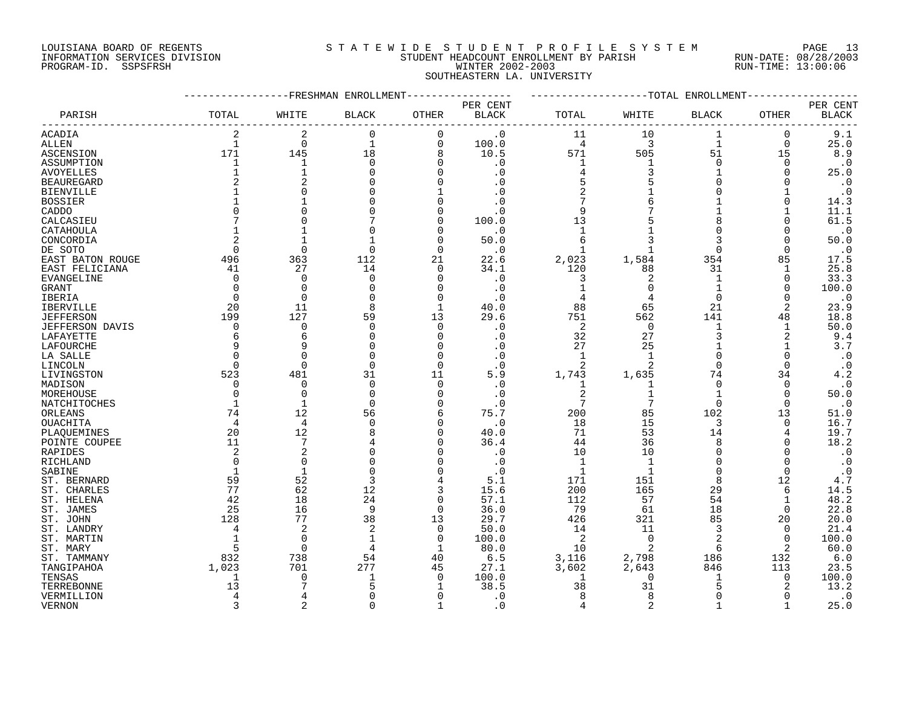#### LOUISIANA BOARD OF REGENTS S T A T E W I D E S T U D E N T P R O F I L E S Y S T E M PAGE 13 INFORMATION SERVICES DIVISION STUDENT HEADCOUNT ENROLLMENT BY PARISH RUN-DATE: 08/28/2003 PROGRAM-ID. SSPSFRSH WINTER 2002-2003 RUN-TIME: 13:00:06 SOUTHEASTERN LA. UNIVERSITY

|                        |                | FRESHMAN       | ENROLLMENT     |              |                          |                |                | -TOTAL ENROLLMENT |              |                          |
|------------------------|----------------|----------------|----------------|--------------|--------------------------|----------------|----------------|-------------------|--------------|--------------------------|
| PARISH                 | TOTAL          | WHITE          | <b>BLACK</b>   | <b>OTHER</b> | PER CENT<br><b>BLACK</b> | TOTAL          | WHITE          | <b>BLACK</b>      | OTHER        | PER CENT<br><b>BLACK</b> |
| ACADIA                 | 2              | 2              | 0              | 0            | $\cdot$ 0                | 11             | 10             | 1                 | 0            | $9.1$                    |
| ALLEN                  | $\mathbf{1}$   | $\mathbf 0$    | $\mathbf 1$    | $\mathbf 0$  | 100.0                    | $\overline{4}$ | 3              | $1\,$             | 0            | 25.0                     |
| ASCENSION              | 171            | 145            | 18             | 8            | 10.5                     | 571            | 505            | 51                | 15           | 8.9                      |
|                        | $\mathbf{1}$   | $\mathbf{1}$   | $\Omega$       | $\Omega$     |                          | $\mathbf{1}$   | $\mathbf{1}$   | $\Omega$          | $\Omega$     |                          |
| ASSUMPTION             |                |                |                |              | . 0                      |                |                |                   |              | $\cdot$ 0                |
| AVOYELLES              |                |                | $\Omega$       | ∩            | . 0                      | 4              | 3              | $\mathbf{1}$      | $\Omega$     | 25.0                     |
| <b>BEAUREGARD</b>      |                | 2              | ∩              | $\Omega$     | . 0                      | 5              |                | $\Omega$          | $\Omega$     | $\cdot$ 0                |
| <b>BIENVILLE</b>       |                |                |                |              |                          |                |                | $\Omega$          |              | $\cdot$ 0                |
| <b>BOSSIER</b>         |                |                |                | U            |                          |                |                | 1                 | $\Omega$     | 14.3                     |
| CADDO                  |                |                |                | $\Omega$     | . 0                      | 9              |                | $\mathbf{1}$      | 1            | 11.1                     |
| CALCASIEU              |                |                |                | ∩            | 100.0                    | 13             |                | 8                 | $\Omega$     | 61.5                     |
| CATAHOULA              |                |                | $\Omega$       | $\Omega$     | $\cdot$ 0                | $\mathbf{1}$   |                | $\Omega$          | O            | $\cdot$ 0                |
| CONCORDIA              |                |                |                | $\Omega$     | 50.0                     | 6              |                | 3                 | $\Omega$     | 50.0                     |
| DE SOTO                | $\Omega$       | ∩              | $\Omega$       | ∩            | $\cdot$ 0                |                |                | $\Omega$          | $\Omega$     | $\cdot$ 0                |
| EAST BATON ROUGE       | 496            | 363            | 112            | 21           | 22.6                     | 2,023          | 1,584          | 354               | 85           | 17.5                     |
| EAST FELICIANA         | 41             | 27             | 14             | $\Omega$     | 34.1                     | 120            | 88             | 31                | 1            | 25.8                     |
|                        | $\overline{0}$ | $\Omega$       | $\mathbf 0$    | $\Omega$     |                          | 3              | 2              | 1                 | $\mathbf 0$  |                          |
| EVANGELINE             |                |                |                |              | $\cdot$ 0                |                | $\Omega$       | $\mathbf{1}$      |              | 33.3                     |
| GRANT                  | $\Omega$       | $\Omega$       | $\Omega$       | $\Omega$     | $\cdot$ 0                |                |                |                   | $\Omega$     | 100.0                    |
| IBERIA                 | $\Omega$       | $\Omega$       | ∩              | $\Omega$     | $\cdot$ 0                |                |                | $\Omega$          | $\Omega$     | $\cdot$ 0                |
| <b>IBERVILLE</b>       | 20             | 11             | 8              | 1            | 40.0                     | 88             | 65             | 21                | 2            | 23.9                     |
| <b>JEFFERSON</b>       | 199            | 127            | 59             | 13           | 29.6                     | 751            | 562            | 141               | 48           | 18.8                     |
| <b>JEFFERSON DAVIS</b> | 0              | 0              | $\Omega$       | $\Omega$     | . 0                      | 2              | 0              | 1                 | 1            | 50.0                     |
| LAFAYETTE              | 6              | 6              | ∩              | ∩            | . 0                      | 32             | 27             | 3                 | 2            | 9.4                      |
| LAFOURCHE              | q              |                | ∩              | $\Omega$     |                          | 27             | 25             | $\mathbf{1}$      |              | 3.7                      |
| LA SALLE               | $\Omega$       |                | $\Omega$       | $\Omega$     | $\cdot$ 0                | $\mathbf{1}$   | 1              | $\overline{0}$    | $\Omega$     | $\cdot$ 0                |
| LINCOLN                | $\Omega$       | $\Omega$       | $\Omega$       | $\Omega$     | . 0                      | 2              | 2              | $\Omega$          | $\Omega$     | $\cdot$ 0                |
| LIVINGSTON             | 523            | 481            | 31             | 11           | 5.9                      | 1,743          | 1,635          | 74                | 34           | 4.2                      |
| MADISON                | $\Omega$       | $\Omega$       | $\Omega$       | $\Omega$     | . 0                      | 1              | 1              | $\Omega$          | $\Omega$     | $\cdot$ 0                |
| MOREHOUSE              | 0              | $\Omega$       | 0              | $\Omega$     | . 0                      | $\overline{c}$ |                | 1                 | $\Omega$     | 50.0                     |
|                        | -1             |                | $\Omega$       | ∩            | . 0                      | 7              |                | $\Omega$          | $\Omega$     | $\cdot$ 0                |
| NATCHITOCHES           |                |                |                |              |                          |                |                |                   |              |                          |
| ORLEANS                | 74             | 12             | 56             | 6            | 75.7                     | 200            | 85             | 102               | 13           | 51.0                     |
| <b>OUACHITA</b>        | 4              | $\overline{4}$ | ∩              | ∩            | $\cdot$ 0                | 18             | 15             | 3                 | $\Omega$     | 16.7                     |
| PLAQUEMINES            | 20             | 12             | 8              | $\Omega$     | 40.0                     | 71             | 53             | 14                | 4            | 19.7                     |
| POINTE COUPEE          | 11             | 7              |                |              | 36.4                     | 44             | 36             | 8                 | 0            | 18.2                     |
| RAPIDES                | 2              |                | ∩              |              | $\cdot$ 0                | 10             | 10             | $\Omega$          | $\Omega$     | $\cdot$ 0                |
| RICHLAND               | $\Omega$       |                | $\cap$         |              | $\cdot$ 0                | $\mathbf{1}$   | $\mathbf{1}$   | $\Omega$          | $\Omega$     | $\cdot$ 0                |
| SABINE                 |                |                | $\Omega$       | $\Omega$     |                          | $\mathbf{1}$   | $\mathbf{1}$   | $\Omega$          | $\Omega$     | $\cdot$ 0                |
| ST. BERNARD            | 59             | 52             | 3              |              | 5.1                      | 171            | 151            | 8                 | 12           | 4.7                      |
| ST. CHARLES            | 77             | 62             | 12             | 3            | 15.6                     | 200            | 165            | 29                | 6            | 14.5                     |
| ST. HELENA             | 42             | 18             | 24             | $\Omega$     | 57.1                     | 112            | 57             | 54                | 1            | 48.2                     |
| ST. JAMES              | 25             | 16             | 9              | $\Omega$     | 36.0                     | 79             | 61             | 18                | 0            | 22.8                     |
| ST. JOHN               | 128            | 77             | 38             | 13           | 29.7                     | 426            | 321            | 85                | 20           | 20.0                     |
| ST. LANDRY             | 4              | 2              | $\overline{2}$ | $\Omega$     | 50.0                     | 14             | 11             | 3                 | $\Omega$     | 21.4                     |
| ST. MARTIN             |                | $\Omega$       | 1              | $\mathbf 0$  | 100.0                    | 2              | $\Omega$       | $\overline{2}$    | $\mathbf 0$  | 100.0                    |
| ST. MARY               | 5              | $\Omega$       | 4              | 1            | 80.0                     | 10             | $\mathfrak{D}$ | 6                 | 2            | 60.0                     |
|                        | 832            |                | 54             |              |                          |                |                | 186               |              |                          |
| ST. TAMMANY            |                | 738            |                | 40           | 6.5                      | 3,116          | 2,798          |                   | 132          | 6.0                      |
| TANGIPAHOA             | 1,023          | 701            | 277            | 45           | 27.1                     | 3,602          | 2,643          | 846               | 113          | 23.5                     |
| TENSAS                 | 1              | $\Omega$       | 1              | $\Omega$     | 100.0                    | 1              | $\Omega$       | 1                 | 0            | 100.0                    |
| TERREBONNE             | 13             |                | 5              |              | 38.5                     | 38             | 31             | 5                 | 2            | 13.2                     |
| VERMILLION             | 4              |                | O              | O            | . 0                      | 8              |                | U                 | O            | $\cdot$ 0                |
| VERNON                 | 3              | 2              | $\Omega$       | $\mathbf{1}$ | $\cdot$ 0                | 4              | $\overline{2}$ | $\mathbf{1}$      | $\mathbf{1}$ | 25.0                     |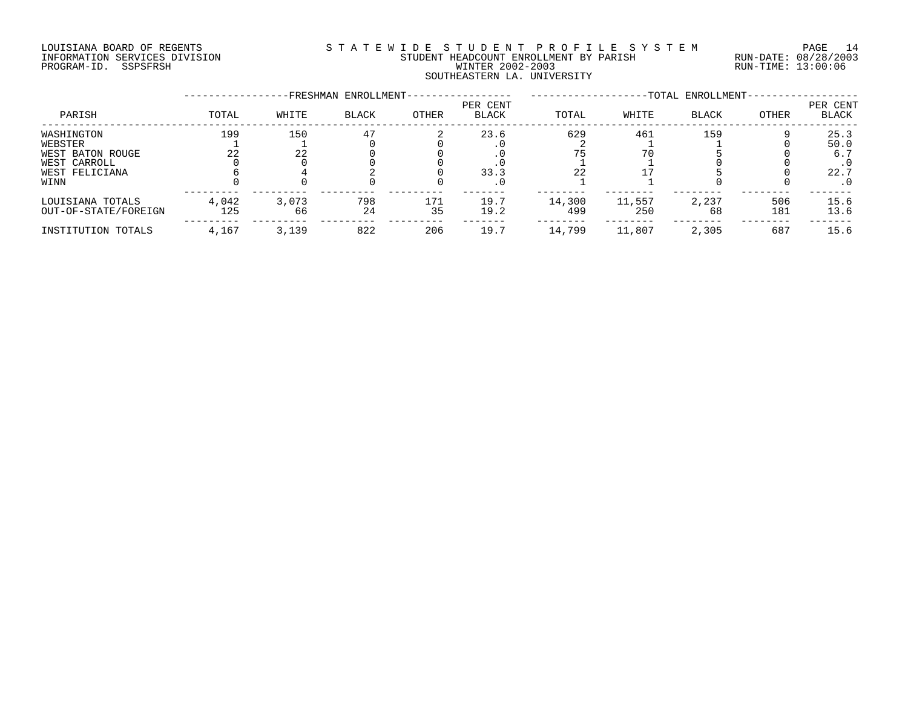# LOUISIANA BOARD OF REGENTS S T A T E W I D E S T U D E N T P R O F I L E S Y S T E M PAGE 14 INFORMATION SERVICES DIVISION STUDENT HEADCOUNT ENROLLMENT BY PARISH RUN-DATE: 08/28/2003 PROGRAM-ID. SSPSFRSH WINTER 2002-2003 RUN-TIME: 13:00:06 SOUTHEASTERN LA. UNIVERSITY

|                                                           |              |             | -FRESHMAN ENROLLMENT- |              |                          |               |               | -TOTAL ENROLLMENT- |            |                          |
|-----------------------------------------------------------|--------------|-------------|-----------------------|--------------|--------------------------|---------------|---------------|--------------------|------------|--------------------------|
| PARISH                                                    | TOTAL        | WHITE       | <b>BLACK</b>          | <b>OTHER</b> | PER CENT<br><b>BLACK</b> | TOTAL         | WHITE         | <b>BLACK</b>       | OTHER      | PER CENT<br><b>BLACK</b> |
| WASHINGTON<br>WEBSTER<br>WEST BATON ROUGE<br>WEST CARROLL | 199<br>22    | 150<br>22   | 47                    |              | 23.6                     | 629           | 461<br>70     | 159                |            | 25.3<br>50.0<br>6.7      |
| WEST FELICIANA<br>WINN                                    |              |             |                       |              | 33.3                     |               |               |                    |            | 22.7<br>. 0              |
| LOUISIANA TOTALS<br>OUT-OF-STATE/FOREIGN                  | 4,042<br>125 | 3,073<br>66 | 798<br>24             | 171<br>35    | 19.7<br>19.2             | 14,300<br>499 | 11,557<br>250 | 2,237<br>68        | 506<br>181 | 15.6<br>13.6             |
| INSTITUTION TOTALS                                        | 4,167        | 3,139       | 822                   | 206          | 19.7                     | 14,799        | 11,807        | 2,305              | 687        | 15.6                     |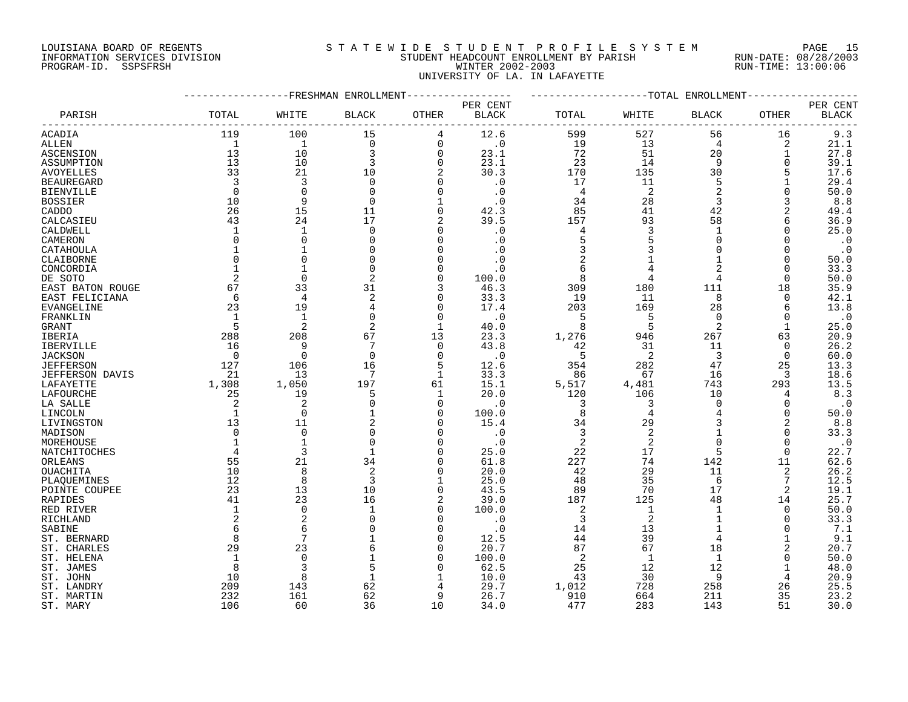## LOUISIANA BOARD OF REGENTS S T A T E W I D E S T U D E N T P R O F I L E S Y S T E M PAGE 15 INFORMATION SERVICES DIVISION STUDENT HEADCOUNT ENROLLMENT BY PARISH RUN-DATE: 08/28/2003 PROGRAM-ID. SSPSFRSH WINTER 2002-2003 RUN-TIME: 13:00:06 UNIVERSITY OF LA. IN LAFAYETTE

|                   |                |                | -FRESHMAN ENROLLMENT |              |              |       |                | --TOTAL ENROLLMENT |          |              |
|-------------------|----------------|----------------|----------------------|--------------|--------------|-------|----------------|--------------------|----------|--------------|
|                   |                |                |                      |              | PER CENT     |       |                |                    |          | PER CENT     |
| PARISH            | TOTAL          | WHITE          | <b>BLACK</b>         | OTHER        | <b>BLACK</b> | TOTAL | WHITE          | BLACK              | OTHER    | <b>BLACK</b> |
|                   |                |                |                      |              |              |       |                |                    |          |              |
| <b>ACADIA</b>     | 119            | 100            | 15                   | 4            | 12.6         | 599   | 527            | 56                 | 16       | 9.3          |
| ALLEN             | 1              | $\mathbf{1}$   | $\mathbf 0$          | 0            | $\cdot$ 0    | 19    | 13             | 4                  | 2        | 21.1         |
| ASCENSION         | 13             | 10             | 3                    | $\mathbf 0$  | 23.1         | 72    | 51             | 20                 | 1        | 27.8         |
| ASSUMPTION        | 13             | 10             | 3                    | $\Omega$     | 23.1         | 23    | 14             | 9                  | $\Omega$ | 39.1         |
| <b>AVOYELLES</b>  | 33             | 21             | 10                   |              | 30.3         | 170   | 135            | 30                 | 5        | 17.6         |
|                   | 3              | 3              | $\Omega$             | $\Omega$     |              | 17    | 11             | 5                  | 1        | 29.4         |
| <b>BEAUREGARD</b> |                |                |                      |              | $\cdot$ 0    |       |                | $\overline{2}$     |          |              |
| <b>BIENVILLE</b>  | $\Omega$       | $\Omega$       | $\Omega$             | $\Omega$     | $\cdot$ 0    | 4     | 2              |                    | $\Omega$ | 50.0         |
| <b>BOSSIER</b>    | 10             | 9              | $\Omega$             |              | $\cdot$ 0    | 34    | 28             | 3                  |          | 8.8          |
| CADDO             | 26             | 15             | 11                   | 0            | 42.3         | 85    | 41             | 42                 |          | 49.4         |
| CALCASIEU         | 43             | 24             | 17                   |              | 39.5         | 157   | 93             | 58                 | 6        | 36.9         |
| CALDWELL          | 1              | 1              | $\Omega$             | $\Omega$     | $\cdot$ 0    | 4     | 3              | $\mathbf{1}$       | $\Omega$ | 25.0         |
| CAMERON           | $\Omega$       | $\Omega$       | $\Omega$             | $\Omega$     | $\cdot$ 0    | 5     | 5              | $\Omega$           | $\Omega$ | $\cdot$ 0    |
| CATAHOULA         |                |                |                      | $\Omega$     | . 0          |       |                | $\cap$             | $\Omega$ | $\cdot$ 0    |
| CLAIBORNE         | $\Omega$       | 0              |                      | $\Omega$     | . 0          | 2     |                |                    | 0        | 50.0         |
| CONCORDIA         |                |                | $\Omega$             | $\Omega$     | $\cdot$ 0    | 6     | 4              |                    | $\Omega$ | 33.3         |
| DE SOTO           | 2              | $\Omega$       | $\overline{2}$       | $\Omega$     | 100.0        | 8     | 4              | 4                  | $\Omega$ | 50.0         |
| EAST BATON ROUGE  | 67             | 33             | 31                   | 3            | 46.3         | 309   | 180            | 111                | 18       | 35.9         |
| EAST FELICIANA    | 6              | 4              | 2                    | $\Omega$     | 33.3         | 19    | 11             | 8                  | 0        | 42.1         |
|                   |                |                |                      | $\Omega$     |              |       |                |                    |          |              |
| EVANGELINE        | 23             | 19             | 4                    |              | 17.4         | 203   | 169            | 28                 | 6        | 13.8         |
| FRANKLIN          | $\mathbf{1}$   | 1              | $\Omega$             | $\Omega$     | $\cdot$ 0    | 5     | 5              | $\Omega$           | $\Omega$ | $\cdot$ 0    |
| GRANT             | 5              | $\overline{2}$ | 2                    | -1           | 40.0         | 8     | 5              | $\overline{2}$     | -1       | 25.0         |
| IBERIA            | 288            | 208            | 67                   | 13           | 23.3         | 1,276 | 946            | 267                | 63       | 20.9         |
| <b>IBERVILLE</b>  | 16             | 9              |                      | $\Omega$     | 43.8         | 42    | 31             | 11                 | $\Omega$ | 26.2         |
| <b>JACKSON</b>    | $\Omega$       | $\Omega$       | $\Omega$             | $\Omega$     | $\cdot$ 0    | 5     | 2              | 3                  | $\Omega$ | 60.0         |
| <b>JEFFERSON</b>  | 127            | 106            | 16                   | 5            | 12.6         | 354   | 282            | 47                 | 25       | 13.3         |
| JEFFERSON DAVIS   | 21             | 13             | 7                    | $\mathbf{1}$ | 33.3         | 86    | 67             | 16                 | 3        | 18.6         |
| LAFAYETTE         | 1,308          | 1,050          | 197                  | 61           | 15.1         | 5,517 | 4,481          | 743                | 293      | 13.5         |
| LAFOURCHE         | 25             | 19             | 5                    | 1            | 20.0         | 120   | 106            | 10                 | 4        | 8.3          |
| LA SALLE          | $\overline{2}$ | 2              | $\Omega$             | $\Omega$     | $\cdot$ 0    | 3     | 3              | $\mathbf 0$        | $\Omega$ | $\cdot$ 0    |
| LINCOLN           | $\overline{1}$ | $\Omega$       |                      | $\Omega$     | 100.0        | 8     | $\overline{4}$ |                    | $\Omega$ | 50.0         |
| LIVINGSTON        | 13             | 11             |                      | $\Omega$     | 15.4         | 34    | 29             |                    |          | 8.8          |
| MADISON           | $\Omega$       | $\Omega$       | $\Omega$             | $\Omega$     | $\cdot$ 0    | 3     | 2              |                    | O        | 33.3         |
|                   |                |                | $\Omega$             | $\Omega$     | $\cdot$ 0    | 2     | 2              | $\Omega$           | $\Omega$ | $\cdot$ 0    |
| MOREHOUSE         |                |                |                      | $\Omega$     |              |       |                | 5                  | $\Omega$ |              |
| NATCHITOCHES      |                | 3              |                      |              | 25.0         | 22    | 17             |                    |          | 22.7         |
| ORLEANS           | 55             | 21             | 34                   | $\Omega$     | 61.8         | 227   | 74             | 142                | 11       | 62.6         |
| OUACHITA          | 10             | 8              | 2                    | $\Omega$     | 20.0         | 42    | 29             | 11                 | 2        | 26.2         |
| PLAQUEMINES       | 12             | 8              | 3                    | $\mathbf 1$  | 25.0         | 48    | 35             | 6                  | 7        | 12.5         |
| POINTE COUPEE     | 23             | 13             | 10                   | 0            | 43.5         | 89    | 70             | 17                 | 2        | 19.1         |
| RAPIDES           | 41             | 23             | 16                   |              | 39.0         | 187   | 125            | 48                 | 14       | 25.7         |
| RED RIVER         | 1              | $\mathbf 0$    | 1                    | 0            | 100.0        | 2     | 1              | 1                  | 0        | 50.0         |
| RICHLAND          | 2              | 2              |                      | $\Omega$     | $\cdot$ 0    | 3     | $\overline{2}$ |                    | $\Omega$ | 33.3         |
| SABINE            | 6              | 6              | $\Omega$             | $\Omega$     | $\cdot$ 0    | 14    | 13             | 1                  | U        | 7.1          |
| ST. BERNARD       | 8              | 7              |                      | $\Omega$     | 12.5         | 44    | 39             | 4                  |          | 9.1          |
| ST. CHARLES       | 29             | 23             |                      | $\Omega$     | 20.7         | 87    | 67             | 18                 |          | 20.7         |
| ST. HELENA        | $\mathbf{1}$   | $\Omega$       |                      | $\Omega$     | 100.0        | 2     | $\mathbf{1}$   | $\mathbf{1}$       | $\Omega$ | 50.0         |
| ST. JAMES         | 8              |                | 5                    | $\Omega$     | 62.5         | 25    | 12             | 12                 | -1       | 48.0         |
| ST. JOHN          | 10             | 8              |                      |              | 10.0         | 43    | 30             | 9                  |          | 20.9         |
|                   | 209            |                | 62                   | 4            | 29.7         |       | 728            | 258                |          | 25.5         |
| ST. LANDRY        |                | 143            |                      | q            |              | 1,012 |                |                    | 26       |              |
| ST. MARTIN        | 232            | 161            | 62                   |              | 26.7         | 910   | 664            | 211                | 35       | 23.2         |
| ST. MARY          | 106            | 60             | 36                   | 10           | 34.0         | 477   | 283            | 143                | 51       | 30.0         |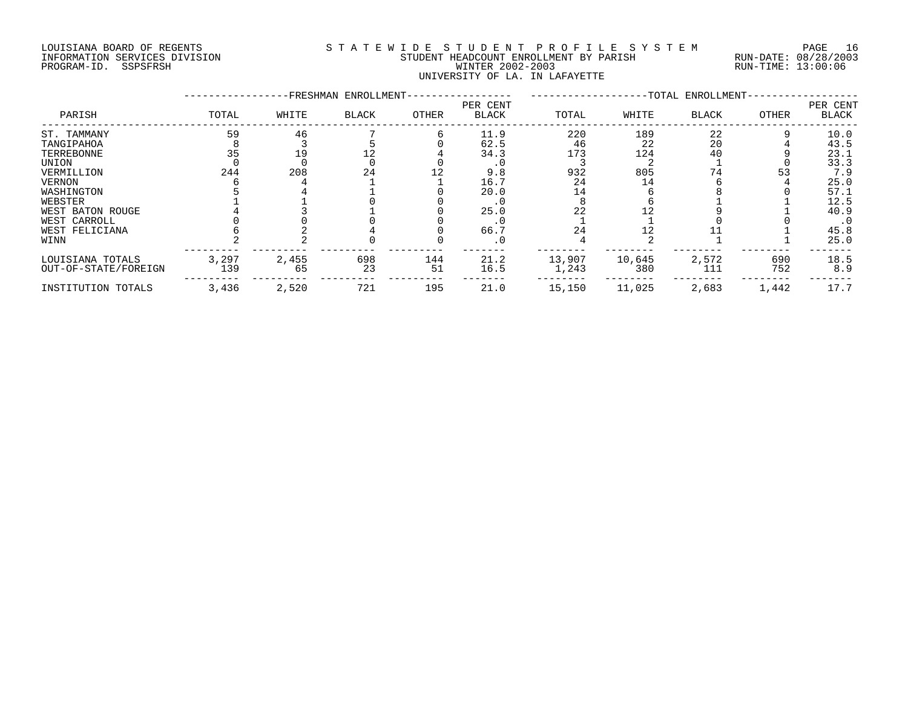#### LOUISIANA BOARD OF REGENTS S T A T E W I D E S T U D E N T P R O F I L E S Y S T E M PAGE 16 INFORMATION SERVICES DIVISION STUDENT HEADCOUNT ENROLLMENT BY PARISH RUN-DATE: 08/28/2003 PROGRAM-ID. SSPSFRSH WINTER 2002-2003 RUN-TIME: 13:00:06 UNIVERSITY OF LA. IN LAFAYETTE

|                      |       | -FRESHMAN | ENROLLMENT-  |       |                   | -TOTAL ENROLLMENT- |        |              |       |                   |
|----------------------|-------|-----------|--------------|-------|-------------------|--------------------|--------|--------------|-------|-------------------|
| PARISH               | TOTAL | WHITE     | <b>BLACK</b> | OTHER | PER CENT<br>BLACK | TOTAL              | WHITE  | <b>BLACK</b> | OTHER | PER CENT<br>BLACK |
| ST. TAMMANY          | 59    | 46        |              |       | 11.9              | 220                | 189    | 22           |       | 10.0              |
| TANGIPAHOA           |       |           |              |       | 62.5              | 46                 | 22     | 20           |       | 43.5              |
| TERREBONNE           | 35    | 19        |              |       | 34.3              | 173                | 124    | 40           |       | 23.1              |
| UNION                |       |           |              |       |                   |                    |        |              |       | 33.3              |
| VERMILLION           | 244   | 208       | 24           |       | 9.8               | 932                | 805    | 74           | 53    | 7.9               |
| <b>VERNON</b>        |       |           |              |       | 16.7              | 24                 | 14     |              |       | 25.0              |
| WASHINGTON           |       |           |              |       | 20.0              |                    |        |              |       | 57.1              |
| WEBSTER              |       |           |              |       | . 0               |                    |        |              |       | 12.5              |
| WEST BATON ROUGE     |       |           |              |       | 25.0              | 22                 |        |              |       | 40.9              |
| WEST CARROLL         |       |           |              |       |                   |                    |        |              |       | $\cdot$ 0         |
| WEST FELICIANA       |       |           |              |       | 66.7              | 24                 |        |              |       | 45.8              |
| WINN                 |       |           |              |       | $\cdot$ 0         |                    |        |              |       | 25.0              |
| LOUISIANA TOTALS     | 3,297 | 2,455     | 698          | 144   | 21.2              | 13,907             | 10,645 | 2,572        | 690   | 18.5              |
| OUT-OF-STATE/FOREIGN | 139   | 65        | 23           | 51    | 16.5              | 1,243              | 380    | 111          | 752   | 8.9               |
| INSTITUTION TOTALS   | 3,436 | 2,520     | 721          | 195   | 21.0              | 15,150             | 11,025 | 2,683        | 1,442 | 17.7              |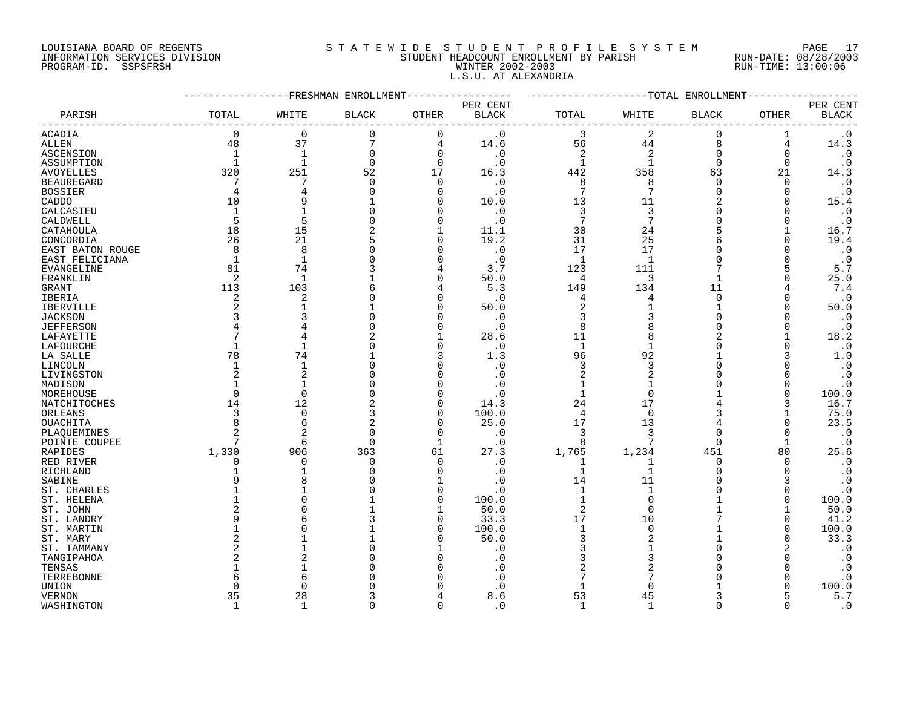#### LOUISIANA BOARD OF REGENTS S T A T E W I D E S T U D E N T P R O F I L E S Y S T E M PAGE 17 INFORMATION SERVICES DIVISION STUDENT HEADCOUNT ENROLLMENT BY PARISH RUN-DATE: 08/28/2003 PROGRAM-ID. SSPSFRSH WINTER 2002-2003 RUN-TIME: 13:00:06 L.S.U. AT ALEXANDRIA

|                   |                |                | -FRESHMAN ENROLLMENT |              |                                    |                 |                | ---TOTAL ENROLLMENT |              |                          |
|-------------------|----------------|----------------|----------------------|--------------|------------------------------------|-----------------|----------------|---------------------|--------------|--------------------------|
| PARISH            | TOTAL          | WHITE          | <b>BLACK</b>         | OTHER        | PER CENT<br>$\operatorname{BLACK}$ | TOTAL           | WHITE          | <b>BLACK</b>        | OTHER        | PER CENT<br><b>BLACK</b> |
| ACADIA            | $\mathbf 0$    | $\mathbf 0$    | 0                    | $\mathbf 0$  | $\cdot$ 0                          | 3               | $\sqrt{2}$     | $\mathbf 0$         | 1            | $\boldsymbol{\cdot}$ 0   |
| ALLEN             | 48             | 37             | 7                    | 4            | 14.6                               | 56              | 44             | 8                   | 4            | 14.3                     |
| ASCENSION         | 1              | $\mathbf{1}$   | 0                    | $\mathbf 0$  | $\cdot$ 0                          | 2               | 2              | $\overline{0}$      | 0            | $\cdot$ 0                |
| ASSUMPTION        | $\mathbf{1}$   | $\mathbf{1}$   | $\Omega$             | $\Omega$     | $\cdot$ 0                          | $\mathbf{1}$    | $\mathbf 1$    | $\Omega$            | $\Omega$     | $\cdot$ 0                |
| <b>AVOYELLES</b>  | 320            | 251            | 52                   | 17           | 16.3                               | 442             | 358            | 63                  | 21           | 14.3                     |
|                   | 7              | 7              | $\Omega$             | 0            | $\cdot$ 0                          | 8               | 8              | $\cap$              | $\Omega$     | $\boldsymbol{\cdot}$ 0   |
| <b>BEAUREGARD</b> | 4              |                | $\Omega$             | 0            |                                    | $7\phantom{.0}$ | 7              | $\cap$              | $\Omega$     | $\cdot$ 0                |
| <b>BOSSIER</b>    | 10             |                |                      | $\Omega$     | $\cdot$ 0                          | 13              | 11             |                     | O            |                          |
| CADDO             |                |                |                      |              | 10.0                               | $\overline{3}$  |                |                     | $\Omega$     | 15.4                     |
| CALCASIEU         | 1              |                |                      | 0            | $\cdot$ 0                          |                 | 3<br>7         |                     |              | $\cdot$ 0                |
| CALDWELL          | 5              | 5              |                      | $\Omega$     | $\cdot$ 0                          | 7               |                |                     |              | $\cdot$ 0                |
| CATAHOULA         | 18             | 15             |                      | $\mathbf{1}$ | 11.1                               | 30              | 24             |                     |              | 16.7                     |
| CONCORDIA         | 26             | 21             | 5                    | $\mathbf 0$  | 19.2                               | 31              | 25             |                     | $\Omega$     | 19.4                     |
| EAST BATON ROUGE  | 8              | 8              |                      | $\Omega$     | $\cdot$ 0                          | 17              | 17             |                     |              | $\cdot$ 0                |
| EAST FELICIANA    | $\mathbf 1$    | 1              | 0                    | $\Omega$     | $\cdot$ 0                          | -1              | $\mathbf{1}$   |                     | O            | $\cdot$ 0                |
| <b>EVANGELINE</b> | 81             | 74             |                      | 4            | 3.7                                | 123             | 111            |                     | 5            | 5.7                      |
| FRANKLIN          | 2              | 1              |                      | $\Omega$     | 50.0                               | 4               | 3              |                     | $\Omega$     | 25.0                     |
| <b>GRANT</b>      | 113            | 103            |                      | 4            | 5.3                                | 149             | 134            | 11                  |              | 7.4                      |
| IBERIA            | 2              | 2              |                      | $\Omega$     | $\cdot$ 0                          | 4               | 4              | $\Omega$            | O            | $\cdot$ 0                |
| IBERVILLE         | 2              | 1              |                      | $\Omega$     | 50.0                               | 2               | $\mathbf{1}$   |                     | $\Omega$     | 50.0                     |
| <b>JACKSON</b>    |                |                |                      | O            | $\cdot$ 0                          | 3               | 3              |                     | $\Omega$     | $\cdot$ 0                |
| <b>JEFFERSON</b>  |                |                |                      | $\Omega$     | $\cdot$ 0                          | 8               | 8              |                     | O            | $\cdot$ 0                |
| LAFAYETTE         |                |                |                      | 1            | 28.6                               | 11              | 8              | 2                   |              | 18.2                     |
| LAFOURCHE         | $\mathbf{1}$   | $\overline{1}$ | $\Omega$             | $\Omega$     | $\cdot$ 0                          | $\mathbf{1}$    | $\mathbf{1}$   |                     | O            | $\cdot$ 0                |
| LA SALLE          | 78             | 74             |                      | 3            | 1.3                                | 96              | 92             |                     | 3            | 1.0                      |
| LINCOLN           | 1              | $\overline{1}$ | 0                    | $\Omega$     | $\cdot$ 0                          | 3               | 3              |                     | ∩            | $\cdot$ 0                |
| LIVINGSTON        | $\overline{2}$ |                | U                    | $\Omega$     | $\cdot$ 0                          | 2               | $\overline{2}$ |                     |              | $\cdot$ 0                |
| MADISON           | 1              | -1             | U                    | $\Omega$     | . 0                                | $\mathbf{1}$    | $\mathbf{1}$   |                     | O            | $\cdot$ 0                |
| MOREHOUSE         | $\Omega$       | $\Omega$       |                      | O            |                                    | $\overline{1}$  | $\Omega$       |                     | $\Omega$     | 100.0                    |
| NATCHITOCHES      | 14             | 12             |                      | 0            | 14.3                               | 24              | 17             |                     | 3            | 16.7                     |
| ORLEANS           | 3              | $\Omega$       | 3                    | $\mathbf 0$  | 100.0                              | $\overline{4}$  | $\Omega$       |                     |              | 75.0                     |
| OUACHITA          | 8              | 6              | 2                    | 0            | 25.0                               | 17              | 13             |                     |              | 23.5                     |
| PLAQUEMINES       |                |                | $\Omega$             | 0            | . 0                                | 3               | 3              |                     | <sup>0</sup> | $\cdot$ 0                |
| POINTE COUPEE     | 7              | 6              | $\Omega$             | $\mathbf{1}$ | $\cdot$ 0                          | 8               | 7              | $\Omega$            | 1            | $\cdot$ 0                |
| RAPIDES           | 1,330          | 906            | 363                  | 61           | 27.3                               | 1,765           | 1,234          | 451                 | 80           | 25.6                     |
| RED RIVER         | $\Omega$       | 0              | 0                    | 0            | $\cdot$ 0                          | 1               | 1              | $\Omega$            | 0            | $\cdot$ 0                |
| RICHLAND          |                | 1              | $\Omega$             | $\Omega$     | $\cdot$ 0                          | $\mathbf{1}$    | $\mathbf 1$    | $\cap$              | $\Omega$     | $\cdot$ 0                |
| SABINE            | 9              |                |                      | $\mathbf{1}$ | . 0                                | 14              | 11             |                     | 3            | $\cdot$ 0                |
| ST. CHARLES       |                |                |                      | $\mathbf 0$  | $\cdot$ 0                          | $\mathbf{1}$    | 1              |                     | <sup>n</sup> | $\cdot$ 0                |
| ST. HELENA        |                |                |                      | 0            | 100.0                              |                 | $\mathbf 0$    |                     | $\Omega$     | 100.0                    |
| ST. JOHN          |                |                |                      | $\mathbf 1$  | 50.0                               | 2               | $\Omega$       |                     |              | 50.0                     |
| ST. LANDRY        |                |                | 3                    | $\Omega$     | 33.3                               | 17              | 10             |                     | O            | 41.2                     |
|                   |                |                |                      | $\Omega$     |                                    | $\mathbf{1}$    | $\mathbf 0$    |                     | $\Omega$     | 100.0                    |
| ST. MARTIN        |                |                |                      |              | 100.0                              |                 |                |                     |              |                          |
| ST. MARY          | $\overline{2}$ |                |                      | 0            | 50.0                               | 3               | 2              |                     | $\Omega$     | 33.3                     |
| ST. TAMMANY       | 2              |                |                      |              | . 0                                |                 |                |                     | 2            | $\cdot$ 0                |
| TANGIPAHOA        |                |                |                      | $\Omega$     | . 0                                | 3               | 3              |                     |              | $\boldsymbol{\cdot}$ 0   |
| TENSAS            |                |                |                      | ∩            |                                    |                 | $\overline{2}$ |                     | ∩            | $\cdot$ 0                |
| TERREBONNE        |                |                |                      |              | . 0                                |                 | 7              |                     | O            | $\boldsymbol{\cdot}$ 0   |
| <b>UNION</b>      | ∩              | U              |                      |              |                                    | $\mathbf{1}$    | $\Omega$       |                     | $\Omega$     | 100.0                    |
| <b>VERNON</b>     | 35             | 28             |                      |              | 8.6                                | 53              | 45             |                     | 5            | 5.7                      |
| WASHINGTON        | $\mathbf{1}$   | $\mathbf{1}$   | $\Omega$             | $\Omega$     | $\cdot$ 0                          | $\mathbf{1}$    | $\mathbf{1}$   | $\Omega$            | $\Omega$     | $\boldsymbol{\cdot}$ 0   |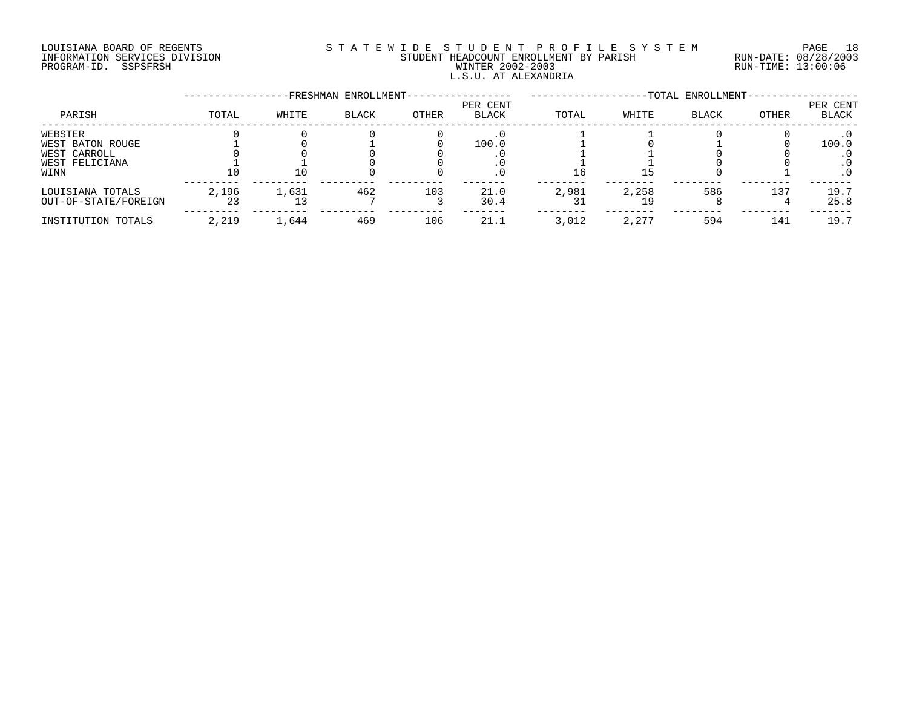# LOUISIANA BOARD OF REGENTS S T A T E W I D E S T U D E N T P R O F I L E S Y S T E M PAGE 18 INFORMATION SERVICES DIVISION STUDENT HEADCOUNT ENROLLMENT BY PARISH RUN-DATE: 08/28/2003 PROGRAM-ID. SSPSFRSH WINTER 2002-2003 RUN-TIME: 13:00:06 L.S.U. AT ALEXANDRIA

|                      |       |       | FRESHMAN ENROLLMENT- |       |                          |       |       | -TOTAL ENROLLMENT- |       |                   |
|----------------------|-------|-------|----------------------|-------|--------------------------|-------|-------|--------------------|-------|-------------------|
| PARISH               | TOTAL | WHITE | <b>BLACK</b>         | OTHER | PER CENT<br><b>BLACK</b> | TOTAL | WHITE | <b>BLACK</b>       | OTHER | PER CENT<br>BLACK |
| WEBSTER              |       |       |                      |       |                          |       |       |                    |       |                   |
| WEST BATON ROUGE     |       |       |                      |       | 100.0                    |       |       |                    |       | 100.0             |
| WEST CARROLL         |       |       |                      |       |                          |       |       |                    |       |                   |
| WEST FELICIANA       |       |       |                      |       |                          |       |       |                    |       |                   |
| WINN                 | 10    | 10    |                      |       | . 0                      | Tр    | ל ב   |                    |       | $\cdot$ 0         |
| LOUISIANA TOTALS     | 2,196 | 1,631 | 462                  | 103   | 21.0                     | 2,981 | 2,258 | 586                | 137   | 19.7              |
| OUT-OF-STATE/FOREIGN | 23    |       |                      |       | 30.4                     |       |       |                    |       | 25.8              |
| INSTITUTION TOTALS   | 2,219 | 1,644 | 469                  | 106   | 21.1                     | 3,012 | 2,277 | 594                | 141   | 19.7              |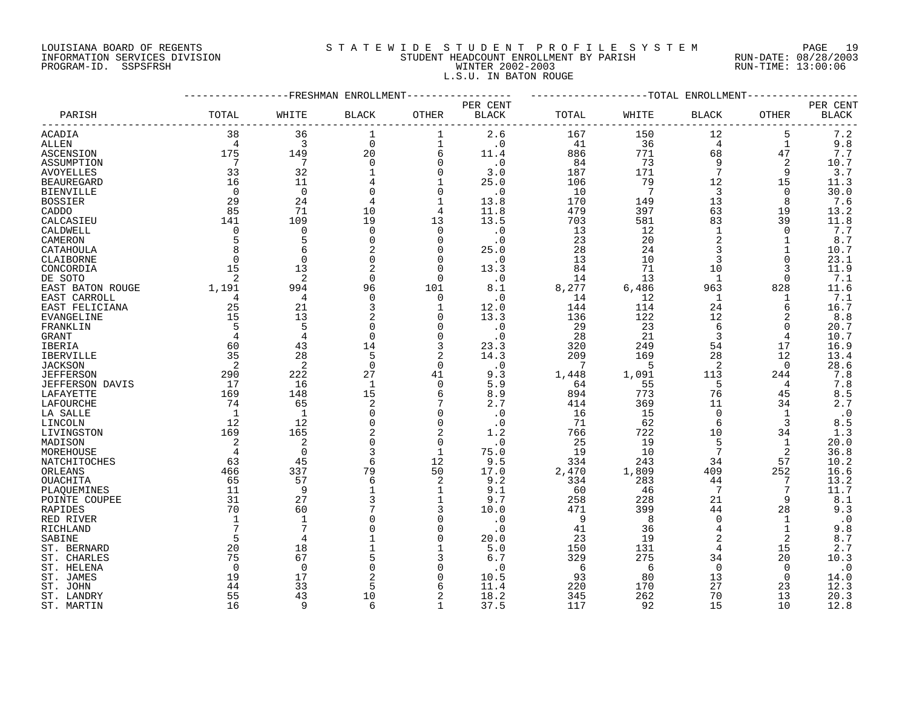#### LOUISIANA BOARD OF REGENTS S T A T E W I D E S T U D E N T P R O F I L E S Y S T E M PAGE 19 INFORMATION SERVICES DIVISION STUDENT HEADCOUNT ENROLLMENT BY PARISH RUN-DATE: 08/28/2003 PROGRAM-ID. SSPSFRSH WINTER 2002-2003 RUN-TIME: 13:00:06 L.S.U. IN BATON ROUGE

|                        |                |                | -FRESHMAN ENROLLMENT |                |              |       |                 | ------------TOTAL ENROLLMENT |                |              |
|------------------------|----------------|----------------|----------------------|----------------|--------------|-------|-----------------|------------------------------|----------------|--------------|
|                        |                |                |                      |                | PER CENT     |       |                 |                              |                | PER CENT     |
| PARISH                 | TOTAL          | WHITE          | BLACK                | OTHER          | <b>BLACK</b> | TOTAL | WHITE           | BLACK                        | OTHER          | <b>BLACK</b> |
| ACADIA                 | 38             | 36             | 1                    | 1              | 2.6          | 167   | 150             | 12                           | 5              | 7.2          |
| ALLEN                  | $\overline{4}$ | 3              | $\mathbf 0$          | $\mathbf 1$    | $\cdot$ 0    | 41    | 36              | $\overline{4}$               | $\mathbf{1}$   | 9.8          |
| ASCENSION              | 175            | 149            | 20                   | 6              | 11.4         | 886   | 771             | 68                           | 47             | 7.7          |
| ASSUMPTION             | 7              | 7              | $\Omega$             | $\mathbf 0$    | $\cdot$ 0    | 84    | 73              | 9                            | 2              | 10.7         |
| <b>AVOYELLES</b>       | 33             | 32             |                      | $\mathbf 0$    | 3.0          | 187   | 171             | 7                            | 9              | 3.7          |
| <b>BEAUREGARD</b>      | 16             | 11             |                      | 1              | 25.0         | 106   | 79              | 12                           | 15             | 11.3         |
| <b>BIENVILLE</b>       | $\Omega$       | $\Omega$       |                      | $\mathbf 0$    | $\cdot$ 0    | 10    | $7\phantom{.0}$ | 3                            | $\Omega$       | 30.0         |
| <b>BOSSIER</b>         | 29             | 24             |                      | 1              | 13.8         | 170   | 149             | 13                           | 8              | 7.6          |
| CADDO                  | 85             | 71             | 10                   | 4              | 11.8         | 479   | 397             | 63                           | 19             | 13.2         |
| CALCASIEU              | 141            | 109            | 19                   | 13             | 13.5         | 703   | 581             | 83                           | 39             | 11.8         |
| CALDWELL               | $\Omega$       | $\mathbf 0$    | $\Omega$             | $\Omega$       | $\cdot$ 0    | 13    | 12              | $\mathbf{1}$                 | $\Omega$       | 7.7          |
| CAMERON                | 5              | 5              | $\mathbf 0$          | $\mathbf 0$    | $\cdot$ 0    | 23    | 20              | 2                            | $\mathbf 1$    | 8.7          |
| CATAHOULA              | 8              | 6              |                      | $\Omega$       | 25.0         | 28    | 24              | 3                            |                | 10.7         |
| CLAIBORNE              | $\mathbf 0$    | $\mathbf 0$    | 0                    | 0              | $\cdot$ 0    | 13    | 10              | 3                            | 0              | 23.1         |
| CONCORDIA              | 15             | 13             | 2                    | $\Omega$       | 13.3         | 84    | 71              | 10                           | 3              | 11.9         |
| DE SOTO                | 2              | $\overline{2}$ | $\Omega$             | $\Omega$       | $\cdot$ 0    | 14    | 13              | 1                            | $\Omega$       | 7.1          |
| EAST BATON ROUGE       | 1,191          | 994            | 96                   | 101            | 8.1          | 8,277 | 6,486           | 963                          | 828            | 11.6         |
| EAST CARROLL           | $\overline{4}$ | 4              | $\Omega$             | $\mathbf 0$    | $\cdot$ 0    | 14    | 12              | 1                            | 1              | 7.1          |
| EAST FELICIANA         | 25             | 21             | 3                    | 1              | 12.0         | 144   | 114             | 24                           | 6              | 16.7         |
| EVANGELINE             | 15             | 13             |                      | $\Omega$       | 13.3         | 136   | 122             | $12$                         | $\overline{2}$ | 8.8          |
| FRANKLIN               | 5              | 5              | $\Omega$             | $\mathbf 0$    | $\cdot$ 0    | 29    | 23              | 6                            | 0              | 20.7         |
|                        | $\overline{4}$ | $\overline{4}$ | $\mathbf 0$          | $\mathbf 0$    | $\cdot$ 0    | 28    | 21              | 3                            | 4              | 10.7         |
| GRANT                  | 60             | 43             | 14                   | 3              | 23.3         | 320   | 249             | 54                           | 17             | 16.9         |
| IBERIA                 | 35             | 28             | 5                    | 2              | 14.3         | 209   | 169             | 28                           | 12             | 13.4         |
| <b>IBERVILLE</b>       |                |                | $\Omega$             | $\Omega$       |              | 7     | 5               |                              |                |              |
| <b>JACKSON</b>         | 2              | $\overline{2}$ |                      |                | $\cdot$ 0    |       |                 | 2                            | $\Omega$       | 28.6         |
| <b>JEFFERSON</b>       | 290            | 222            | 27<br>$\overline{1}$ | 41<br>$\Omega$ | 9.3<br>5.9   | 1,448 | 1,091<br>55     | 113<br>5                     | 244            | 7.8<br>7.8   |
| <b>JEFFERSON DAVIS</b> | 17             | 16             |                      |                |              | 64    |                 |                              | 4              |              |
| LAFAYETTE              | 169            | 148            | 15                   | 6              | 8.9          | 894   | 773             | 76                           | 45             | 8.5          |
| LAFOURCHE              | 74             | 65             | $\overline{a}$       | 7              | 2.7          | 414   | 369             | 11                           | 34             | 2.7          |
| LA SALLE               | 1              | -1             |                      | $\Omega$       | $\cdot$ 0    | 16    | 15              | $\Omega$                     | $\mathbf 1$    | $\cdot$ 0    |
| LINCOLN                | 12             | 12             | $\Omega$             | $\mathbf 0$    | $\cdot$ 0    | 71    | 62              | 6                            | 3              | 8.5          |
| LIVINGSTON             | 169            | 165            | 2                    | 2              | 1.2          | 766   | 722             | 10                           | 34             | 1.3          |
| MADISON                | 2              | $\overline{a}$ | $\Omega$             | $\mathbf 0$    | $\cdot$ 0    | 25    | 19              | 5                            | $\mathbf 1$    | 20.0         |
| MOREHOUSE              | $\overline{4}$ | $\Omega$       | 3                    | $\mathbf{1}$   | 75.0         | 19    | 10              | $7\phantom{.0}$              | 2              | 36.8         |
| NATCHITOCHES           | 63             | 45             | 6                    | 12             | 9.5          | 334   | 243             | 34                           | 57             | 10.2         |
| ORLEANS                | 466            | 337            | 79                   | 50             | 17.0         | 2,470 | 1,809           | 409                          | 252            | 16.6         |
| OUACHITA               | 65             | 57             | 6                    | 2              | 9.2          | 334   | 283             | 44                           | 7              | 13.2         |
| PLAQUEMINES            | 11             | 9              |                      | 1              | 9.1          | 60    | 46              | 7                            | 7              | 11.7         |
| POINTE COUPEE          | 31             | 27             | 3                    | 1              | 9.7          | 258   | 228             | 21                           | 9              | 8.1          |
| RAPIDES                | 70             | 60             |                      | 3              | 10.0         | 471   | 399             | 44                           | 28             | 9.3          |
| RED RIVER              | 1              | -1             |                      | $\Omega$       | $\cdot$ 0    | 9     | -8              | $\Omega$                     | 1              | $\cdot$ 0    |
| RICHLAND               | 7              | 7              |                      | $\Omega$       | $\cdot$ 0    | 41    | 36              | 4                            | $\mathbf{1}$   | 9.8          |
| SABINE                 | 5              | $\overline{4}$ |                      | $\Omega$       | 20.0         | 23    | 19              | 2                            | 2              | $8.7\,$      |
| ST. BERNARD            | 20             | 18             |                      | 1              | 5.0          | 150   | 131             | 4                            | 15             | 2.7          |
| ST. CHARLES            | 75             | 67             |                      | 3              | 6.7          | 329   | 275             | 34                           | 20             | 10.3         |
| ST. HELENA             | $\Omega$       | $\Omega$       |                      | $\Omega$       | . 0          | 6     | -6              | $\Omega$                     | $\Omega$       | $\cdot$ 0    |
| ST. JAMES              | 19             | 17             | 2                    | $\Omega$       | 10.5         | 93    | 80              | 13                           | 0              | 14.0         |
| ST. JOHN               | 44             | 33             | 5                    | 6              | 11.4         | 220   | 170             | 27                           | 23             | 12.3         |
| ST. LANDRY             | 55             | 43             | 10                   | $\overline{2}$ | 18.2         | 345   | 262             | 70                           | 13             | 20.3         |
| ST. MARTIN             | 16             | q              | $\sqrt{2}$           | 1              | 37.5         | 117   | 92              | 15                           | 10             | 12.8         |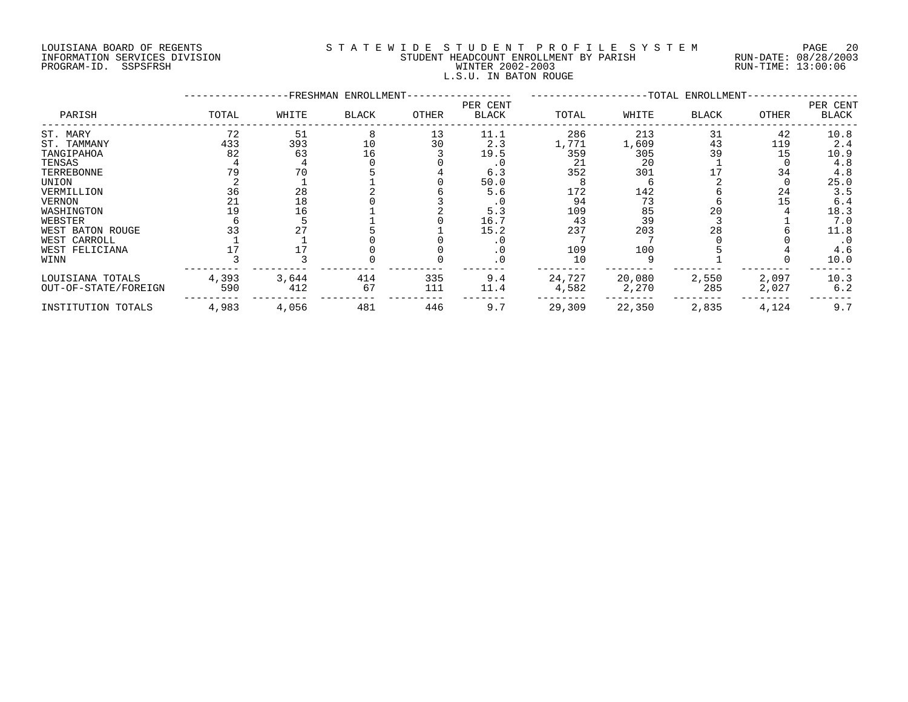## LOUISIANA BOARD OF REGENTS S T A T E W I D E S T U D E N T P R O F I L E S Y S T E M PAGE 20 INFORMATION SERVICES DIVISION STUDENT HEADCOUNT ENROLLMENT BY PARISH RUN-DATE: 08/28/2003 PROGRAM-ID. SSPSFRSH WINTER 2002-2003 RUN-TIME: 13:00:06 L.S.U. IN BATON ROUGE

|                      | FRESHMAN ENROLLMENT-<br>-TOTAL ENROLLMENT- |       |              |              |                          |        |        |              |       |                          |
|----------------------|--------------------------------------------|-------|--------------|--------------|--------------------------|--------|--------|--------------|-------|--------------------------|
| PARISH               | TOTAL                                      | WHITE | <b>BLACK</b> | <b>OTHER</b> | PER CENT<br><b>BLACK</b> | TOTAL  | WHITE  | <b>BLACK</b> | OTHER | PER CENT<br><b>BLACK</b> |
| ST. MARY             | 72                                         | 51    |              | 13           | 11.1                     | 286    | 213    | 31           | 42    | 10.8                     |
| ST. TAMMANY          | 433                                        | 393   | 10           | 30           | 2.3                      | 1,771  | 1,609  | 43           | 119   | 2.4                      |
| TANGIPAHOA           | 82                                         | 63    | 16           |              | 19.5                     | 359    | 305    | 39           | 15    | 10.9                     |
| TENSAS               |                                            |       |              |              |                          | 21     | 20     |              |       | 4.8                      |
| TERREBONNE           |                                            | 70    |              |              | 6.3                      | 352    | 301    |              | 34    | 4.8                      |
| UNION                |                                            |       |              |              | 50.0                     |        |        |              |       | 25.0                     |
| VERMILLION           | 36                                         | 28    |              |              | 5.6                      | 172    | 142    |              | 24    | 3.5                      |
| <b>VERNON</b>        |                                            | 18    |              |              | . 0                      | 94     | 73     |              | 15    | 6.4                      |
| WASHINGTON           |                                            | 16    |              |              | 5.3                      | 109    | 85     | 20           |       | 18.3                     |
| WEBSTER              |                                            |       |              |              | 16.7                     | 43     | 39     |              |       | 7.0                      |
| WEST BATON ROUGE     |                                            |       |              |              | 15.2                     | 237    | 203    | 28           |       | 11.8                     |
| WEST CARROLL         |                                            |       |              |              |                          |        |        |              |       | $\cdot$ 0                |
| WEST FELICIANA       |                                            |       |              |              |                          | 109    | 100    |              |       | 4.6                      |
| WINN                 |                                            |       |              |              |                          | 10     |        |              |       | 10.0                     |
| LOUISIANA TOTALS     | 4,393                                      | 3,644 | 414          | 335          | 9.4                      | 24,727 | 20,080 | 2,550        | 2,097 | 10.3                     |
| OUT-OF-STATE/FOREIGN | 590                                        | 412   | 67           | 111          | 11.4                     | 4,582  | 2,270  | 285          | 2,027 | 6.2                      |
| INSTITUTION TOTALS   | 4,983                                      | 4,056 | 481          | 446          | 9.7                      | 29,309 | 22,350 | 2,835        | 4,124 | 9.7                      |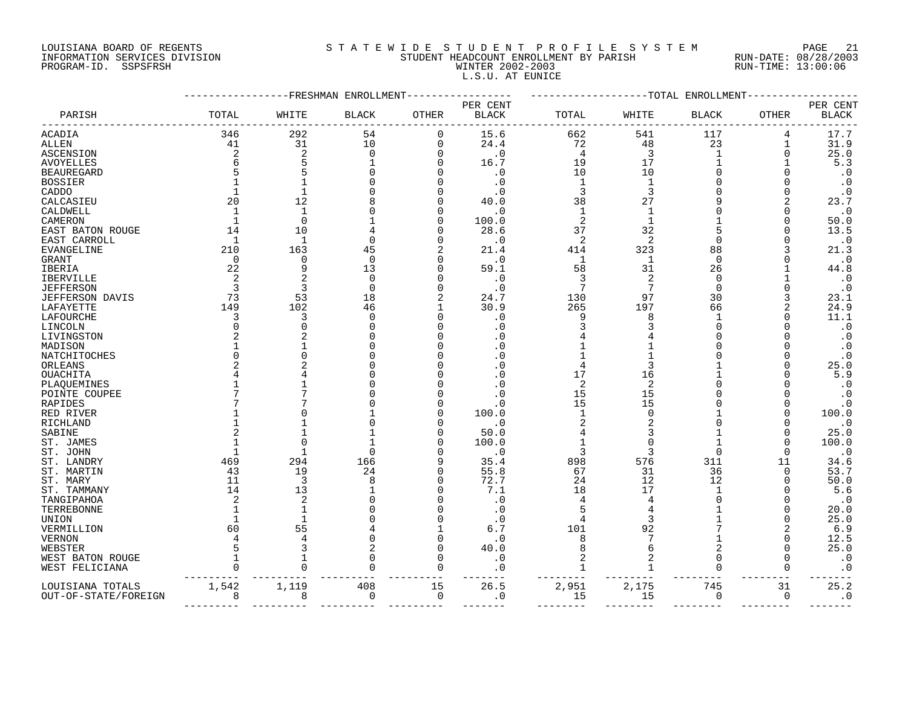# LOUISIANA BOARD OF REGENTS S T A T E W I D E S T U D E N T P R O F I L E S Y S T E M PAGE 21 INFORMATION SERVICES DIVISION STUDENT HEADCOUNT ENROLLMENT BY PARISH RUN-DATE: 08/28/2003 PROGRAM-ID. SSPSFRSH WINTER 2002-2003 RUN-TIME: 13:00:06 L.S.U. AT EUNICE

|                      |              |                | FRESHMAN ENROLLMENT |             |                          |                |                | -TOTAL ENROLLMENT |              |                          |
|----------------------|--------------|----------------|---------------------|-------------|--------------------------|----------------|----------------|-------------------|--------------|--------------------------|
| PARISH               | TOTAL        | WHITE          | <b>BLACK</b>        | OTHER       | PER CENT<br><b>BLACK</b> | TOTAL          | WHITE          | <b>BLACK</b>      | <b>OTHER</b> | PER CENT<br><b>BLACK</b> |
| ACADIA               | 346          | 292            | 54                  | 0           | 15.6                     | 662            | 541            | 117               | 4            | 17.7                     |
| ALLEN                | 41           | 31             | 10                  | 0           | 24.4                     | 72             | 48             | 23                | 1            | 31.9                     |
| ASCENSION            | 2            | 2              | 0                   | $\mathbf 0$ | $\cdot$ 0                | 4              | 3              | 1                 | 0            | 25.0                     |
| AVOYELLES            |              | 5              |                     | 0           | 16.7                     | 19             | 17             |                   |              | 5.3                      |
| <b>BEAUREGARD</b>    |              |                |                     | O           | $\cdot$ 0                | 10             | 10             |                   |              | $\cdot$ 0                |
| <b>BOSSIER</b>       |              | $\mathbf{1}$   |                     |             | . 0                      | 1              | $\mathbf{1}$   |                   |              | $\cdot$ 0                |
| CADDO                |              | $\mathbf{1}$   |                     | O           | . 0                      | 3              | 3              |                   |              | $\cdot$ 0                |
| CALCASIEU            | 20           | 12             |                     | O           | 40.0                     | 38             | 27             |                   |              | 23.7                     |
| CALDWELL             | $\mathbf{1}$ | $\mathbf{1}$   |                     | O           | . 0                      | $\mathbf{1}$   | $\mathbf{1}$   |                   |              | $\cdot$ 0                |
| CAMERON              |              | $\mathbf 0$    |                     | O           | 100.0                    | 2              |                |                   |              | 50.0                     |
| EAST BATON ROUGE     | 14           | 10             |                     | O           | 28.6                     | 37             | 32             | 5                 |              | 13.5                     |
| EAST CARROLL         | 1            | 1              | $\Omega$            | O           | . 0                      | 2              | $\overline{2}$ | $\Omega$          |              | $\cdot$ 0                |
| EVANGELINE           | 210          | 163            | 45                  |             | 21.4                     | 414            | 323            | 88                |              | 21.3                     |
| GRANT                | $\Omega$     | $\Omega$       | $\Omega$            | 0           | . 0                      | 1              | 1              | $\Omega$          |              | $\cdot$ 0                |
| IBERIA               | 22           | 9              | 13                  | O           | 59.1                     | 58             | 31             | 26                |              | 44.8                     |
| <b>IBERVILLE</b>     | 2            | $\overline{2}$ | $\mathbf 0$         | 0           | $\cdot$ 0                | 3              | 2              | $\Omega$          |              | $\cdot$ 0                |
| <b>JEFFERSON</b>     | 3            | 3              | $\Omega$            | O           | . 0                      | 7              | 7              | $\Omega$          |              | $\cdot$ 0                |
| JEFFERSON DAVIS      | 73           | 53             | 18                  | 2           | 24.7                     | 130            | 97             | 30                |              | 23.1                     |
| LAFAYETTE            | 149          | 102            | 46                  |             | 30.9                     | 265            | 197            | 66                |              | 24.9                     |
| LAFOURCHE            |              | 3              | $\Omega$            | O           | $\cdot$ 0                | 9              | 8              |                   |              | 11.1                     |
| LINCOLN              |              | $\Omega$       | ∩                   | U           | $\overline{0}$           |                |                | ∩                 |              | $\boldsymbol{\cdot}$ 0   |
| LIVINGSTON           |              |                |                     |             | . ດ                      |                |                |                   |              | $\cdot$ 0                |
| MADISON              |              | $\mathbf{1}$   |                     |             | . 0                      |                |                |                   |              | $\cdot$ 0                |
| NATCHITOCHES         |              | U              |                     | O           | $\Omega$                 |                |                |                   |              | $\cdot$ 0                |
| ORLEANS              |              |                |                     |             | . 0                      | 4              |                |                   |              | 25.0                     |
| OUACHITA             |              |                |                     |             | . 0                      | 17             | 16             |                   |              | 5.9                      |
| PLAQUEMINES          |              |                |                     |             | . ດ                      | 2              | 2              |                   |              | $\cdot$ 0                |
| POINTE COUPEE        |              |                |                     |             | . 0                      | 15             | 15             |                   |              | $\cdot$ 0                |
| RAPIDES              |              |                |                     | O           | . 0                      | 15             | 15             |                   |              | $\cdot$ 0                |
| RED RIVER            |              | $\Omega$       |                     | O           | 100.0                    |                |                |                   |              | 100.0                    |
| RICHLAND             |              | 1              |                     | 0           | . 0                      | 2              |                |                   |              | $\cdot$ 0                |
| SABINE               |              |                |                     | O           | 50.0                     | 4              |                |                   |              | 25.0                     |
| ST. JAMES            |              | $\mathbf 0$    |                     | 0           | 100.0                    | 1              | O              |                   |              | 100.0                    |
| ST. JOHN             |              | $\mathbf{1}$   | $\Omega$            | O           | $\cdot$ 0                | 3              | 3              | $\Omega$          | $\Omega$     | $\cdot$ 0                |
| ST. LANDRY           | 469          | 294            | 166                 | 9           | 35.4                     | 898            | 576            | 311               | 11           | 34.6                     |
| ST. MARTIN           | 43           | 19             | 24                  | 0           | 55.8                     | 67             | 31             | 36                | $\Omega$     | 53.7                     |
| ST. MARY             | 11           | 3              | 8                   | O           | 72.7                     | 24             | 12             | 12                |              | 50.0                     |
| ST. TAMMANY          | 14           | 13             |                     | 0           | 7.1                      | 18             | 17             | 1                 |              | 5.6                      |
| TANGIPAHOA           |              | 2              |                     | O           | . 0                      | $\overline{4}$ |                | ∩                 |              | $\cdot$ 0                |
| TERREBONNE           |              | $\mathbf{1}$   |                     |             | . 0                      |                |                |                   |              | 20.0                     |
| UNION                |              | $\mathbf 1$    |                     | O           | . 0                      | 4              | 3              |                   |              | 25.0                     |
| VERMILLION           | 60           | 55             |                     |             | 6.7                      | 101            | 92             |                   |              | 6.9                      |
| VERNON               |              | 4              |                     | 0           | . 0                      | 8              |                |                   | O            | 12.5                     |
| WEBSTER              |              | 3              |                     | 0           | 40.0                     | 8              | 6              | 2                 | O            | 25.0                     |
| WEST BATON ROUGE     |              |                |                     | 0           | $\cdot$ 0                | 2              | 2              | $\Omega$          | O            | $\cdot$ 0                |
| WEST FELICIANA       |              | $\Omega$       |                     | 0           | . 0                      | 1              |                | ∩                 | 0            | $\cdot$ 0                |
| LOUISIANA TOTALS     | 1,542        | 1,119          | 408                 | 15          | 26.5                     | 2,951          | 2,175          | 745               | 31           | 25.2                     |
| OUT-OF-STATE/FOREIGN |              | 8              | 0                   | 0           | . 0                      | 15             | 15             | 0                 | 0            | $\cdot$ 0                |
|                      |              |                |                     |             |                          |                |                |                   |              |                          |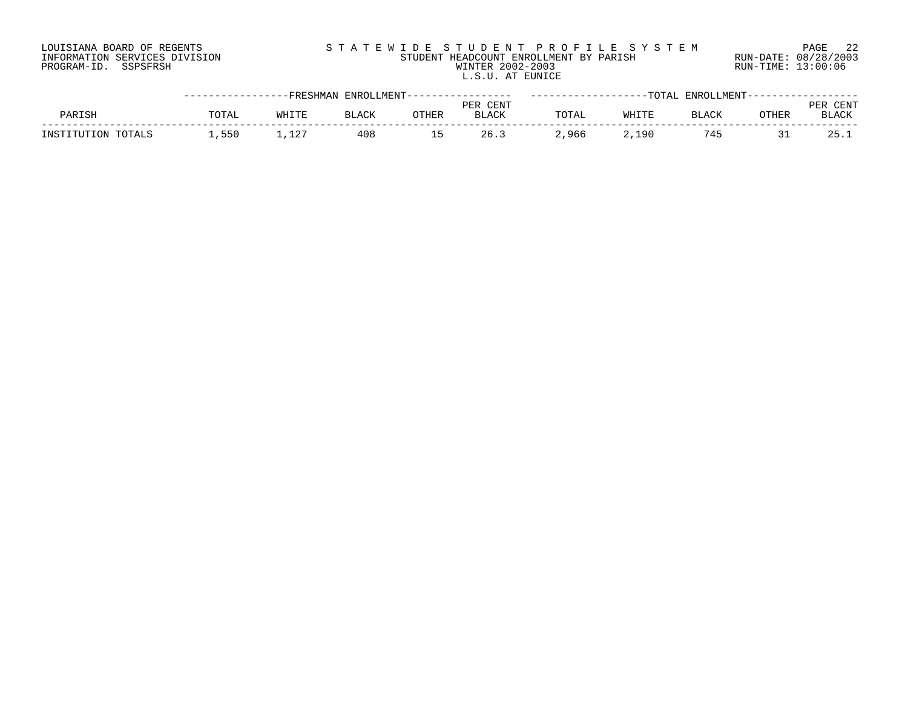# LOUISIANA BOARD OF REGENTS S T A T E W I D E S T U D E N T P R O F I L E S Y S T E M PAGE 22 INFORMATION SERVICES DIVISION STUDENT HEADCOUNT ENROLLMENT BY PARISH RUN-DATE: 08/28/2003 PROGRAM-ID. SSPSFRSH WINTER 2002-2003 RUN-TIME: 13:00:06 L.S.U. AT EUNICE

|                    | ----------------FRESHMAN ENROLLMENT----------------- |       |              |                          |              | ------------------TOTAL ENROLLMENT----------------- |       |              |              |       |
|--------------------|------------------------------------------------------|-------|--------------|--------------------------|--------------|-----------------------------------------------------|-------|--------------|--------------|-------|
|                    |                                                      |       |              |                          | PER CENT     |                                                     |       |              |              | CENT  |
| PARISH             | TOTAL                                                | WHITE | <b>BLACK</b> | <b>OTHER</b>             | <b>BLACK</b> | TOTAL                                               | WHITE | <b>BLACK</b> | <b>OTHER</b> | BLACK |
| INSTITUTION TOTALS | .550                                                 | ⊥.127 | 408          | $\overline{\phantom{a}}$ | 26.3         | 2,966                                               | 2,190 | 745          |              | 25.1  |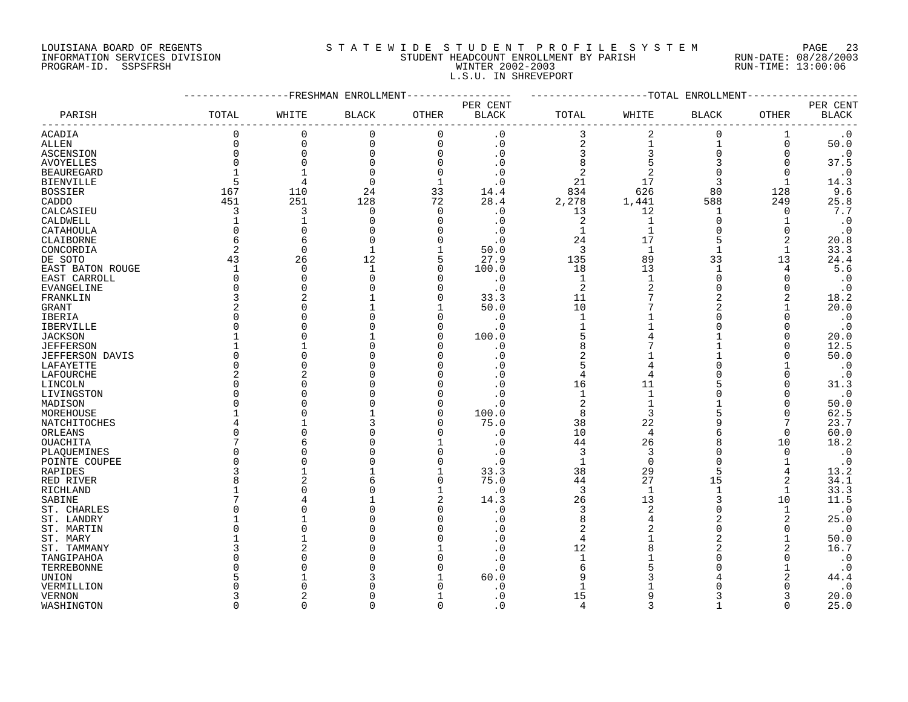#### LOUISIANA BOARD OF REGENTS S T A T E W I D E S T U D E N T P R O F I L E S Y S T E M PAGE 23 INFORMATION SERVICES DIVISION STUDENT HEADCOUNT ENROLLMENT BY PARISH RUN-DATE: 08/28/2003 PROGRAM-ID. SSPSFRSH WINTER 2002-2003 RUN-TIME: 13:00:06 L.S.U. IN SHREVEPORT

|                   |                         | -----------FRESHMAN ENROLLMENT |              | ----------   |              | -------------------TOTAL ENROLLMENT- |                |              |              |                        |
|-------------------|-------------------------|--------------------------------|--------------|--------------|--------------|--------------------------------------|----------------|--------------|--------------|------------------------|
|                   |                         |                                |              |              | PER CENT     |                                      |                |              |              | PER CENT               |
| PARISH            | TOTAL                   | WHITE                          | <b>BLACK</b> | OTHER        | <b>BLACK</b> | TOTAL                                | WHITE          | <b>BLACK</b> | OTHER        | $\operatorname{BLACK}$ |
| <b>ACADIA</b>     | 0                       | 0                              | $\mathbf 0$  | $\mathbf 0$  | $\cdot$ 0    | 3                                    | 2              | $\mathbf 0$  | 1            | $\cdot$ 0              |
| <b>ALLEN</b>      | 0                       | $\mathbf 0$                    | $\mathbf 0$  | $\Omega$     | $\cdot$ 0    | $\overline{\mathbf{c}}$              | 1              | $\mathbf{1}$ | $\mathbf 0$  | 50.0                   |
| ASCENSION         | 0                       | $\mathbf 0$                    | $\mathbf 0$  | $\Omega$     | $\cdot$ 0    | 3                                    | 3              | $\Omega$     | $\mathbf 0$  | $\cdot$ 0              |
| AVOYELLES         | $\Omega$                | $\Omega$                       | $\Omega$     | $\Omega$     | . 0          | 8                                    |                | 3            | 0            | 37.5                   |
| <b>BEAUREGARD</b> |                         |                                | $\Omega$     | $\Omega$     | $\cdot$ 0    | 2                                    | 2              | $\Omega$     | $\Omega$     | $\cdot$ 0              |
| <b>BIENVILLE</b>  | 5                       | $\overline{4}$                 | $\Omega$     | $\mathbf{1}$ | . 0          | 21                                   | 17             | 3            | 1            | 14.3                   |
| <b>BOSSIER</b>    | 167                     | 110                            | 24           | 33           | 14.4         | 834                                  | 626            | 80           | 128          | 9.6                    |
| CADDO             | 451                     | 251                            | 128          | 72           | 28.4         | 2,278                                | 1,441          | 588          | 249          | 25.8                   |
| CALCASIEU         | 3                       | 3                              | 0            | $\Omega$     | $\cdot$ 0    | 13                                   | 12             | -1           | 0            | 7.7                    |
| CALDWELL          |                         | 1                              | $\Omega$     | $\Omega$     | $\cdot$ 0    | $\overline{2}$                       | $\mathbf{1}$   | $\Omega$     |              | $\cdot$ 0              |
| CATAHOULA         | $\Omega$                | $\bigcap$                      | <sup>0</sup> | ∩            | $\cdot$ 0    | 1                                    | $\mathbf 1$    | $\Omega$     | 0            | $\cdot$ 0              |
| CLAIBORNE         | 6                       | 6                              | <sup>0</sup> | n            | $\cdot$ 0    | 24                                   | 17             | 5            | 2            | 20.8                   |
| CONCORDIA         | 2                       | $\overline{0}$                 | 1            |              | 50.0         | 3                                    | 1              | $\mathbf{1}$ | 1            | 33.3                   |
|                   | 43                      | 26                             | 12           | 5            | 27.9         | 135                                  | 89             | 33           | 13           | 24.4                   |
| DE SOTO           |                         |                                |              | n            |              |                                      |                | $\mathbf{1}$ |              |                        |
| EAST BATON ROUGE  | $\mathbf 1$<br>$\Omega$ | $\Omega$<br>$\Omega$           |              | n            | 100.0        | 18                                   | 13             | $\Omega$     | 4            | 5.6                    |
| EAST CARROLL      |                         |                                |              |              | $\cdot$ 0    | $\mathbf{1}$                         | $\mathbf{1}$   |              | ∩            | $\cdot$ 0              |
| EVANGELINE        | 0                       | $\bigcap$                      |              | $\Omega$     | $\cdot$ 0    | $\overline{2}$                       | $\overline{2}$ | $\Omega$     | O            | $\cdot$ 0              |
| FRANKLIN          | 3                       |                                |              | $\Omega$     | 33.3         | 11                                   |                | 2            |              | 18.2                   |
| GRANT             | 2                       |                                |              |              | 50.0         | 10                                   |                | 2            |              | 20.0                   |
| IBERIA            | U                       |                                |              | n            | $\cdot$ 0    | $\mathbf{1}$                         |                |              | ∩            | $\cdot$ 0              |
| <b>IBERVILLE</b>  | U                       |                                |              | $\Omega$     | . 0          | 1                                    |                |              |              | $\cdot$ 0              |
| <b>JACKSON</b>    |                         |                                |              | n            | 100.0        | 5                                    |                |              | O            | 20.0                   |
| <b>JEFFERSON</b>  |                         |                                |              |              | $\cdot$ 0    | 8                                    |                |              | $\Omega$     | 12.5                   |
| JEFFERSON DAVIS   | <sup>0</sup>            |                                |              |              | . 0          | 2                                    |                |              | $\Omega$     | 50.0                   |
| LAFAYETTE         | <sup>0</sup>            |                                |              |              | . 0          | 5                                    |                |              |              | $\cdot$ 0              |
| LAFOURCHE         | 2                       | 2                              |              |              | . 0          | 4                                    | 4              |              | $\Omega$     | $\cdot$ 0              |
| LINCOLN           | $\Omega$                |                                |              |              | . 0          | 16                                   | 11             |              | $\Omega$     | 31.3                   |
| LIVINGSTON        | O                       |                                |              |              | . 0          | $\mathbf{1}$                         |                |              | $\Omega$     | $\cdot$ 0              |
| MADISON           | U                       |                                |              |              | . 0          | $\overline{c}$                       |                |              | <sup>0</sup> | 50.0                   |
| MOREHOUSE         |                         |                                |              | $\Omega$     | 100.0        | 8                                    | 3              |              | $\Omega$     | 62.5                   |
| NATCHITOCHES      |                         |                                |              | ∩            | 75.0         | 38                                   | 22             |              | 7            | 23.7                   |
| ORLEANS           | O                       |                                |              |              | . 0          | 10                                   | 4              | 6            | 0            | 60.0                   |
| <b>OUACHITA</b>   | 7                       |                                |              |              | $\cdot$ 0    | 44                                   | 26             |              | 10           | 18.2                   |
| PLAQUEMINES       | U                       |                                |              | n            | . 0          | 3                                    | 3              |              | $\Omega$     | $\boldsymbol{\cdot}$ 0 |
| POINTE COUPEE     | U                       |                                |              | n            | . 0          | $\mathbf{1}$                         | $\Omega$       | $\Omega$     |              | $\cdot$ 0              |
| RAPIDES           | 3                       |                                |              |              | 33.3         | 38                                   | 29             | 5            | 4            | 13.2                   |
| RED RIVER         | 8                       |                                |              | $\Omega$     | 75.0         | 44                                   | 27             | 15           | 2            | 34.1                   |
| RICHLAND          |                         |                                |              |              | $\cdot$ 0    | 3                                    | $\mathbf{1}$   |              |              | 33.3                   |
| SABINE            |                         |                                |              | 2            | 14.3         | 26                                   | 13             | 3            | 10           | 11.5                   |
| ST. CHARLES       | U                       |                                |              | $\Omega$     | . 0          | 3                                    | $\overline{2}$ | $\Omega$     | $\mathbf{1}$ | $\cdot$ 0              |
| ST. LANDRY        |                         |                                |              |              | . 0          | 8                                    | 4              | 2            | 2            | 25.0                   |
| ST. MARTIN        | U                       |                                |              |              | . 0          | $\overline{2}$                       |                | $\Omega$     | $\Omega$     | $\cdot$ 0              |
| ST. MARY          |                         |                                |              |              | $\cdot$ 0    | $\overline{4}$                       |                |              |              | 50.0                   |
| ST. TAMMANY       | 3                       |                                |              |              | . 0          | 12                                   |                |              | 2            | 16.7                   |
|                   |                         |                                |              |              |              |                                      |                |              |              |                        |
| TANGIPAHOA        | O<br>U                  |                                |              |              | . 0          | $\mathbf{1}$                         |                |              | $\Omega$     | $\cdot$ 0              |
| TERREBONNE        |                         |                                |              |              | . 0          | 6                                    |                |              |              | $\cdot$ 0              |
| UNION             |                         |                                |              |              | 60.0         | 9                                    |                |              | 2            | 44.4                   |
| VERMILLION        |                         |                                |              |              | . 0          |                                      |                |              |              | $\cdot$ 0              |
| <b>VERNON</b>     | 3                       |                                |              |              | $\cdot$ 0    | 15                                   |                |              |              | 20.0                   |
| WASHINGTON        | $\cap$                  | $\cap$                         | U            | $\Omega$     | $\Omega$     | $\overline{4}$                       | ς              |              | $\cap$       | 25.0                   |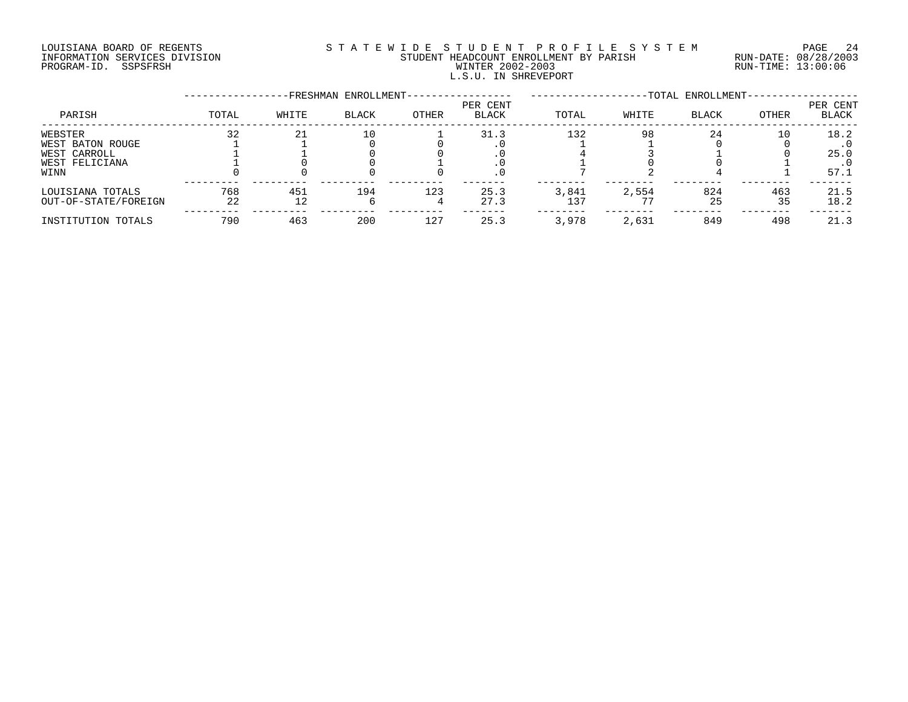# LOUISIANA BOARD OF REGENTS S T A T E W I D E S T U D E N T P R O F I L E S Y S T E M PAGE 24 INFORMATION SERVICES DIVISION STUDENT HEADCOUNT ENROLLMENT BY PARISH RUN-DATE: 08/28/2003 PROGRAM-ID. SSPSFRSH WINTER 2002-2003 RUN-TIME: 13:00:06 L.S.U. IN SHREVEPORT

|                      |       |       | -FRESHMAN ENROLLMENT- |       |                          |       |       | -TOTAL ENROLLMENT- |       |                   |
|----------------------|-------|-------|-----------------------|-------|--------------------------|-------|-------|--------------------|-------|-------------------|
| PARISH               | TOTAL | WHITE | <b>BLACK</b>          | OTHER | PER CENT<br><b>BLACK</b> | TOTAL | WHITE | <b>BLACK</b>       | OTHER | PER CENT<br>BLACK |
| WEBSTER              | 32    | 21    | 10                    |       | 31.3                     | 132   | 98    | 24                 | 10    | 18.2              |
| WEST BATON ROUGE     |       |       |                       |       |                          |       |       |                    |       |                   |
| WEST CARROLL         |       |       |                       |       |                          |       |       |                    |       | 25.0              |
| WEST FELICIANA       |       |       |                       |       |                          |       |       |                    |       |                   |
| WINN                 |       |       |                       |       |                          |       |       |                    |       | 57.1              |
| LOUISIANA TOTALS     | 768   | 451   | 194                   | 123   | 25.3                     | 3,841 | 2,554 | 824                | 463   | 21.5              |
| OUT-OF-STATE/FOREIGN | 22    | 12    |                       |       | 27.3                     | 137   |       | 25                 | 35    | 18.2              |
| INSTITUTION TOTALS   | 790   | 463   | 200                   | 127   | 25.3                     | 3,978 | 2,631 | 849                | 498   | 21.3              |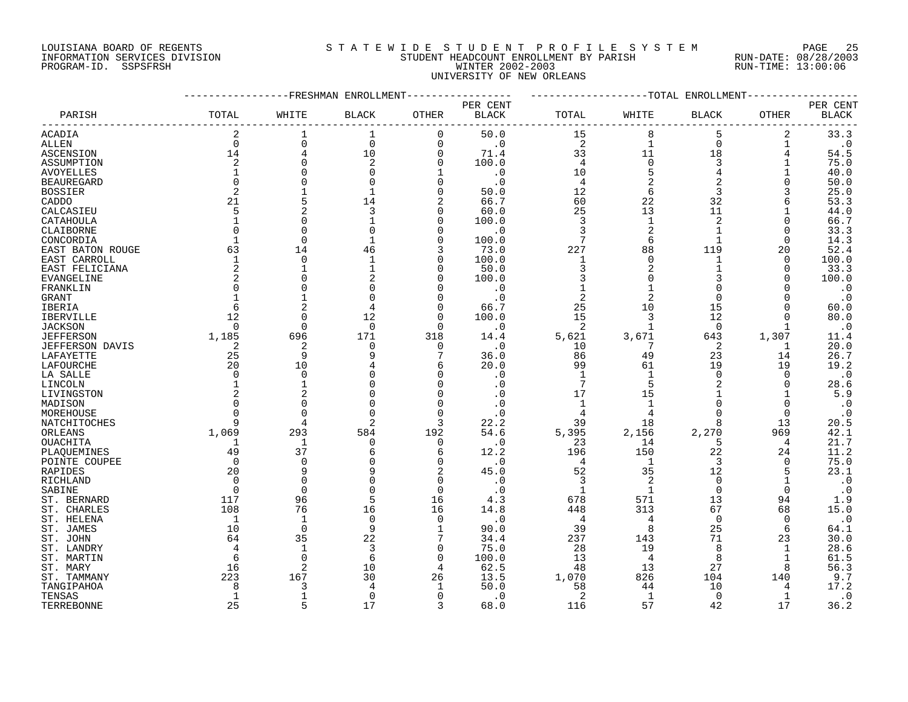#### LOUISIANA BOARD OF REGENTS S T A T E W I D E S T U D E N T P R O F I L E S Y S T E M PAGE 25 INFORMATION SERVICES DIVISION STUDENT HEADCOUNT ENROLLMENT BY PARISH RUN-DATE: 08/28/2003 PROGRAM-ID. SSPSFRSH WINTER 2002-2003 RUN-TIME: 13:00:06 UNIVERSITY OF NEW ORLEANS

|                         |                | FRESHMAN           | ENROLLMENT     |                |                   |                |                | -TOTAL ENROLLMENT |              |                   |
|-------------------------|----------------|--------------------|----------------|----------------|-------------------|----------------|----------------|-------------------|--------------|-------------------|
|                         |                |                    |                |                | PER CENT          |                |                |                   |              | PER CENT          |
| PARISH                  | TOTAL          | WHITE              | <b>BLACK</b>   | <b>OTHER</b>   | <b>BLACK</b>      | TOTAL          | WHITE          | <b>BLACK</b>      | OTHER        | <b>BLACK</b>      |
| ACADIA                  | $\overline{2}$ |                    | 1              | 0              | 50.0              | 15             | 8              | 5                 | 2            | 33.3              |
| <b>ALLEN</b>            | $\Omega$       | $\Omega$           | $\mathbf 0$    | $\mathbf 0$    | $\cdot$ 0         | 2              | $\mathbf{1}$   | 0                 | 1            | $\cdot$ 0         |
| ASCENSION               | 14             | $\overline{4}$     | 10             | $\mathsf 0$    | 71.4              | 33             | 11             | 18                | 4            | 54.5              |
| ASSUMPTION              | 2              | $\Omega$           | 2              | $\mathbf 0$    | 100.0             | 4              | $\Omega$       | 3                 |              | 75.0              |
| <b>AVOYELLES</b>        |                | $\Omega$           | ∩              | $\mathbf{1}$   | $\cdot$ 0         | 10             | 5              | 4                 |              | 40.0              |
| <b>BEAUREGARD</b>       |                |                    |                | $\Omega$       | . 0               | 4              |                | $\overline{2}$    | O            | 50.0              |
| <b>BOSSIER</b>          | 2              |                    |                | 0              | 50.0              | 12             | 6              | 3                 |              | 25.0              |
| CADDO                   | 21             | 5                  | 14             | 2              | 66.7              | 60             | 22             | 32                | 6            | 53.3              |
| CALCASIEU               | 5              | $\overline{2}$     | 3              | 0              | 60.0              | 25             | 13             | 11                |              | 44.0              |
| CATAHOULA               |                | ∩                  |                | 0              | 100.0             | 3              | $\mathbf{1}$   | 2                 | O            | 66.7              |
| CLAIBORNE               |                | $\Omega$           |                | $\Omega$       | . 0               | 3              | $\overline{2}$ | $\mathbf{1}$      | $\Omega$     | 33.3              |
| CONCORDIA               |                | $\Omega$           |                | $\mathbf 0$    | 100.0             | 7              | 6              | 1                 | O            | 14.3              |
| EAST BATON ROUGE        | 63             | 14                 | 46             | 3              | 73.0              | 227            | 88             | 119               | 20           | 52.4              |
| EAST CARROLL            | $\mathbf{1}$   | $\mathbf 0$        |                | 0              | 100.0             | $\mathbf{1}$   | $\Omega$       | $\mathbf{1}$      | $\Omega$     | 100.0             |
| EAST FELICIANA          | $\overline{2}$ | 1                  |                | 0              | 50.0              | 3              |                |                   | O            | 33.3              |
| EVANGELINE              | 2              | $\Omega$           |                | 0              | 100.0             | 3              | $\Omega$       | 3                 | O            | 100.0             |
| FRANKLIN                |                | $\Omega$           |                | 0              | . 0               | $\mathbf 1$    |                | O                 |              | $\cdot$ 0         |
| GRANT                   |                |                    |                | $\Omega$       | $\cdot$ 0         | $\overline{2}$ |                | $\Omega$          |              | $\cdot$ 0         |
| IBERIA                  | 6              | $\overline{c}$     |                | $\mathbf 0$    | 66.7              | 25             | 10             | 15                | O            | 60.0              |
| IBERVILLE               | 12             | $\Omega$           | 12             | $\Omega$       | 100.0             | 15             | 3              | 12                | U            | 80.0              |
| <b>JACKSON</b>          | $\Omega$       | $\Omega$           | $\Omega$       | $\Omega$       | $\cdot$ 0         | 2              | $\mathbf{1}$   | $\Omega$          | $\mathbf{1}$ | $\cdot$ 0         |
| <b>JEFFERSON</b>        | 1,185          | 696                | 171            | 318            | 14.4              | 5,621          | 3,671          | 643               | 1,307        | 11.4              |
| <b>JEFFERSON DAVIS</b>  | 2              | 2                  | $\Omega$       | $\mathbf 0$    | $\cdot$ 0         | 10             | 7              | 2                 | 1            | 20.0              |
| LAFAYETTE               | 25             | 9                  | Q              | 7              | 36.0              | 86             | 49             | 23                | 14           | 26.7              |
| LAFOURCHE               | 20             | 10                 |                | 6              | 20.0              | 99             | 61             | 19                | 19           | 19.2              |
|                         | <sup>0</sup>   | 0                  |                | 0              | . 0               | $\mathbf{1}$   | 1              | 0                 | 0            | $\cdot$ 0         |
| LA SALLE                |                |                    |                | 0              | . 0               | 7              | 5              | 2                 | 0            | 28.6              |
| LINCOLN                 |                | $\overline{c}$     |                | $\Omega$       | . 0               | 17             | 15             |                   |              | 5.9               |
| LIVINGSTON              |                | ∩                  |                | $\Omega$       | . 0               | 1              | $\mathbf{1}$   | $\Omega$          | $\Omega$     | $\cdot$ 0         |
| MADISON<br>MOREHOUSE    |                | $\Omega$           |                | $\Omega$       |                   | 4              | 4              | $\Omega$          | $\Omega$     |                   |
|                         |                |                    |                | 3              | 22.2              | 39             | 18             | 8                 | 13           | $\cdot$ 0<br>20.5 |
| NATCHITOCHES<br>ORLEANS | 1,069          | 293                | 584            | 192            | 54.6              | 5,395          | 2,156          | 2,270             | 969          | 42.1              |
|                         |                |                    |                |                |                   |                |                | 5                 |              | 21.7              |
| OUACHITA                | 1<br>49        | 1<br>37            | 0              | 0<br>6         | $\cdot$ 0<br>12.2 | 23<br>196      | 14<br>150      | 22                | 4<br>24      | 11.2              |
| PLAQUEMINES             | $\Omega$       |                    |                |                |                   |                | 1              | 3                 |              |                   |
| POINTE COUPEE           |                | 0<br>9             |                | 0<br>2         | . 0<br>45.0       | 4<br>52        | 35             | 12                | 0<br>5       | 75.0<br>23.1      |
| RAPIDES<br>RICHLAND     | 20<br>$\Omega$ | $\Omega$           |                | $\mathbf 0$    | $\cdot$ 0         | 3              | $\overline{2}$ | $\Omega$          | $\mathbf{1}$ | $\cdot$ 0         |
|                         | $\cap$         | $\Omega$           |                | $\Omega$       | $\cdot$ 0         |                | $\mathbf{1}$   | $\Omega$          | $\Omega$     |                   |
| SABINE                  | 117            | 96                 | 5              | 16             |                   | 1              |                |                   | 94           | $\cdot$ 0         |
| ST. BERNARD             |                |                    |                |                | 4.3               | 678            | 571            | 13                |              | 1.9               |
| ST. CHARLES             | 108            | 76<br>$\mathbf{1}$ | 16<br>$\Omega$ | 16<br>$\Omega$ | 14.8              | 448            | 313            | 67<br>$\Omega$    | 68           | 15.0              |
| ST. HELENA              | -1             |                    |                |                | $\cdot$ 0         | 4              | 4              |                   | $\Omega$     | $\cdot$ 0         |
| ST. JAMES               | 10             | $\mathbf 0$        | 9              | 1              | 90.0              | 39             | 8              | 25                | 6            | 64.1              |
| ST. JOHN                | 64             | 35                 | 22             |                | 34.4              | 237            | 143            | 71                | 23           | 30.0              |
| ST. LANDRY              | 4              | $\mathbf{1}$       | 3              | 0              | 75.0              | 28             | 19             | 8                 | 1            | 28.6              |
| ST. MARTIN              | 6              | $\Omega$           | 6              | $\mathbf 0$    | 100.0             | 13             | 4              | 8                 | -1           | 61.5              |
| ST. MARY                | 16             | $\overline{c}$     | 10             | 4              | 62.5              | 48             | 13             | 27                | 8            | 56.3              |
| ST. TAMMANY             | 223            | 167                | 30             | 26             | 13.5              | 1,070          | 826            | 104               | 140          | 9.7               |
| TANGIPAHOA              | R              | 3                  |                |                | 50.0              | 58             | 44             | 10                | 4            | 17.2              |
| TENSAS                  | 1              | $\mathbf{1}$       | $\Omega$       | $\Omega$       | . 0               | 2              | 1              | $\Omega$          | 1            | $\cdot$ 0         |
| TERREBONNE              | 25             | 5                  | 17             | 3              | 68.0              | 116            | 57             | 42                | 17           | 36.2              |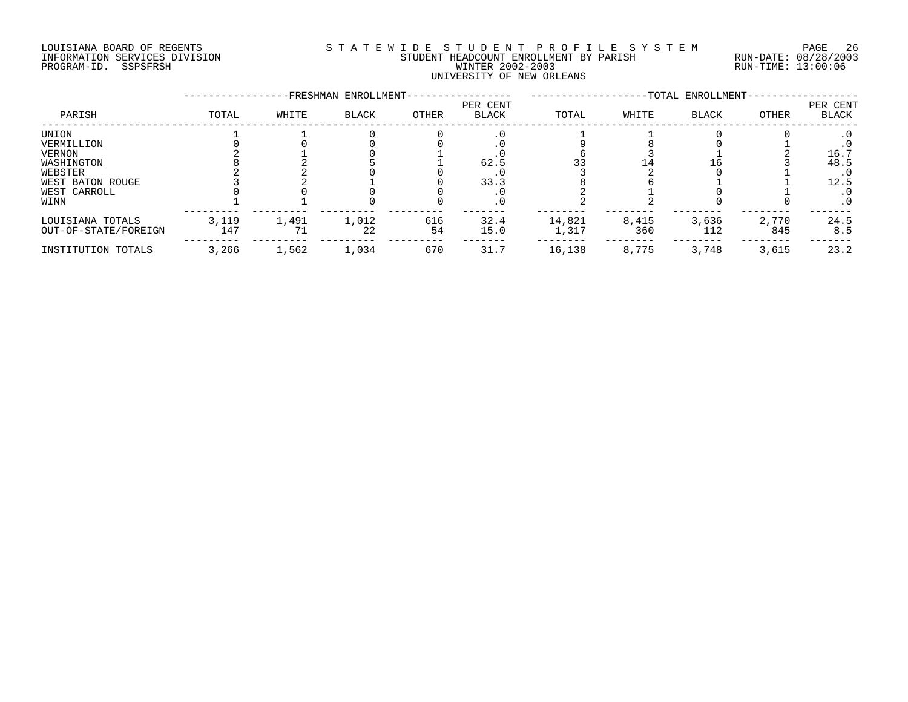# LOUISIANA BOARD OF REGENTS S T A T E W I D E S T U D E N T P R O F I L E S Y S T E M PAGE 26 INFORMATION SERVICES DIVISION STUDENT HEADCOUNT ENROLLMENT BY PARISH RUN-DATE: 08/28/2003 PROGRAM-ID. SSPSFRSH WINTER 2002-2003 RUN-TIME: 13:00:06 UNIVERSITY OF NEW ORLEANS

|                      |       |       | -FRESHMAN ENROLLMENT- |       |                          |        |       | -TOTAL ENROLLMENT- |       |                   |
|----------------------|-------|-------|-----------------------|-------|--------------------------|--------|-------|--------------------|-------|-------------------|
| PARISH               | TOTAL | WHITE | <b>BLACK</b>          | OTHER | PER CENT<br><b>BLACK</b> | TOTAL  | WHITE | <b>BLACK</b>       | OTHER | PER CENT<br>BLACK |
| UNION                |       |       |                       |       |                          |        |       |                    |       |                   |
| VERMILLION           |       |       |                       |       |                          |        |       |                    |       |                   |
| VERNON               |       |       |                       |       |                          |        |       |                    |       | 16.7              |
| WASHINGTON           |       |       |                       |       | 62.5                     |        |       |                    |       | 48.5              |
| WEBSTER              |       |       |                       |       |                          |        |       |                    |       | $\cdot$ 0         |
| WEST BATON ROUGE     |       |       |                       |       | 33.3                     |        |       |                    |       | 12.5              |
| WEST CARROLL         |       |       |                       |       |                          |        |       |                    |       | $\cdot$ 0         |
| WINN                 |       |       |                       |       |                          |        |       |                    |       | $\cdot$ 0         |
| LOUISIANA TOTALS     | 3,119 | 1,491 | 1,012                 | 616   | 32.4                     | 14,821 | 8,415 | 3,636              | 2,770 | 24.5              |
| OUT-OF-STATE/FOREIGN | 147   |       | 22                    | 54    | 15.0                     | 1,317  | 360   | 112                | 845   | 8.5               |
| INSTITUTION TOTALS   | 3,266 | 1,562 | 1,034                 | 670   | 31.7                     | 16,138 | 8,775 | 3,748              | 3,615 | 23.2              |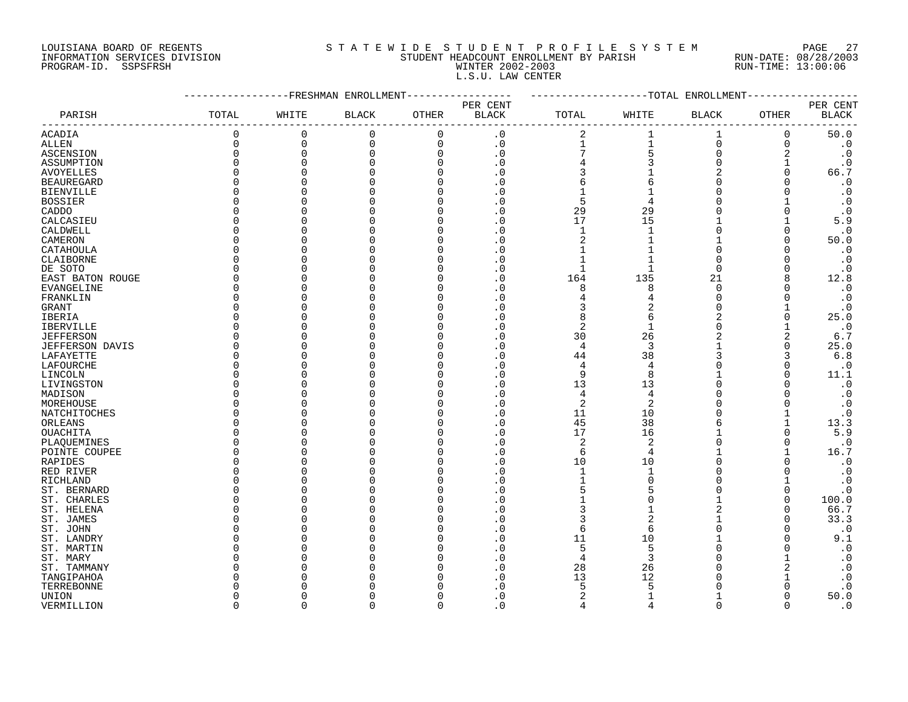### LOUISIANA BOARD OF REGENTS S T A T E W I D E S T U D E N T P R O F I L E S Y S T E M PAGE 27 INFORMATION SERVICES DIVISION STUDENT HEADCOUNT ENROLLMENT BY PARISH RUN-DATE: 08/28/2003 PROGRAM-ID. SSPSFRSH WINTER 2002-2003 RUN-TIME: 13:00:06 L.S.U. LAW CENTER

|                   |          |             | -FRESHMAN ENROLLMENT |             |                            |                |                | --TOTAL ENROLLMENT |          |                                    |
|-------------------|----------|-------------|----------------------|-------------|----------------------------|----------------|----------------|--------------------|----------|------------------------------------|
| PARISH            | TOTAL    | WHITE       | <b>BLACK</b>         | OTHER       | PER CENT<br><b>BLACK</b>   | TOTAL          | WHITE          | <b>BLACK</b>       | OTHER    | PER CENT<br>$\operatorname{BLACK}$ |
| ACADIA            | 0        | $\Omega$    | $\mathbf 0$          | $\mathbf 0$ | $\cdot$ 0                  | 2              |                | 1                  | 0        | 50.0                               |
| <b>ALLEN</b>      | $\Omega$ | $\Omega$    | $\Omega$             | $\mathbf 0$ | $\cdot$ 0                  | $\mathbf{1}$   | $\mathbf 1$    | $\Omega$           | $\Omega$ | $\cdot$ 0                          |
| ASCENSION         | $\Omega$ | $\mathbf 0$ | $\Omega$             | $\mathbf 0$ | $\cdot$ 0                  | 7              | 5              | $\Omega$           | 2        | $\cdot$ 0                          |
| ASSUMPTION        |          | $\Omega$    |                      | $\Omega$    | $\cdot$ 0                  |                | 3              | $\Omega$           |          | $\boldsymbol{\cdot}$ 0             |
| <b>AVOYELLES</b>  |          | $\Omega$    |                      | $\Omega$    | . 0                        | 3              |                | 2                  | $\Omega$ | 66.7                               |
| <b>BEAUREGARD</b> |          | ∩           |                      | O           | . 0                        | 6              | 6              | $\Omega$           |          | $\cdot$ 0                          |
| <b>BIENVILLE</b>  |          | $\Omega$    |                      | O           | . 0                        | $\mathbf{1}$   |                | $\Omega$           |          | $\cdot$ 0                          |
| BOSSIER           |          | $\Omega$    |                      | $\Omega$    | . 0                        | 5              |                | $\Omega$           |          | $\cdot$ 0                          |
| CADDO             |          | $\Omega$    |                      | O           | . 0                        | 29             | 29             | $\Omega$           |          | $\cdot$ 0                          |
| CALCASIEU         |          | ∩           |                      | $\Omega$    | . 0                        | 17             | 15             |                    |          | 5.9                                |
| CALDWELL          |          | ∩           |                      | $\Omega$    | . 0                        | $\mathbf{1}$   |                | ∩                  |          | $\cdot$ 0                          |
| CAMERON           |          | $\Omega$    |                      | 0           | . 0                        |                |                |                    | $\Omega$ | 50.0                               |
|                   |          | $\Omega$    |                      | O           | . 0                        |                |                | $\Omega$           |          | $\cdot$ 0                          |
| CATAHOULA         |          | $\Omega$    |                      | O           | . 0                        |                |                | $\Omega$           |          |                                    |
| CLAIBORNE         |          |             |                      |             |                            | 1              |                | $\Omega$           |          | $\cdot$ 0                          |
| DE SOTO           |          | ∩           |                      | O           | . 0                        |                |                |                    |          | $\cdot$ 0                          |
| EAST BATON ROUGE  |          | ∩           |                      | U           | . 0                        | 164            | 135            | 21                 | 8        | 12.8                               |
| EVANGELINE        |          | ∩           |                      | O           | . 0                        | 8              | 8              | $\Omega$           |          | $\cdot$ 0                          |
| FRANKLIN          |          | $\Omega$    |                      | $\Omega$    | . 0                        |                |                | $\Omega$           |          | $\cdot$ 0                          |
| <b>GRANT</b>      |          | ∩           |                      | U           | . 0                        | 3              | 2              | $\Omega$           |          | $\cdot$ 0                          |
| IBERIA            |          | ∩           |                      | $\Omega$    | $\overline{\phantom{0}}$ . | 8              | 6              | $\overline{2}$     |          | 25.0                               |
| IBERVILLE         |          | $\Omega$    |                      | O           | . 0                        | 2              | 1              | $\Omega$           |          | $\cdot$ 0                          |
| <b>JEFFERSON</b>  |          | $\Omega$    |                      | O           | . 0                        | 30             | 26             | $\overline{2}$     | 2        | 6.7                                |
| JEFFERSON DAVIS   |          | ∩           |                      | U           | . 0                        | $\overline{4}$ | 3              |                    | $\Omega$ | 25.0                               |
| LAFAYETTE         |          | ∩           |                      | O           | . 0                        | 44             | 38             | 3                  | 3        | 6.8                                |
| LAFOURCHE         |          | ∩           |                      | U           | . 0                        | 4              | 4              | ∩                  |          | $\boldsymbol{\cdot}$ 0             |
| LINCOLN           |          | $\Omega$    |                      | O           | . 0                        | 9              | 8              |                    | ∩        | 11.1                               |
| LIVINGSTON        |          | $\Omega$    |                      | $\Omega$    | . 0                        | 13             | 13             | $\Omega$           |          | $\boldsymbol{\cdot}$ 0             |
| MADISON           |          | $\Omega$    |                      | O           | . 0                        | $\overline{4}$ | 4              | ∩                  |          | $\cdot$ 0                          |
| MOREHOUSE         |          | ∩           |                      | O           | . 0                        | $\overline{c}$ | 2              | ∩                  |          | $\cdot$ 0                          |
| NATCHITOCHES      |          | ∩           |                      | U           | . 0                        | 11             | 10             |                    |          | $\cdot$ 0                          |
| ORLEANS           |          | O           |                      | O           | . 0                        | 45             | 38             | 6                  |          | 13.3                               |
| OUACHITA          |          | ∩           |                      | O           | . 0                        | 17             | 16             |                    |          | 5.9                                |
| PLAOUEMINES       |          | ∩           |                      | U           | . 0                        | 2              | 2              | $\Omega$           |          | $\cdot$ 0                          |
| POINTE COUPEE     |          | ∩           |                      | $\Omega$    | . 0                        | 6              | 4              | 1                  |          | 16.7                               |
| RAPIDES           |          | $\Omega$    |                      | $\Omega$    | . 0                        | 10             | 10             | $\Omega$           |          | $\cdot$ 0                          |
| RED RIVER         |          | $\Omega$    |                      | 0           | . 0                        | 1              | -1             | $\Omega$           |          | $\cdot$ 0                          |
| RICHLAND          |          | $\Omega$    |                      | O           | . 0                        |                |                | ∩                  |          | $\cdot$ 0                          |
| ST. BERNARD       |          | ∩           |                      | O           | . 0                        | 5              |                | ∩                  | O        | $\cdot$ 0                          |
| ST. CHARLES       |          | ∩           |                      | U           | . 0                        |                |                | 1                  | ∩        | 100.0                              |
| ST. HELENA        |          | ∩           |                      | O           | $\cdot$ 0                  | 3              |                |                    | ∩        | 66.7                               |
| ST. JAMES         |          | ∩           |                      | $\Omega$    | . 0                        | 3              | $\overline{c}$ |                    |          | 33.3                               |
| ST. JOHN          |          | ∩           |                      | U           | . 0                        | 6              | 6              | $\Omega$           |          | $\cdot$ 0                          |
| ST. LANDRY        |          |             |                      | $\Omega$    | . 0                        | 11             | 10             |                    |          | 9.1                                |
| ST. MARTIN        |          | O           |                      | O           | . 0                        | 5              | 5              | O                  |          | $\cdot$ 0                          |
| ST. MARY          |          | O           |                      | O           | . 0                        | 4              | 3              | $\Omega$           |          | $\cdot$ 0                          |
| ST. TAMMANY       |          |             |                      | U           | . 0                        | 28             | 26             |                    |          | $\cdot$ 0                          |
| TANGIPAHOA        |          |             |                      |             | . 0                        | 13             | 12             |                    |          | $\cdot$ 0                          |
| TERREBONNE        |          |             |                      |             | $\Omega$                   | 5              |                |                    |          | $\cdot$ 0                          |
| <b>UNION</b>      |          | $\Omega$    |                      | U           | . 0                        | 2              | -1             |                    |          | 50.0                               |
| VERMILLION        | $\cap$   | $\cap$      | ∩                    | $\Omega$    | $\Omega$                   | $\overline{4}$ |                | $\Omega$           | $\Omega$ | $\cdot$ 0                          |
|                   |          |             |                      |             |                            |                |                |                    |          |                                    |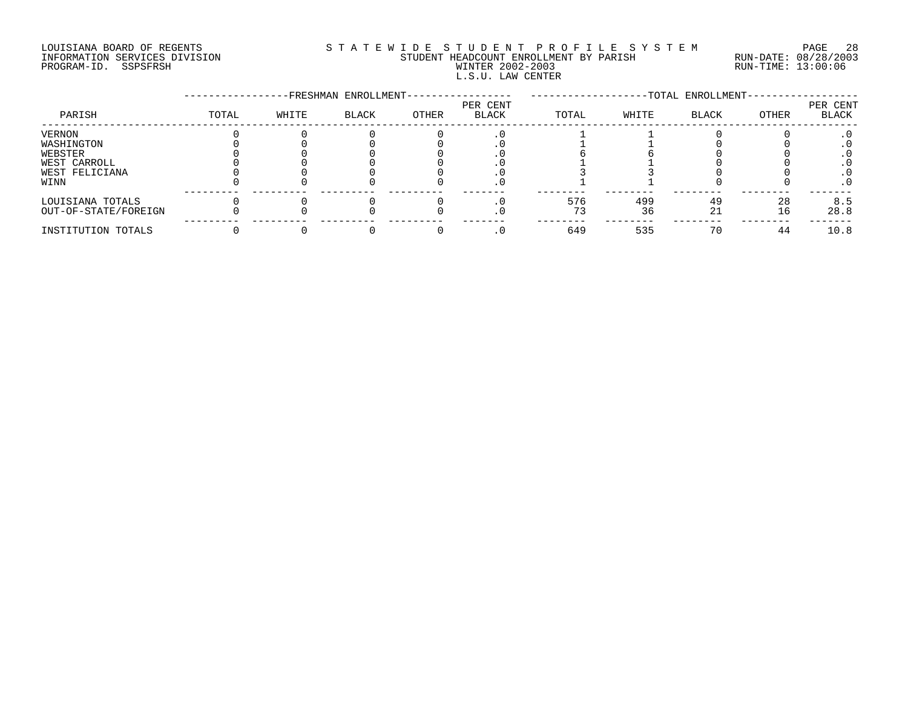# LOUISIANA BOARD OF REGENTS S T A T E W I D E S T U D E N T P R O F I L E S Y S T E M PAGE 28 INFORMATION SERVICES DIVISION STUDENT HEADCOUNT ENROLLMENT BY PARISH RUN-DATE: 08/28/2003 PROGRAM-ID. SSPSFRSH WINTER 2002-2003 RUN-TIME: 13:00:06 L.S.U. LAW CENTER

|                                          |       |       | -FRESHMAN ENROLLMENT- |       |                          |       |           | -TOTAL ENROLLMENT- |          |                   |
|------------------------------------------|-------|-------|-----------------------|-------|--------------------------|-------|-----------|--------------------|----------|-------------------|
| PARISH                                   | TOTAL | WHITE | <b>BLACK</b>          | OTHER | PER CENT<br><b>BLACK</b> | TOTAL | WHITE     | <b>BLACK</b>       | OTHER    | PER CENT<br>BLACK |
| VERNON<br>WASHINGTON<br>WEBSTER          |       |       |                       |       |                          |       |           |                    |          |                   |
| WEST CARROLL<br>WEST FELICIANA<br>WINN   |       |       |                       |       |                          |       |           |                    |          | . 0               |
| LOUISIANA TOTALS<br>OUT-OF-STATE/FOREIGN |       |       |                       |       |                          | 576   | 499<br>36 | 49<br>21           | 28<br>16 | 8.5<br>28.8       |
| INSTITUTION TOTALS                       |       |       |                       |       |                          | 649   | 535       | 70                 | 44       | 10.8              |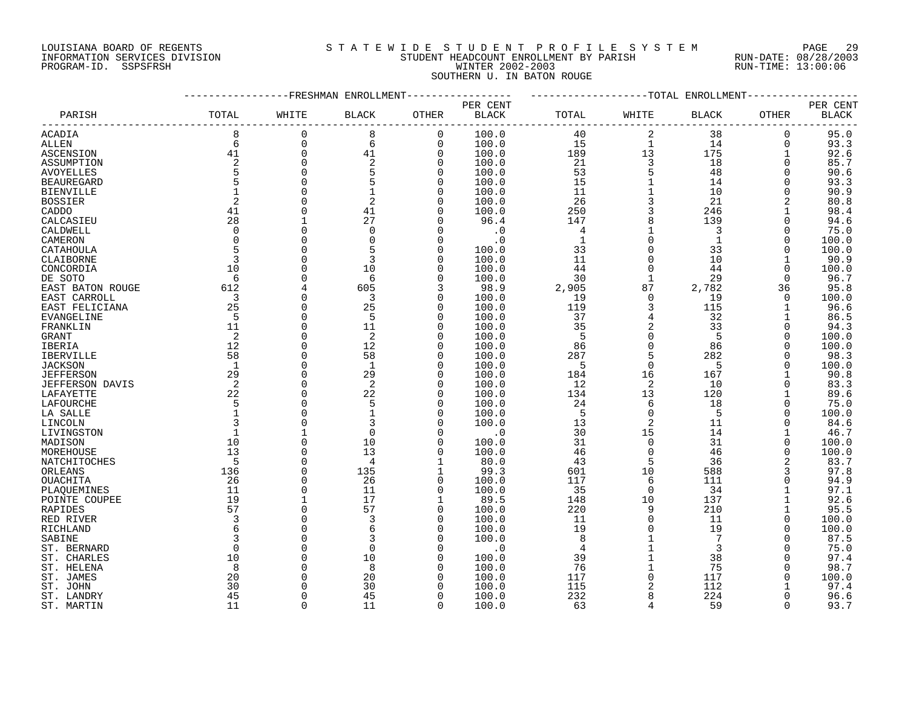### LOUISIANA BOARD OF REGENTS S T A T E W I D E S T U D E N T P R O F I L E S Y S T E M PAGE 29 INFORMATION SERVICES DIVISION STUDENT HEADCOUNT ENROLLMENT BY PARISH RUN-DATE: 08/28/2003 PROGRAM-ID. SSPSFRSH WINTER 2002-2003 RUN-TIME: 13:00:06 SOUTHERN U. IN BATON ROUGE

|                   |                |              | FRESHMAN ENROLLMENT |                      |              |              |                | -TOTAL ENROLLMENT |              |              |
|-------------------|----------------|--------------|---------------------|----------------------|--------------|--------------|----------------|-------------------|--------------|--------------|
|                   |                |              |                     |                      | PER CENT     |              |                |                   |              | PER CENT     |
| PARISH            | TOTAL          | WHITE        | <b>BLACK</b>        | OTHER                | <b>BLACK</b> | TOTAL        | WHITE          | <b>BLACK</b>      | OTHER        | <b>BLACK</b> |
| ACADIA            | 8              | $\mathbf 0$  | 8                   | $\mathbf 0$          | 100.0        | 40           | 2              | 38                | 0            | 95.0         |
| ALLEN             | 6              | $\mathbf 0$  | 6                   | $\mathbf 0$          | 100.0        | 15           | $\mathbf{1}$   | 14                | 0            | 93.3         |
| ASCENSION         | 41             | $\mathbf 0$  | 41                  | $\mathbf 0$          | 100.0        | 189          | 13             | 175               |              | 92.6         |
| ASSUMPTION        | $\overline{2}$ | $\Omega$     | $\overline{2}$      | $\Omega$             | 100.0        | 21           | 3              | 18                | $\Omega$     | 85.7         |
| <b>AVOYELLES</b>  |                | $\Omega$     |                     | $\Omega$             | 100.0        | 53           | 5              | 48                | <sup>n</sup> | 90.6         |
| <b>BEAUREGARD</b> | 5              | $\Omega$     | 5                   | $\Omega$             | 100.0        | 15           | $\mathbf{1}$   | 14                |              | 93.3         |
| <b>BIENVILLE</b>  |                | $\Omega$     |                     | $\Omega$             | 100.0        | 11           | $\mathbf{1}$   | 10                | O            | 90.9         |
| <b>BOSSIER</b>    | $\sqrt{2}$     |              |                     | $\Omega$             | 100.0        | 26           |                | 21                |              | 80.8         |
| CADDO             | 41             | $\Omega$     | 41                  | $\Omega$             | 100.0        | 250          |                | 246               |              | 98.4         |
| CALCASIEU         | 28             |              | 27                  | ∩                    | 96.4         | 147          | 8              | 139               |              | 94.6         |
| CALDWELL          | $\Omega$       | $\Omega$     | $\Omega$            | $\Omega$             | $\cdot$ 0    | 4            | $\mathbf{1}$   | 3                 |              | 75.0         |
| CAMERON           | $\Omega$       | $\Omega$     | $\Omega$            | $\Omega$             | $\cdot$ 0    | $\mathbf{1}$ |                | $\mathbf{1}$      | U            | 100.0        |
|                   | 5              |              |                     | $\Omega$             |              |              | $\Omega$       | 33                |              |              |
| CATAHOULA         | 3              | $\Omega$     | 3                   | $\Omega$             | 100.0        | 33<br>11     | $\Omega$       | 10                |              | 100.0        |
| CLAIBORNE         |                |              |                     |                      | 100.0        |              |                |                   |              | 90.9         |
| CONCORDIA         | 10             |              | 10                  | $\Omega$             | 100.0        | 44           | $\mathbf 0$    | 44                | $\Omega$     | 100.0        |
| DE SOTO           | 6              | $\Omega$     | 6                   | $\Omega$             | 100.0        | 30           | $\mathbf 1$    | 29                | 0            | 96.7         |
| EAST BATON ROUGE  | 612            |              | 605                 | 3                    | 98.9         | 2,905        | 87             | 2,782             | 36           | 95.8         |
| EAST CARROLL      | 3              | $\Omega$     | 3                   | $\Omega$             | 100.0        | 19           | $\Omega$       | 19                | $\Omega$     | 100.0        |
| EAST FELICIANA    | 25             | $\Omega$     | 25                  | $\Omega$             | 100.0        | 119          | 3              | 115               |              | 96.6         |
| <b>EVANGELINE</b> | 5              | $\Omega$     | 5                   | $\Omega$             | 100.0        | 37           |                | 32                |              | 86.5         |
| FRANKLIN          | 11             | $\Omega$     | 11                  | $\Omega$             | 100.0        | 35           |                | 33                | $\Omega$     | 94.3         |
| GRANT             | 2              | $\Omega$     | 2                   | $\Omega$             | 100.0        | 5            | $\Omega$       | 5                 | $\Omega$     | 100.0        |
| IBERIA            | 12             | $\Omega$     | 12                  | $\Omega$             | 100.0        | 86           | $\Omega$       | 86                |              | 100.0        |
| IBERVILLE         | 58             | $\Omega$     | 58                  | $\Omega$             | 100.0        | 287          | 5              | 282               |              | 98.3         |
| <b>JACKSON</b>    | 1              | $\Omega$     | 1                   | $\Omega$             | 100.0        | 5            | $\Omega$       | 5                 |              | 100.0        |
| <b>JEFFERSON</b>  | 29             | $\Omega$     | 29                  | $\Omega$             | 100.0        | 184          | 16             | 167               |              | 90.8         |
| JEFFERSON DAVIS   | $\overline{c}$ | $\Omega$     | $\overline{2}$      | $\Omega$             | 100.0        | 12           | $\overline{2}$ | 10                | $\Omega$     | 83.3         |
| LAFAYETTE         | 22             | $\Omega$     | 22                  | $\Omega$             | 100.0        | 134          | 13             | 120               |              | 89.6         |
| LAFOURCHE         | 5              | $\Omega$     | 5                   | $\Omega$             | 100.0        | 24           | 6              | 18                | $\Omega$     | 75.0         |
| LA SALLE          |                | $\Omega$     |                     | $\Omega$             | 100.0        | 5            | $\Omega$       | 5                 |              | 100.0        |
| LINCOLN           | 3              | $\Omega$     |                     | $\Omega$             | 100.0        | 13           | $\overline{2}$ | 11                | $\Omega$     | 84.6         |
| LIVINGSTON        |                |              |                     | $\Omega$             | $\cdot$ 0    | 30           | 15             | 14                |              | 46.7         |
| MADISON           | 10             |              | 10                  | $\Omega$             | 100.0        | 31           | $\mathbf 0$    | 31                | $\Omega$     | 100.0        |
| MOREHOUSE         | 13             | $\Omega$     | 13                  | $\Omega$             | 100.0        | 46           | $\Omega$       | 46                |              | 100.0        |
| NATCHITOCHES      | 5              | $\Omega$     | $\overline{4}$      |                      | 80.0         | 43           | 5              | 36                |              | 83.7         |
| ORLEANS           | 136            | $\Omega$     | 135                 |                      | 99.3         | 601          | 10             | 588               |              | 97.8         |
| OUACHITA          | 26             | $\Omega$     | 26                  | $\Omega$             | 100.0        | 117          | 6              | 111               |              | 94.9         |
| PLAQUEMINES       | 11             | $\Omega$     | 11                  | $\Omega$             | 100.0        | 35           | $\Omega$       | 34                |              | 97.1         |
| POINTE COUPEE     | 19             | $\mathbf{1}$ | 17                  | $\mathbf{1}$         | 89.5         | 148          | 10             | 137               |              | 92.6         |
| RAPIDES           | 57             | $\Omega$     | 57                  | $\Omega$             | 100.0        | 220          | 9              | 210               |              | 95.5         |
| RED RIVER         | 3              | $\Omega$     | 3                   | $\Omega$             | 100.0        | 11           | $\Omega$       | 11                |              | 100.0        |
| RICHLAND          | 6              | $\Omega$     |                     | $\Omega$             | 100.0        | 19           | $\mathbf 0$    | 19                | O            | 100.0        |
| SABINE            |                |              |                     | ∩                    | 100.0        | 8            |                | 7                 |              | 87.5         |
| ST. BERNARD       | $\Omega$       | $\Omega$     |                     | $\Omega$             | $\cdot$ 0    | 4            | $\mathbf{1}$   | 3                 |              | 75.0         |
|                   |                |              |                     |                      |              |              | $\mathbf{1}$   | 38                |              |              |
| ST. CHARLES       | 10<br>8        |              | 10<br>$\mathsf{R}$  | $\Omega$<br>$\Omega$ | 100.0        | 39           |                | 75                |              | 97.4         |
| ST. HELENA        |                |              |                     | $\Omega$             | 100.0        | 76           | $\Omega$       |                   |              | 98.7         |
| ST. JAMES         | 20             |              | 20                  |                      | 100.0        | 117          |                | 117               |              | 100.0        |
| ST. JOHN          | 30             |              | 30                  |                      | 100.0        | 115          |                | 112               |              | 97.4         |
| ST. LANDRY        | 45             | $\cap$       | 45                  | $\Omega$             | 100.0        | 232          |                | 224               | ∩            | 96.6         |
| ST. MARTIN        | 11             | $\Omega$     | 11                  | $\cap$               | 100.0        | 63           |                | 59                | $\cap$       | 93.7         |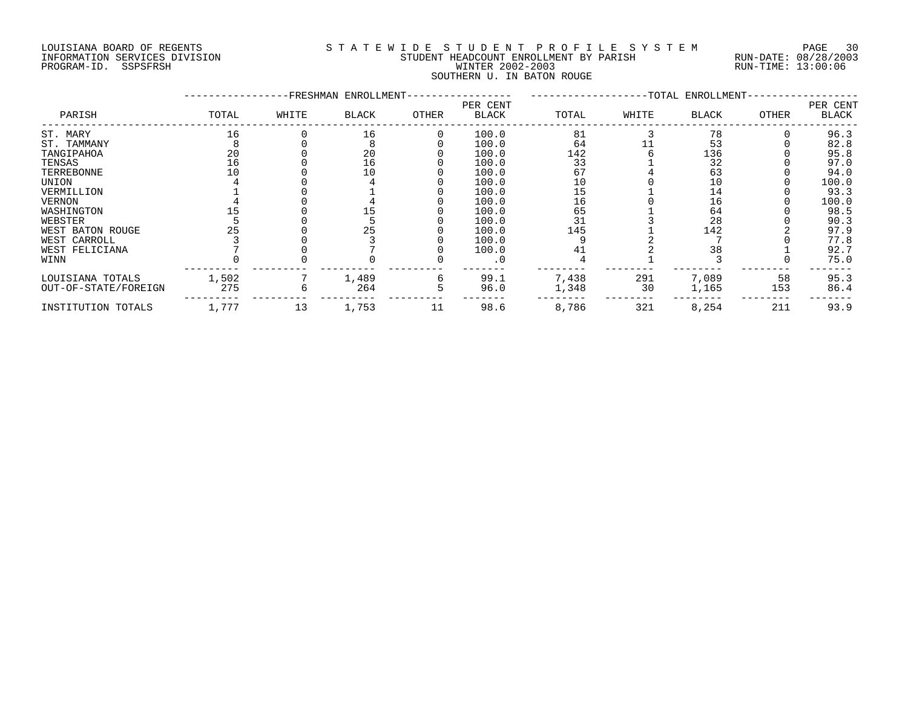## LOUISIANA BOARD OF REGENTS S T A T E W I D E S T U D E N T P R O F I L E S Y S T E M PAGE 30 INFORMATION SERVICES DIVISION STUDENT HEADCOUNT ENROLLMENT BY PARISH RUN-DATE: 08/28/2003 PROGRAM-ID. SSPSFRSH WINTER 2002-2003 RUN-TIME: 13:00:06 SOUTHERN U. IN BATON ROUGE

|                      |       |       | -FRESHMAN ENROLLMENT- |       |                          |       |       | -TOTAL ENROLLMENT- |       |                   |
|----------------------|-------|-------|-----------------------|-------|--------------------------|-------|-------|--------------------|-------|-------------------|
| PARISH               | TOTAL | WHITE | <b>BLACK</b>          | OTHER | PER CENT<br><b>BLACK</b> | TOTAL | WHITE | BLACK              | OTHER | PER CENT<br>BLACK |
| ST. MARY             | 16    |       | 16                    |       | 100.0                    | 81    |       | 78                 |       | 96.3              |
| ST. TAMMANY          |       |       |                       |       | 100.0                    | 64    |       | 53                 |       | 82.8              |
| TANGIPAHOA           | 20    |       | 20                    |       | 100.0                    | 142   |       | 136                |       | 95.8              |
| TENSAS               | 16    |       | 16                    |       | 100.0                    | 33    |       | 32                 |       | 97.0              |
| TERREBONNE           |       |       | 10                    |       | 100.0                    | 67    |       | 63                 |       | 94.0              |
| UNION                |       |       |                       |       | 100.0                    | 10    |       | 10                 |       | 100.0             |
| VERMILLION           |       |       |                       |       | 100.0                    |       |       | 14                 |       | 93.3              |
| <b>VERNON</b>        |       |       |                       |       | 100.0                    | 16    |       | 16                 |       | 100.0             |
| WASHINGTON           |       |       |                       |       | 100.0                    | 65    |       | 64                 |       | 98.5              |
| WEBSTER              |       |       |                       |       | 100.0                    | 31    |       | 28                 |       | 90.3              |
| WEST BATON ROUGE     |       |       |                       |       | 100.0                    | 145   |       | 142                |       | 97.9              |
| WEST CARROLL         |       |       |                       |       | 100.0                    |       |       |                    |       | 77.8              |
| WEST FELICIANA       |       |       |                       |       | 100.0                    | 41    |       | 38                 |       | 92.7              |
| WINN                 |       |       |                       |       |                          |       |       |                    |       | 75.0              |
| LOUISIANA TOTALS     | 1,502 |       | 1,489                 |       | 99.1                     | 7,438 | 291   | 7,089              | 58    | 95.3              |
| OUT-OF-STATE/FOREIGN | 275   |       | 264                   |       | 96.0                     | 1,348 | 30    | 1,165              | 153   | 86.4              |
| INSTITUTION TOTALS   | 1,777 | 13    | 1,753                 | 11    | 98.6                     | 8,786 | 321   | 8,254              | 211   | 93.9              |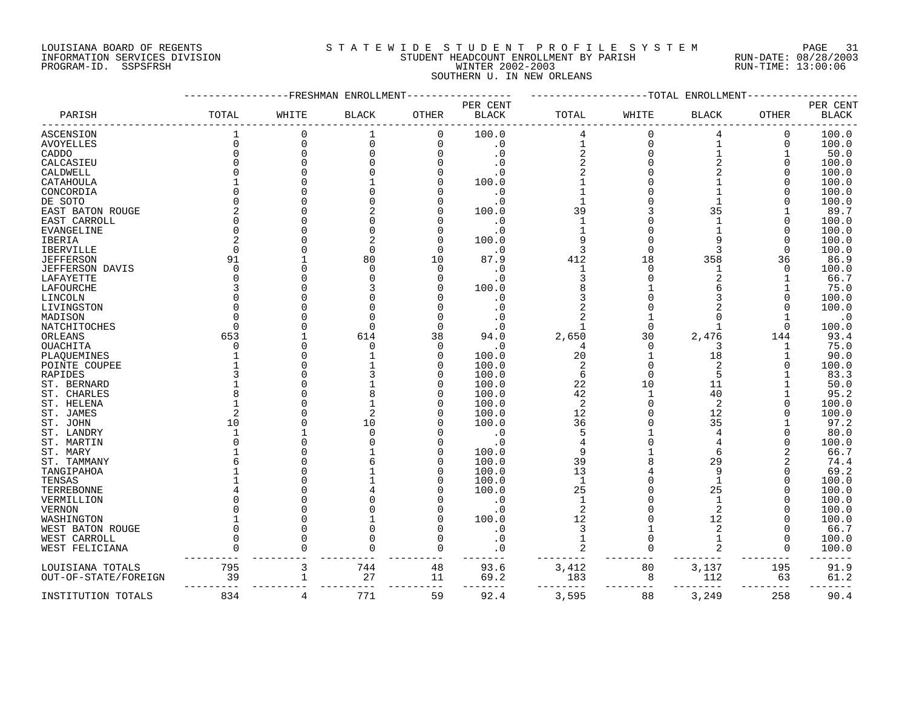### LOUISIANA BOARD OF REGENTS SOURCLEARIE S T A T E W I D E S T U D E N T P R O F I L E S Y S T E M PAGE 31 INFORMATION SERVICES DIVISION STUDENT HEADCOUNT ENROLLMENT BY PARISH RUN-DATE: 08/28/2003 PROGRAM-ID. SSPSFRSH WINTER 2002-2003 RUN-TIME: 13:00:06 SOUTHERN U. IN NEW ORLEANS

|                        |             | FRESHMAN | ENROLLMEN    |              |                |                | -TOTAL   | ENROLLMENT     |              |              |
|------------------------|-------------|----------|--------------|--------------|----------------|----------------|----------|----------------|--------------|--------------|
|                        |             |          |              |              | PER CENT       |                |          |                |              | PER CENT     |
| PARISH                 | TOTAL       | WHITE    | <b>BLACK</b> | <b>OTHER</b> | <b>BLACK</b>   | TOTAL          | WHITE    | <b>BLACK</b>   | <b>OTHER</b> | <b>BLACK</b> |
| ASCENSION              | $\mathbf 1$ | 0        | $\mathbf{1}$ | 0            | 100.0          | 4              | $\Omega$ | 4              | 0            | 100.0        |
| <b>AVOYELLES</b>       | $\Omega$    | $\Omega$ | $\Omega$     | $\mathbf 0$  | $\cdot$ 0      | $\mathbf{1}$   | $\Omega$ | $\mathbf{1}$   | 0            | 100.0        |
| CADDO                  |             | 0        |              | O            | $\cdot$ 0      | 2              |          |                | $\mathbf{1}$ | 50.0         |
| CALCASIEU              |             | 0        |              |              | . 0            | 2              |          | $\overline{2}$ | U            | 100.0        |
| CALDWELL               |             |          |              |              | . 0            |                |          | 2              |              | 100.0        |
| CATAHOULA              |             |          |              |              | 100.0          |                |          |                |              | 100.0        |
| CONCORDIA              |             |          |              |              | . 0            |                |          |                |              | 100.0        |
| DE SOTO                |             |          |              | Ω            | $\overline{0}$ |                |          |                |              | 100.0        |
| EAST BATON ROUGE       |             | U        |              | N            | 100.0          | 39             |          | 35             |              | 89.7         |
|                        |             |          |              | Ω            |                | 1              |          |                |              |              |
| EAST CARROLL           |             |          |              |              | . 0<br>. 0     |                |          |                | O            | 100.0        |
| EVANGELINE             |             |          |              | O            |                | 9              |          | 9              |              | 100.0        |
| IBERIA                 |             |          |              | O            | 100.0          |                |          |                | O            | 100.0        |
| IBERVILLE              |             |          | O            | O            | . 0            | 3              | O        | 3              | 0            | 100.0        |
| <b>JEFFERSON</b>       | 91          |          | 80           | 10           | 87.9           | 412            | 18       | 358            | 36           | 86.9         |
| <b>JEFFERSON DAVIS</b> |             | U        |              | $\Omega$     | $\cdot$ 0      | $\mathbf{1}$   |          | $\mathbf{1}$   | $\Omega$     | 100.0        |
| LAFAYETTE              |             | U        |              | O            | . 0            | 3              |          | 2              |              | 66.7         |
| LAFOURCHE              |             |          |              |              | 100.0          |                |          | 6              |              | 75.0         |
| LINCOLN                |             |          |              |              | $\cdot$ 0      | 3              |          | 3              |              | 100.0        |
| LIVINGSTON             |             |          |              |              | . 0            |                |          |                |              | 100.0        |
| MADISON                |             |          |              | U            | . 0            | 2              |          | U              |              | $\cdot$ 0    |
| NATCHITOCHES           |             |          | ∩            | O            | . 0            | 1              | $\Omega$ |                | $\Omega$     | 100.0        |
| ORLEANS                | 653         |          | 614          | 38           | 94.0           | 2,650          | 30       | 2,476          | 144          | 93.4         |
| OUACHITA               |             |          |              | $\Omega$     | . 0            | 4              | $\Omega$ | 3              | ı            | 75.0         |
| PLAQUEMINES            |             |          |              | 0            | 100.0          | 20             |          | 18             |              | 90.0         |
| POINTE COUPEE          |             |          |              | O            | 100.0          | 2              | $\Omega$ | $\overline{2}$ | U            | 100.0        |
| RAPIDES                |             | U        |              | N            | 100.0          | 6              | $\Omega$ | 5              |              | 83.3         |
| ST. BERNARD            |             | O        |              | 0            | 100.0          | 22             | 10       | 11             |              | 50.0         |
| ST. CHARLES            |             | U        |              | O            | 100.0          | 42             |          | 40             |              | 95.2         |
| ST. HELENA             |             |          |              | U            | 100.0          | $\overline{2}$ |          | 2              |              | 100.0        |
| ST. JAMES              |             |          |              | 0            | 100.0          | 12             |          | 12             |              | 100.0        |
| ST. JOHN               | 10          |          | 10           | N            | 100.0          | 36             |          | 35             |              | 97.2         |
| ST. LANDRY             |             |          |              | U            | . 0            | 5              |          | 4              |              | 80.0         |
| ST. MARTIN             |             | U        |              | N            | . 0            | 4              |          |                |              | 100.0        |
| ST. MARY               |             |          |              | 0            | 100.0          | 9              |          | 6              |              | 66.7         |
| ST. TAMMANY            |             |          |              | 0            | 100.0          | 39             |          | 29             |              | 74.4         |
| TANGIPAHOA             |             |          |              | 0            | 100.0          | 13             |          | 9              |              | 69.2         |
| TENSAS                 |             |          |              | O            | 100.0          | $\mathbf{1}$   |          | $\mathbf{1}$   |              | 100.0        |
| TERREBONNE             |             | U        |              |              | 100.0          | 25             |          | 25             |              | 100.0        |
| VERMILLION             |             | 0        |              |              | . 0            | 1              |          |                |              | 100.0        |
|                        |             |          |              |              |                |                |          | $\overline{2}$ |              |              |
| VERNON                 |             |          |              | 0<br>O       | . 0<br>100.0   | 2              |          | 12             |              | 100.0        |
| WASHINGTON             |             | U        |              | O            |                | 12             |          |                |              | 100.0        |
| WEST BATON ROUGE       |             |          |              |              | . 0            | 3              |          | 2              | U            | 66.7         |
| WEST CARROLL           |             | U        |              | O            | . 0            | $\mathbf{1}$   | $\Omega$ | 1              | 0            | 100.0        |
| WEST FELICIANA         |             |          |              | O            | . 0            | 2              |          | 2              | O            | 100.0        |
| LOUISIANA TOTALS       | 795         | 3        | 744          | 48           | 93.6           | 3,412          | 80       | 3,137          | 195          | 91.9         |
| OUT-OF-STATE/FOREIGN   | 39          | 1        | 27           | 11           | 69.2           | 183            | 8        | 112            | 63           | 61.2         |
| INSTITUTION TOTALS     | 834         | 4        | 771          | 59           | 92.4           | 3,595          | 88       | 3,249          | 258          | 90.4         |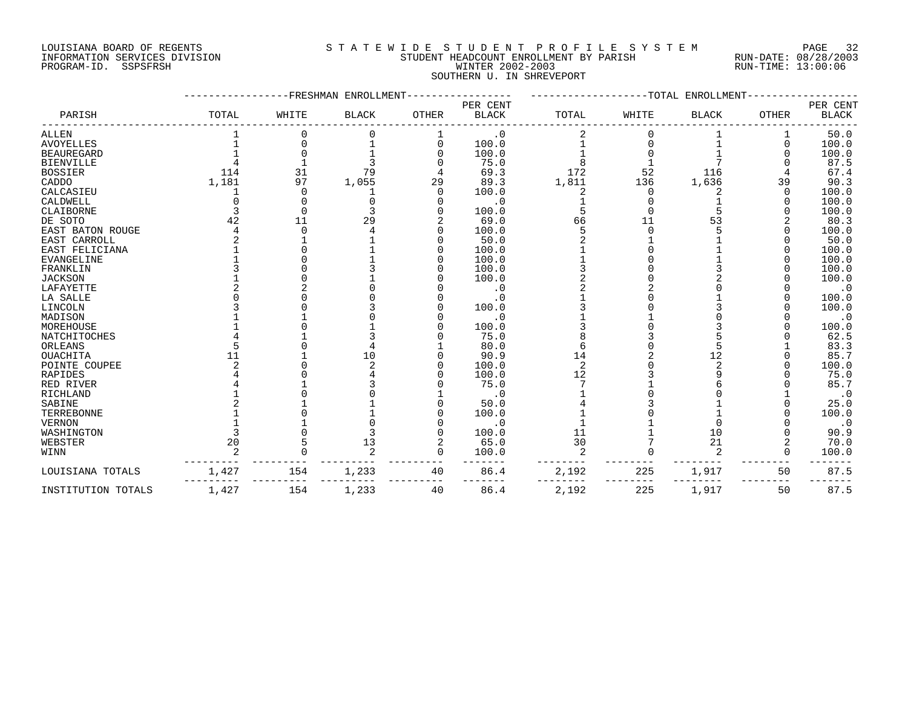## LOUISIANA BOARD OF REGENTS S T A T E W I D E S T U D E N T P R O F I L E S Y S T E M PAGE 32 INFORMATION SERVICES DIVISION STUDENT HEADCOUNT ENROLLMENT BY PARISH RUN-DATE: 08/28/2003 PROGRAM-ID. SSPSFRSH WINTER 2002-2003 RUN-TIME: 13:00:06 SOUTHERN U. IN SHREVEPORT

|                    |       | -FRESHMAN | ENROLLMENT    |              |                          |                | --TOTAL  | ENROLLMENT     |              |                          |
|--------------------|-------|-----------|---------------|--------------|--------------------------|----------------|----------|----------------|--------------|--------------------------|
| PARISH             | TOTAL | WHITE     | <b>BLACK</b>  | <b>OTHER</b> | PER CENT<br><b>BLACK</b> | TOTAL          | WHITE    | <b>BLACK</b>   | <b>OTHER</b> | PER CENT<br><b>BLACK</b> |
| ALLEN              |       |           |               |              | $\cdot$ 0                |                |          |                |              | 50.0                     |
| <b>AVOYELLES</b>   |       |           |               | $\Omega$     | 100.0                    |                |          |                |              | 100.0                    |
| <b>BEAUREGARD</b>  |       |           |               |              | 100.0                    |                |          |                |              | 100.0                    |
| BIENVILLE          |       |           |               |              | 75.0                     |                |          |                |              | 87.5                     |
| <b>BOSSIER</b>     | 114   | 31        | 79            |              | 69.3                     | 172            | 52       | 116            |              | 67.4                     |
| CADDO              | 1,181 | 97        | 1,055         | 29           | 89.3                     | 1,811          | 136      | 1,636          | 39           | 90.3                     |
| CALCASIEU          |       | ∩         |               | 0            | 100.0                    |                | $\Omega$ |                | $\Omega$     | 100.0                    |
| CALDWELL           |       |           |               |              | $\cdot$ 0                |                |          |                |              | 100.0                    |
| CLAIBORNE          |       |           |               |              | 100.0                    |                |          |                |              | 100.0                    |
| DE SOTO            | 42    | 11        |               |              | 69.0                     | 66             | 11       | 53             |              | 80.3                     |
| EAST BATON ROUGE   |       |           |               |              | 100.0                    |                |          |                |              | 100.0                    |
| EAST CARROLL       |       |           |               |              | 50.0                     |                |          |                |              | 50.0                     |
| EAST FELICIANA     |       |           |               |              | 100.0                    |                |          |                |              | 100.0                    |
| EVANGELINE         |       |           |               |              | 100.0                    |                |          |                |              | 100.0                    |
| FRANKLIN           |       |           |               |              | 100.0                    |                |          |                |              | 100.0                    |
| <b>JACKSON</b>     |       |           |               |              | 100.0                    |                |          |                |              | 100.0                    |
| LAFAYETTE          |       |           |               |              | . 0                      |                |          |                |              | $\cdot$ 0                |
| LA SALLE           |       |           |               |              | . 0                      |                |          |                |              | 100.0                    |
| LINCOLN            |       |           |               |              | 100.0                    |                |          |                |              | 100.0                    |
| MADISON            |       |           |               |              | $\cdot$ 0                |                |          |                |              | $\cdot$ 0                |
| MOREHOUSE          |       |           |               |              | 100.0                    |                |          |                |              | 100.0                    |
| NATCHITOCHES       |       |           |               |              | 75.0                     |                |          |                |              | 62.5                     |
| ORLEANS            |       |           |               |              | 80.0                     |                |          |                |              | 83.3                     |
| <b>OUACHITA</b>    |       |           | 10            |              | 90.9                     | 14             |          | 12             |              | 85.7                     |
| POINTE COUPEE      |       |           |               |              | 100.0                    | $\overline{c}$ |          | $\mathfrak{D}$ |              | 100.0                    |
| RAPIDES            |       |           |               |              | 100.0                    | 12             |          |                |              | 75.0                     |
| RED RIVER          |       |           |               |              | 75.0                     |                |          |                |              | 85.7                     |
| RICHLAND           |       |           |               |              | $\cdot$ 0                |                |          |                |              | $\cdot$ 0                |
| SABINE             |       |           |               |              | 50.0                     |                |          |                |              | 25.0                     |
| TERREBONNE         |       |           |               |              | 100.0                    |                |          |                |              | 100.0                    |
| VERNON             |       |           |               |              | $\cdot$ 0                |                |          |                |              | $\cdot$ 0                |
| WASHINGTON         |       |           |               |              | 100.0                    | 11             |          | 10             |              | 90.9                     |
| WEBSTER            | 20    |           | 13            |              | 65.0                     | 30             |          | 21             |              | 70.0                     |
| WINN               |       |           | $\mathcal{D}$ | $\Omega$     | 100.0                    | 2              |          | 2              | ∩            | 100.0                    |
| LOUISIANA TOTALS   | 1,427 | 154       | 1,233         | 40           | 86.4                     | 2,192          | 225      | 1,917          | 50           | 87.5                     |
| INSTITUTION TOTALS | 1,427 | 154       | 1,233         | 40           | 86.4                     | 2,192          | 225      | 1,917          | 50           | 87.5                     |
|                    |       |           |               |              |                          |                |          |                |              |                          |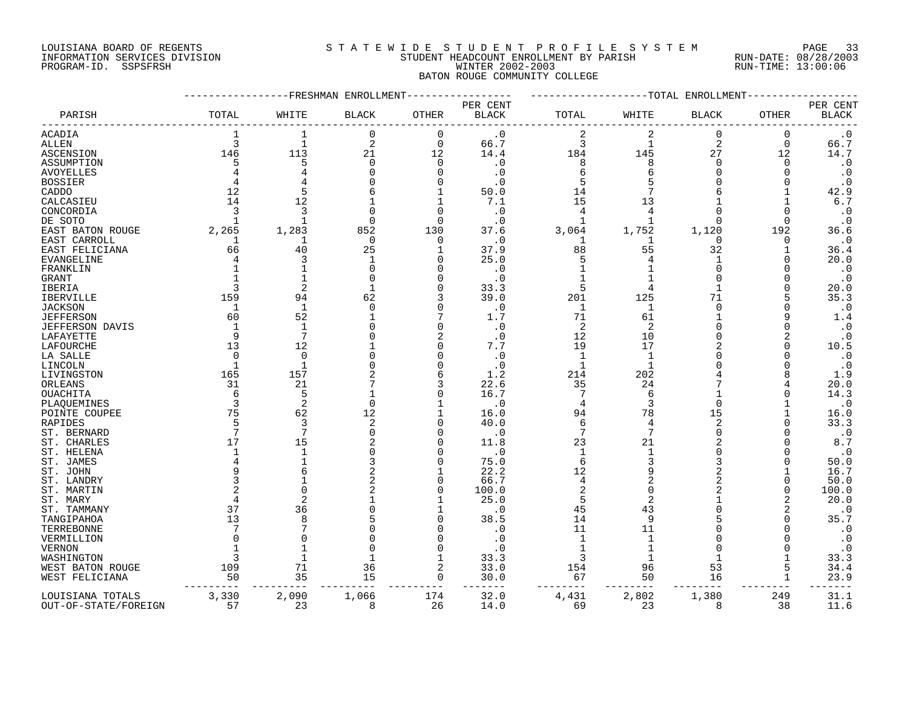#### LOUISIANA BOARD OF REGENTS S T A T E W I D E S T U D E N T P R O F I L E S Y S T E M PAGE 33 INFORMATION SERVICES DIVISION STUDENT HEADCOUNT ENROLLMENT BY PARISH RUN-DATE: 08/28/2003 PROGRAM-ID. SSPSFRSH WINTER 2002-2003 RUN-TIME: 13:00:06 BATON ROUGE COMMUNITY COLLEGE

|                        |             | FRESHMAN       | ENROLLMENT   |             |                          |                | -TOTAL         | ENROLLMENT     |              |                          |
|------------------------|-------------|----------------|--------------|-------------|--------------------------|----------------|----------------|----------------|--------------|--------------------------|
| PARISH                 | TOTAL       | WHITE          | <b>BLACK</b> | OTHER       | PER CENT<br><b>BLACK</b> | TOTAL          | WHITE          | <b>BLACK</b>   | OTHER        | PER CENT<br><b>BLACK</b> |
| <b>ACADIA</b>          | 1           | $\mathbf{1}$   | $\Omega$     | $\mathbf 0$ | . 0                      | 2              | 2              | $\mathbf 0$    | 0            | $\cdot$ 0                |
| <b>ALLEN</b>           | 3           | $\mathbf{1}$   | 2            | $\mathbf 0$ | 66.7                     | 3              | $\mathbf 1$    | $\overline{2}$ | $\mathbf 0$  | 66.7                     |
| ASCENSION              | 146         | 113            | 21           | 12          | 14.4                     | 184            | 145            | 27             | 12           | 14.7                     |
| ASSUMPTION             | 5           | 5              | 0            | 0           | $\cdot$ 0                | 8              | 8              | $\Omega$       | 0            | $\cdot$ 0                |
|                        |             |                | U            |             |                          |                |                |                |              |                          |
| AVOYELLES              |             |                |              | 0           | . 0                      | 6              |                |                | <sup>0</sup> | $\cdot$ 0                |
| <b>BOSSIER</b>         |             |                |              | $\Omega$    | . 0                      |                |                |                |              | $\cdot$ 0                |
| CADDO                  | 12          | 5              |              |             | 50.0                     | 14             |                |                |              | 42.9                     |
| CALCASIEU              | 14          | 12             |              | -1          | 7.1                      | 15             | 13             |                |              | $6.7$                    |
| CONCORDIA              | 3           | 3              | $\Omega$     | $\Omega$    | $\cdot$ 0                | 4              |                |                |              | $\cdot$ 0                |
| DE SOTO                | -1          |                | $\Omega$     | $\Omega$    | . 0                      |                |                |                | $\Omega$     | $\cdot$ 0                |
| EAST BATON ROUGE       | 2,265       | 1,283          | 852          | 130         | 37.6                     | 3,064          | 1,752          | 1,120          | 192          | 36.6                     |
| EAST CARROLL           | 1           | 1              | $\mathbf 0$  | $\Omega$    | . 0                      |                |                | $\cap$         | 0            | $\cdot$ 0                |
| EAST FELICIANA         | 66          | 40             | 25           | $\mathbf 1$ | 37.9                     | 88             | 55             | 32             |              | 36.4                     |
| <b>EVANGELINE</b>      | 4           | 3              | -1           | $\Omega$    | 25.0                     | 5              | 4              |                | O            | 20.0                     |
| FRANKLIN               |             |                | $\Omega$     | $\cap$      | . 0                      |                |                |                |              | $\cdot$ 0                |
|                        |             |                | 0            | $\Omega$    | $\cdot$ 0                |                |                | ∩              |              | $\cdot$ 0                |
| GRANT                  |             |                |              |             |                          |                |                |                |              |                          |
| <b>IBERIA</b>          | 3           | 2              |              | $\Omega$    | 33.3                     | 5              |                |                |              | 20.0                     |
| <b>IBERVILLE</b>       | 159         | 94             | 62           |             | 39.0                     | 201            | 125            | 71             |              | 35.3                     |
| <b>JACKSON</b>         | 1           | 1              | $\Omega$     | $\Omega$    | . 0                      | 1              | -1             | $\Omega$       |              | $\cdot$ 0                |
| <b>JEFFERSON</b>       | 60          | 52             |              | 7           | 1.7                      | 71             | 61             |                | q            | 1.4                      |
| <b>JEFFERSON DAVIS</b> | $\mathbf 1$ | $\mathbf{1}$   | U            | $\Omega$    | $\cdot$ 0                | 2              | 2              |                | U            | $\cdot$ 0                |
| LAFAYETTE              | 9           | 7              | N            | 2           | . 0                      | 12             | 10             |                | 2            | $\cdot$ 0                |
| LAFOURCHE              | 13          | 12             |              | $\Omega$    | 7.7                      | 19             | 17             |                | U            | 10.5                     |
| LA SALLE               | $\Omega$    | $\Omega$       |              | $\Omega$    | . 0                      | $\mathbf{1}$   | -1             |                |              | $\boldsymbol{\cdot}$ 0   |
| LINCOLN                | $\mathbf 1$ | $\mathbf{1}$   |              | $\Omega$    | . 0                      | $\mathbf 1$    | -1             |                |              | $\cdot$ 0                |
| LIVINGSTON             | 165         | 157            |              | 6           | 1.2                      | 214            | 202            |                |              | 1.9                      |
| ORLEANS                | 31          | 21             |              | 3           | 22.6                     | 35             | 24             |                |              | 20.0                     |
| <b>OUACHITA</b>        | 6           | 5              |              | $\Omega$    | 16.7                     |                | 6              |                |              | 14.3                     |
|                        | 3           | $\overline{c}$ | $\Omega$     |             |                          | $\overline{4}$ | 3              | $\Omega$       |              | $\cdot$ 0                |
| PLAQUEMINES            |             |                |              |             | $\cdot$ 0                |                |                |                |              |                          |
| POINTE COUPEE          | 75          | 62             | 12           |             | 16.0                     | 94             | 78             | 15             |              | 16.0                     |
| RAPIDES                | 5           | 3              | 2            | $\Omega$    | 40.0                     | 6              | 4              | 2              |              | 33.3                     |
| ST. BERNARD            | 7           | 7              | 0            | $\Omega$    | . 0                      | 7              | 7              | n              |              | $\cdot$ 0                |
| ST. CHARLES            | 17          | 15             |              | $\cap$      | 11.8                     | 23             | 21             |                |              | 8.7                      |
| ST. HELENA             | $\mathbf 1$ | $\mathbf{1}$   | 0            | $\Omega$    | $\cdot$ 0                | 1              |                |                |              | $\cdot$ 0                |
| ST. JAMES              |             |                | 3            | $\Omega$    | 75.0                     | 6              | ζ              |                |              | 50.0                     |
| ST. JOHN               |             |                | 2            |             | 22.2                     | 12             | q              |                |              | 16.7                     |
| ST. LANDRY             |             |                | 2            | $\Omega$    | 66.7                     | $\overline{4}$ | $\overline{2}$ |                |              | 50.0                     |
| ST. MARTIN             |             |                |              | $\Omega$    | 100.0                    | 2              | $\Omega$       |                |              | 100.0                    |
| ST. MARY               | 4           |                |              |             | 25.0                     | 5              | $\overline{2}$ |                | 2            | 20.0                     |
| ST. TAMMANY            | 37          | 36             |              |             | . 0                      | 45             | 43             |                | 2            | $\cdot$ 0                |
| TANGIPAHOA             | 13          |                |              | $\cap$      | 38.5                     | 14             | q              |                | O            | 35.7                     |
|                        | 7           |                |              | $\cap$      |                          | 11             | 11             |                |              | $\cdot$ 0                |
| TERREBONNE             |             |                |              |             | . 0                      |                |                |                |              |                          |
| VERMILLION             | U           |                |              | $\cap$      |                          |                |                |                |              | $\cdot$ 0                |
| <b>VERNON</b>          |             |                | O            | $\Omega$    | . 0                      |                |                |                |              | $\cdot$ 0                |
| WASHINGTON             | 3           |                |              | -1          | 33.3                     | 3              |                |                |              | 33.3                     |
| WEST BATON ROUGE       | 109         | 71             | 36           | 2           | 33.0                     | 154            | 96             | 53             | 5            | 34.4                     |
| WEST FELICIANA         | 50          | 35             | 15           | $\Omega$    | 30.0                     | 67             | 50             | 16             |              | 23.9                     |
| LOUISIANA TOTALS       | 3,330       | 2,090          | 1,066        | 174         | 32.0                     | 4,431          | 2,802          | 1,380          | 249          | 31.1                     |
| OUT-OF-STATE/FOREIGN   | 57          | 23             | 8            | 26          | 14.0                     | 69             | 23             | $\mathsf{R}$   | 38           | 11.6                     |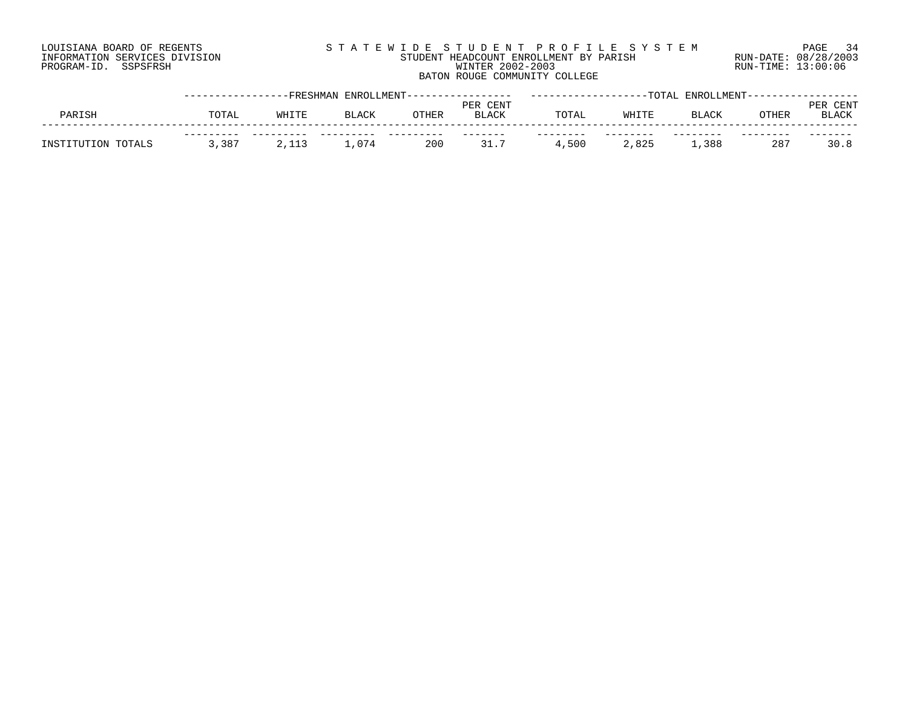# LOUISIANA BOARD OF REGENTS S T A T E W I D E S T U D E N T P R O F I L E S Y S T E M PAGE 34 INFORMATION SERVICES DIVISION STUDENT HEADCOUNT ENROLLMENT BY PARISH RUN-DATE: 08/28/2003 PROGRAM-ID. SSPSFRSH WINTER 2002-2003 RUN-TIME: 13:00:06 BATON ROUGE COMMUNITY COLLEGE

|                    |       | -FRESHMAN         |              | ENROLLMENT------- |                          |       |       | -TOTAL ENROLLMENT--- |       |                      |
|--------------------|-------|-------------------|--------------|-------------------|--------------------------|-------|-------|----------------------|-------|----------------------|
| PARISH             | TOTAL | WHITE             | <b>BLACK</b> | OTHER             | PER CENT<br><b>BLACK</b> | TOTAI | WHITE | <b>BLACK</b>         | OTHER | CENT<br><b>BLACK</b> |
| INSTITUTION TOTALS | 3,387 | $\sim$<br>ب⊥⊥ ب ∆ | ⊥,074        | 200               | 317                      | ,500  | 2,825 | ,388                 | -287  | 30.8                 |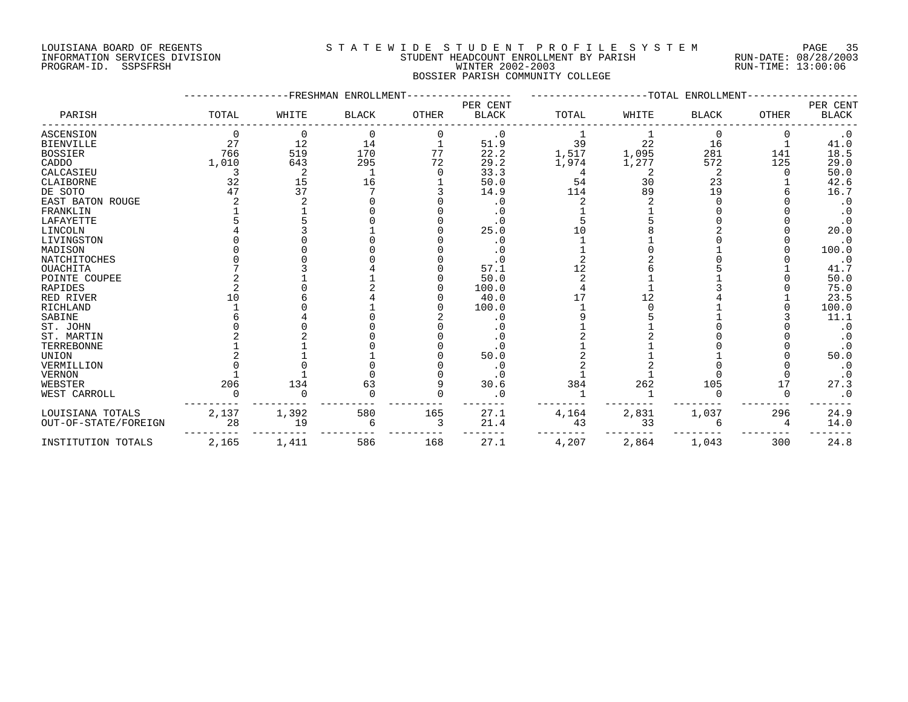PROGRAM-ID. SSPSFRSH

# LOUISIANA BOARD OF REGENTS SOURCLAST A T E W I D E S T U D E N T P R O F I L E S Y S T E M PAGE 35<br>STUDENT HEADCOUNT ENROLLMENT BY PARISH RUN-DATE: 08/28/2003 INFORMATION SERVICES DIVISION SUNG SERVICES ON STUDENT HEADCOUNT ENROLLMENT BY PARISH SUM-DATE: 08/28/2000<br>PROGRAM-ID. SSPSFRSH SUN-TIME: 13:00:06 BOSSIER PARISH COMMUNITY COLLEGE

|                      |       |       | FRESHMAN ENROLLMENT |       |                          |       |       | -TOTAL ENROLLMENT |              |                          |
|----------------------|-------|-------|---------------------|-------|--------------------------|-------|-------|-------------------|--------------|--------------------------|
| PARISH               | TOTAL | WHITE | <b>BLACK</b>        | OTHER | PER CENT<br><b>BLACK</b> | TOTAL | WHITE | <b>BLACK</b>      | <b>OTHER</b> | PER CENT<br><b>BLACK</b> |
| <b>ASCENSION</b>     |       | 0     | $\mathbf 0$         | 0     | $\cdot$ 0                |       |       | $\Omega$          |              | $\cdot$ 0                |
| <b>BIENVILLE</b>     | 27    | 12    | 14                  |       | 51.9                     | 39    | 22    | 16                |              | 41.0                     |
| <b>BOSSIER</b>       | 766   | 519   | 170                 | 77    | 22.2                     | 1,517 | 1,095 | 281               | 141          | 18.5                     |
| CADDO                | 1,010 | 643   | 295                 | 72    | 29.2                     | 1,974 | 1,277 | 572               | 125          | 29.0                     |
| CALCASIEU            |       |       |                     |       | 33.3                     | 4     |       | 2                 |              | 50.0                     |
| CLAIBORNE            | 32    | 15    | 16                  |       | 50.0                     | 54    | 30    | 23                |              | 42.6                     |
| DE SOTO              | 47    | 37    |                     |       | 14.9                     | 114   | 89    | 19                |              | 16.7                     |
| EAST BATON ROUGE     |       |       |                     |       | . 0                      |       |       |                   |              | $\cdot$ 0                |
| FRANKLIN             |       |       |                     |       | . 0                      |       |       |                   |              |                          |
| LAFAYETTE            |       |       |                     |       | . 0                      |       |       |                   |              | $\cdot$ 0                |
| LINCOLN              |       |       |                     |       | 25.0                     |       |       |                   |              | 20.0                     |
| LIVINGSTON           |       |       |                     |       | . 0                      |       |       |                   |              | $\cdot$ 0                |
| MADISON              |       |       |                     |       | . 0                      |       |       |                   |              | 100.0                    |
| <b>NATCHITOCHES</b>  |       |       |                     |       | . 0                      |       |       |                   |              | $\cdot$ 0                |
| <b>OUACHITA</b>      |       |       |                     |       | 57.1                     | 12    |       |                   |              | 41.7                     |
| POINTE COUPEE        |       |       |                     |       | 50.0                     |       |       |                   |              | 50.0                     |
| <b>RAPIDES</b>       |       |       |                     |       | 100.0                    |       |       |                   |              | 75.0                     |
| RED RIVER            | 1 ∩   |       |                     |       | 40.0                     |       | 12    |                   |              | 23.5                     |
| RICHLAND             |       |       |                     |       | 100.0                    |       |       |                   |              | 100.0                    |
| SABINE               |       |       |                     |       | . 0                      |       |       |                   |              | 11.1                     |
| ST. JOHN             |       |       |                     |       | . 0                      |       |       |                   |              | $\cdot$ 0                |
| ST. MARTIN           |       |       |                     |       | $\cdot$ 0                |       |       |                   |              | $\cdot$ 0                |
| TERREBONNE           |       |       |                     |       | . 0                      |       |       |                   |              | $\cdot$ 0                |
| <b>UNION</b>         |       |       |                     |       | 50.0                     |       |       |                   |              | 50.0                     |
| VERMILLION           |       |       |                     |       | . 0                      |       |       |                   |              | $\cdot$ 0                |
| <b>VERNON</b>        |       |       |                     |       | . 0                      |       |       |                   |              | $\cdot$ 0                |
| WEBSTER              | 206   | 134   | 63                  |       | 30.6                     | 384   | 262   | 105               |              | 27.3                     |
| WEST CARROLL         |       |       |                     |       | . 0                      |       |       |                   |              | $\cdot$ 0                |
| LOUISIANA TOTALS     | 2,137 | 1,392 | 580                 | 165   | 27.1                     | 4,164 | 2,831 | 1,037             | 296          | 24.9                     |
| OUT-OF-STATE/FOREIGN | 28    | 19    | 6                   | 3     | 21.4                     | 43    | 33    | 6                 |              | 14.0                     |
| INSTITUTION TOTALS   | 2,165 | 1,411 | 586                 | 168   | 27.1                     | 4,207 | 2,864 | 1,043             | 300          | 24.8                     |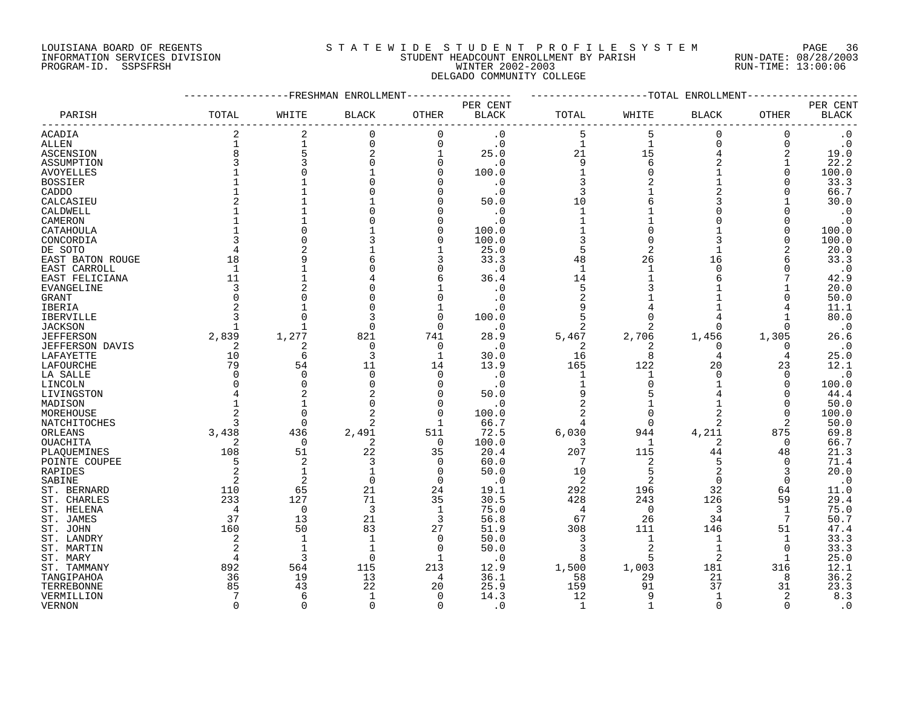### LOUISIANA BOARD OF REGENTS S T A T E W I D E S T U D E N T P R O F I L E S Y S T E M PAGE 36 INFORMATION SERVICES DIVISION STUDENT HEADCOUNT ENROLLMENT BY PARISH RUN-DATE: 08/28/2003 PROGRAM-ID. SSPSFRSH WINTER 2002-2003 RUN-TIME: 13:00:06 DELGADO COMMUNITY COLLEGE

|                        |                | FRESHMAN       | ENROLLMENT   |              |                          |                |                | -TOTAL ENROLLMENT |              |                          |
|------------------------|----------------|----------------|--------------|--------------|--------------------------|----------------|----------------|-------------------|--------------|--------------------------|
| PARISH                 | TOTAL          | WHITE          | <b>BLACK</b> | <b>OTHER</b> | PER CENT<br><b>BLACK</b> | TOTAL          | WHITE          | <b>BLACK</b>      | OTHER        | PER CENT<br><b>BLACK</b> |
|                        | 2              | $\overline{2}$ | $\Omega$     |              |                          |                |                | $\Omega$          |              |                          |
| ACADIA                 |                |                |              | $\mathbf 0$  | $\cdot$ 0                | 5              | 5              |                   | 0            | $\cdot$ 0                |
| <b>ALLEN</b>           |                | $\mathbf{1}$   | $\Omega$     | $\mathbf 0$  | $\cdot$ 0                | $\mathbf{1}$   | $\mathbf{1}$   | $\Omega$          | 0            | $\cdot$ 0                |
| ASCENSION              | 8              | 5              |              | $\mathbf{1}$ | 25.0                     | 21             | 15             | 4                 | 2            | 19.0                     |
| ASSUMPTION             |                | 3              |              | 0            | . 0                      | 9              | 6              | 2                 |              | 22.2                     |
| <b>AVOYELLES</b>       |                |                |              | 0            | 100.0                    | $\mathbf 1$    |                |                   | O            | 100.0                    |
| <b>BOSSIER</b>         |                |                |              | O            | . 0                      | 3              |                | $\mathbf{1}$      |              | 33.3                     |
| CADDO                  |                |                |              | 0            | $\cdot$ 0                | 3              |                | $\overline{a}$    | O            | 66.7                     |
| CALCASIEU              |                |                |              | $\Omega$     | 50.0                     | 10             |                | ζ                 |              | 30.0                     |
| CALDWELL               |                |                |              | O            | . 0                      | $\mathbf{1}$   |                | O                 |              | $\cdot$ 0                |
| CAMERON                |                |                |              | 0            | . 0                      | $\mathbf 1$    |                | O                 | Ω            | $\cdot$ 0                |
| CATAHOULA              |                |                |              | 0            | 100.0                    | $\mathbf 1$    |                |                   | 0            | 100.0                    |
| CONCORDIA              |                |                |              | 0            | 100.0                    | 3              |                | 3                 | O            | 100.0                    |
| DE SOTO                |                |                |              | 1            | 25.0                     | 5              |                |                   |              | 20.0                     |
| EAST BATON ROUGE       | 18             |                |              | 3            | 33.3                     | 48             | 26             | 16                | 6            | 33.3                     |
| EAST CARROLL           | $\mathbf{1}$   |                |              | $\Omega$     | . 0                      | $\mathbf{1}$   | $\mathbf{1}$   | U                 | U            | $\cdot$ 0                |
| EAST FELICIANA         | 11             |                |              | 6            | 36.4                     | 14             |                | 6                 |              | 42.9                     |
|                        | 3              |                |              | $\mathbf{1}$ | . 0                      | 5              |                |                   |              | 20.0                     |
| EVANGELINE             |                |                |              | 0            |                          |                |                |                   |              |                          |
| GRANT                  |                |                |              |              | . 0                      | $\overline{2}$ |                |                   | O            | 50.0                     |
| IBERIA                 |                |                |              | 1            | . 0                      | 9              |                |                   |              | 11.1                     |
| <b>IBERVILLE</b>       |                |                |              | $\Omega$     | 100.0                    | 5              |                |                   |              | 80.0                     |
| <b>JACKSON</b>         |                |                | ∩            | $\Omega$     | $\cdot$ 0                | $\overline{c}$ |                | $\Omega$          | O            | $\cdot$ 0                |
| <b>JEFFERSON</b>       | 2,839          | 1,277          | 821          | 741          | 28.9                     | 5,467          | 2,706          | 1,456             | 1,305        | 26.6                     |
| <b>JEFFERSON DAVIS</b> | 2              | 2              | $\Omega$     | $\mathbf 0$  | $\cdot$ 0                | 2              | 2              | $\Omega$          | 0            | $\cdot$ 0                |
| LAFAYETTE              | 10             | 6              | 3            | $\mathbf{1}$ | 30.0                     | 16             | 8              | 4                 | 4            | 25.0                     |
| LAFOURCHE              | 79             | 54             | 11           | 14           | 13.9                     | 165            | 122            | 20                | 23           | 12.1                     |
| LA SALLE               | n              | $\Omega$       | $\Omega$     | $\mathbf 0$  | $\cdot$ 0                | 1              | -1             | $\Omega$          | $\Omega$     | $\cdot$ 0                |
| LINCOLN                |                | $\Omega$       |              | $\mathbf 0$  | . 0                      | 1              |                |                   | O            | 100.0                    |
| LIVINGSTON             |                |                |              | $\mathbf 0$  | 50.0                     | 9              |                |                   | U            | 44.4                     |
| MADISON                |                |                |              | $\Omega$     | . 0                      |                |                |                   | $\Omega$     | 50.0                     |
| MOREHOUSE              |                | $\Omega$       |              | $\Omega$     | 100.0                    | $\overline{a}$ | $\Omega$       | 2                 | O            | 100.0                    |
| NATCHITOCHES           |                | $\Omega$       |              | 1            | 66.7                     | 4              | $\Omega$       | 2                 | 2            | 50.0                     |
| ORLEANS                | 3,438          | 436            | 2,491        | 511          | 72.5                     | 6,030          | 944            | 4,211             | 875          | 69.8                     |
| OUACHITA               | 2              | $\Omega$       | 2            | $\mathbf 0$  | 100.0                    | 3              | 1              | 2                 | 0            | 66.7                     |
| PLAQUEMINES            | 108            | 51             | 22           | 35           | 20.4                     | 207            | 115            | 44                | 48           | 21.3                     |
| POINTE COUPEE          |                | 2              | 3            | 0            | 60.0                     | 7              | 2              | 5                 | $\Omega$     | 71.4                     |
| <b>RAPIDES</b>         | 2              | $\mathbf{1}$   |              | $\Omega$     | 50.0                     | 10             | 5              | $\overline{a}$    | 3            | 20.0                     |
| SABINE                 | $\overline{2}$ | $\overline{2}$ | $\mathbf 0$  | 0            | . 0                      | $\overline{c}$ | $\overline{2}$ | 0                 | $\mathbf 0$  | $\cdot$ 0                |
| ST. BERNARD            | 110            | 65             | 21           | 24           | 19.1                     | 292            | 196            | 32                | 64           | 11.0                     |
| ST. CHARLES            | 233            | 127            | 71           | 35           | 30.5                     | 428            | 243            | 126               | 59           | 29.4                     |
| ST. HELENA             | $\overline{4}$ | $\mathbf 0$    | 3            | $\mathbf{1}$ | 75.0                     | 4              | $\mathbf 0$    | 3                 | 1            | 75.0                     |
| ST. JAMES              | 37             | 13             | 21           | 3            | 56.8                     | 67             | 26             | 34                | 7            | 50.7                     |
| ST. JOHN               | 160            | 50             | 83           | 27           | 51.9                     | 308            | 111            | 146               | 51           | 47.4                     |
| ST. LANDRY             | $\mathfrak{D}$ | $\mathbf{1}$   |              | $\Omega$     | 50.0                     | 3              | $\mathbf{1}$   | $\mathbf{1}$      | $\mathbf{1}$ | 33.3                     |
| ST. MARTIN             | 2              | $\mathbf{1}$   |              | 0            | 50.0                     | 3              |                | $\mathbf 1$       | 0            | 33.3                     |
|                        |                | 3              | ∩            | 1            |                          | 8              | 5              | 2                 | -1           | 25.0                     |
| ST. MARY               |                |                |              |              | . 0                      |                |                |                   |              |                          |
| ST. TAMMANY            | 892            | 564            | 115          | 213          | 12.9                     | 1,500          | 1,003          | 181               | 316          | 12.1                     |
| TANGIPAHOA             | 36             | 19             | 13           | 4            | 36.1                     | 58             | 29             | 21                | 8            | 36.2                     |
| TERREBONNE             | 85             | 43             | 22           | 20           | 25.9                     | 159            | 91             | 37                | 31           | 23.3                     |
| VERMILLION             |                | 6              | $\mathbf{1}$ | $\Omega$     | 14.3                     | 12             | 9              | 1                 | 2            | 8.3                      |
| <b>VERNON</b>          | $\Omega$       | $\Omega$       | $\Omega$     | $\Omega$     | . 0                      | $\mathbf{1}$   | $\mathbf{1}$   | $\Omega$          | $\Omega$     | $\cdot$ 0                |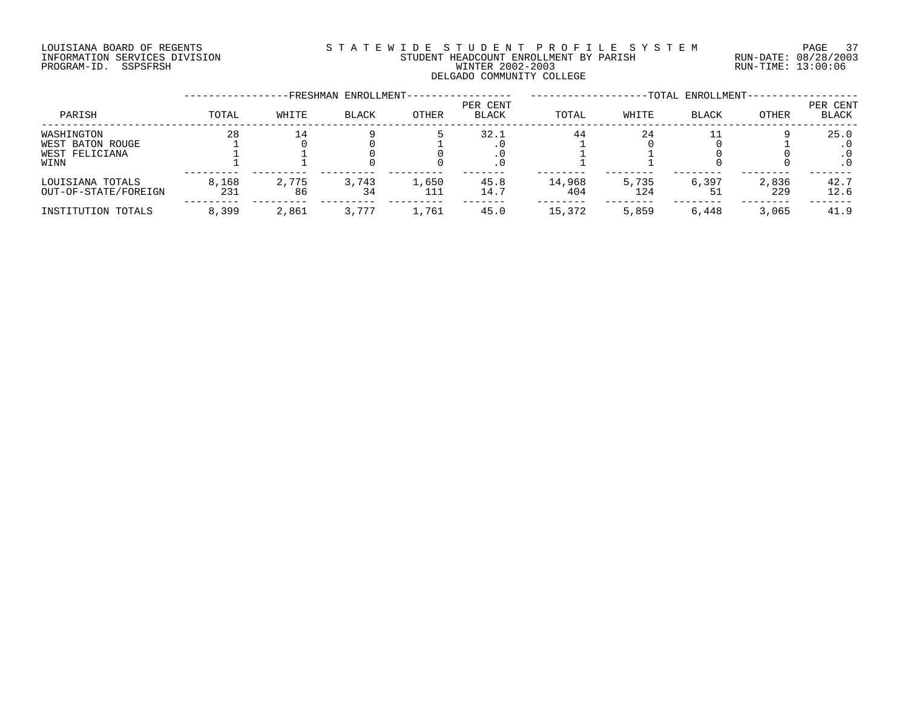# LOUISIANA BOARD OF REGENTS S T A T E W I D E S T U D E N T P R O F I L E S Y S T E M PAGE 37 INFORMATION SERVICES DIVISION STUDENT HEADCOUNT ENROLLMENT BY PARISH RUN-DATE: 08/28/2003 PROGRAM-ID. SSPSFRSH WINTER 2002-2003 RUN-TIME: 13:00:06 DELGADO COMMUNITY COLLEGE

|                                                          |              |             | -FRESHMAN ENROLLMENT- |              |                   | -TOTAL ENROLLMENT- |              |              |              |                   |  |
|----------------------------------------------------------|--------------|-------------|-----------------------|--------------|-------------------|--------------------|--------------|--------------|--------------|-------------------|--|
| PARISH                                                   | TOTAL        | WHITE       | <b>BLACK</b>          | OTHER        | PER CENT<br>BLACK | TOTAL              | WHITE        | <b>BLACK</b> | OTHER        | PER CENT<br>BLACK |  |
| WASHINGTON<br>WEST BATON ROUGE<br>WEST FELICIANA<br>WINN | 28           |             |                       |              | 32.1<br>. u       | 44                 | 24           |              |              | 25.0<br>$\cdot$ 0 |  |
| LOUISIANA TOTALS<br>OUT-OF-STATE/FOREIGN                 | 8,168<br>231 | 2,775<br>86 | 3,743<br>34           | 1,650<br>111 | 45.8<br>14.7      | 14,968<br>404      | 5,735<br>124 | 6,397        | 2,836<br>229 | 42.7<br>12.6      |  |
| INSTITUTION TOTALS                                       | 8,399        | 2,861       | 3,777                 | 1,761        | 45.0              | 15,372             | 5,859        | 6,448        | 3,065        | 41.9              |  |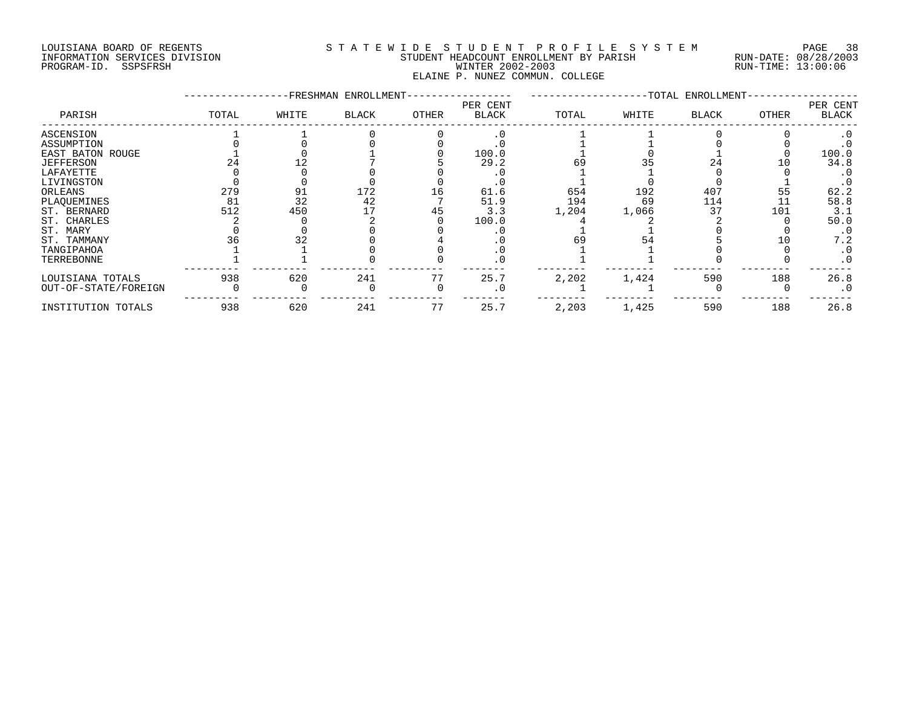### LOUISIANA BOARD OF REGENTS S T A T E W I D E S T U D E N T P R O F I L E S Y S T E M PAGE 38 INFORMATION SERVICES DIVISION STUDENT HEADCOUNT ENROLLMENT BY PARISH RUN-DATE: 08/28/2003 PROGRAM-ID. SSPSFRSH WINTER 2002-2003 RUN-TIME: 13:00:06 ELAINE P. NUNEZ COMMUN. COLLEGE

|                         |       |       | -FRESHMAN ENROLLMENT- |       |                          |       |       | -TOTAL ENROLLMENT- |       |                   |  |  |  |  |
|-------------------------|-------|-------|-----------------------|-------|--------------------------|-------|-------|--------------------|-------|-------------------|--|--|--|--|
| PARISH                  | TOTAL | WHITE | <b>BLACK</b>          | OTHER | PER CENT<br><b>BLACK</b> | TOTAL | WHITE | <b>BLACK</b>       | OTHER | PER CENT<br>BLACK |  |  |  |  |
| ASCENSION               |       |       |                       |       |                          |       |       |                    |       |                   |  |  |  |  |
| ASSUMPTION              |       |       |                       |       |                          |       |       |                    |       |                   |  |  |  |  |
| <b>EAST BATON ROUGE</b> |       |       |                       |       | 100.0                    |       |       |                    |       | 100.0             |  |  |  |  |
| <b>JEFFERSON</b>        |       |       |                       |       | 29.2                     | 69    |       | 24                 |       | 34.8              |  |  |  |  |
| LAFAYETTE               |       |       |                       |       |                          |       |       |                    |       |                   |  |  |  |  |
| LIVINGSTON              |       |       |                       |       |                          |       |       |                    |       |                   |  |  |  |  |
| ORLEANS                 | 279   | 91    | 172                   | 16    | 61.6                     | 654   | 192   | 407                | 55    | 62.2              |  |  |  |  |
| PLAQUEMINES             | 81    | 32    | 42                    |       | 51.9                     | 194   | 69    | 114                |       | 58.8              |  |  |  |  |
| ST. BERNARD             | 512   | 450   |                       | 45    | 3.3                      | 1,204 | 1,066 | 37                 | 101   | 3.1               |  |  |  |  |
| ST. CHARLES             |       |       |                       |       | 100.0                    |       |       |                    |       | 50.0              |  |  |  |  |
| ST. MARY                |       |       |                       |       |                          |       |       |                    |       | $\cdot$ 0         |  |  |  |  |
| ST. TAMMANY             |       | 32    |                       |       |                          | 69    |       |                    |       | 7.2               |  |  |  |  |
| TANGIPAHOA              |       |       |                       |       |                          |       |       |                    |       |                   |  |  |  |  |
| TERREBONNE              |       |       |                       |       |                          |       |       |                    |       | $\cdot$ 0         |  |  |  |  |
| LOUISIANA TOTALS        | 938   | 620   | 241                   | 77    | 25.7                     | 2,202 | 1,424 | 590                | 188   | 26.8              |  |  |  |  |
| OUT-OF-STATE/FOREIGN    |       |       |                       |       |                          |       |       |                    |       | $\cdot$ 0         |  |  |  |  |
| INSTITUTION TOTALS      | 938   | 620   | 241                   | 77    | 25.7                     | 2,203 | 1,425 | 590                | 188   | 26.8              |  |  |  |  |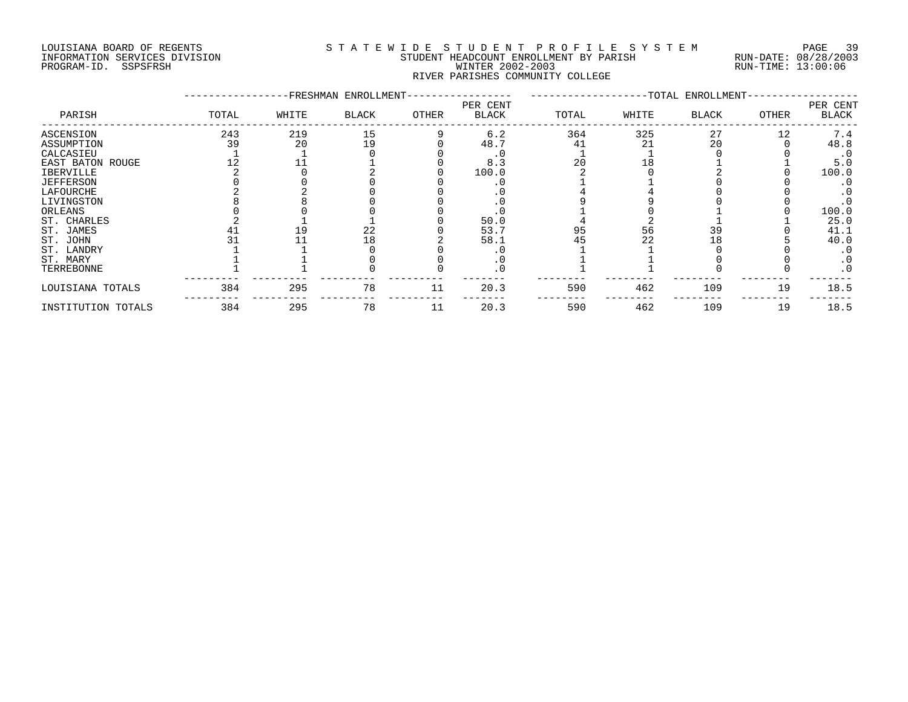#### LOUISIANA BOARD OF REGENTS S T A T E W I D E S T U D E N T P R O F I L E S Y S T E M PAGE 39 INFORMATION SERVICES DIVISION STUDENT HEADCOUNT ENROLLMENT BY PARISH RUN-DATE: 08/28/2003 PROGRAM-ID. SSPSFRSH WINTER 2002-2003 RUN-TIME: 13:00:06 RIVER PARISHES COMMUNITY COLLEGE

|                    |       |       | -FRESHMAN ENROLLMENT- |       |                   |       |       |              |       |                   |
|--------------------|-------|-------|-----------------------|-------|-------------------|-------|-------|--------------|-------|-------------------|
| PARISH             | TOTAL | WHITE | <b>BLACK</b>          | OTHER | PER CENT<br>BLACK | TOTAL | WHITE | <b>BLACK</b> | OTHER | PER CENT<br>BLACK |
| ASCENSION          | 243   | 219   | 15                    |       | 6.2               | 364   | 325   | 27           | 12    | 7.4               |
| ASSUMPTION         | 39    | 20    | 19                    |       | 48.7              | 41    | 21    | 20           |       | 48.8              |
| CALCASIEU          |       |       |                       |       |                   |       |       |              |       | $\cdot$ 0         |
| EAST BATON ROUGE   |       |       |                       |       | 8.3               | 20    |       |              |       | 5.0               |
| <b>IBERVILLE</b>   |       |       |                       |       | 100.0             |       |       |              |       | 100.0             |
| <b>JEFFERSON</b>   |       |       |                       |       |                   |       |       |              |       | . 0               |
| LAFOURCHE          |       |       |                       |       |                   |       |       |              |       | $\cdot$ 0         |
| LIVINGSTON         |       |       |                       |       |                   |       |       |              |       |                   |
| ORLEANS            |       |       |                       |       |                   |       |       |              |       | 100.0             |
| ST. CHARLES        |       |       |                       |       | 50.0              |       |       |              |       | 25.0              |
| ST. JAMES          |       | 19    | 22                    |       | 53.7              | 95    | 56    | 39           |       | 41.1              |
| ST. JOHN           |       |       | 18                    |       | 58.1              |       |       | -8           |       | 40.0              |
| ST. LANDRY         |       |       |                       |       |                   |       |       |              |       | $\cdot$ 0         |
| ST. MARY           |       |       |                       |       |                   |       |       |              |       | $\cdot$ 0         |
| TERREBONNE         |       |       |                       |       |                   |       |       |              |       | $\cdot$ 0         |
| LOUISIANA TOTALS   | 384   | 295   | 78                    | 11    | 20.3              | 590   | 462   | 109          | 19    | 18.5              |
| INSTITUTION TOTALS | 384   | 295   | 78                    | 11    | 20.3              | 590   | 462   | 109          | 19    | 18.5              |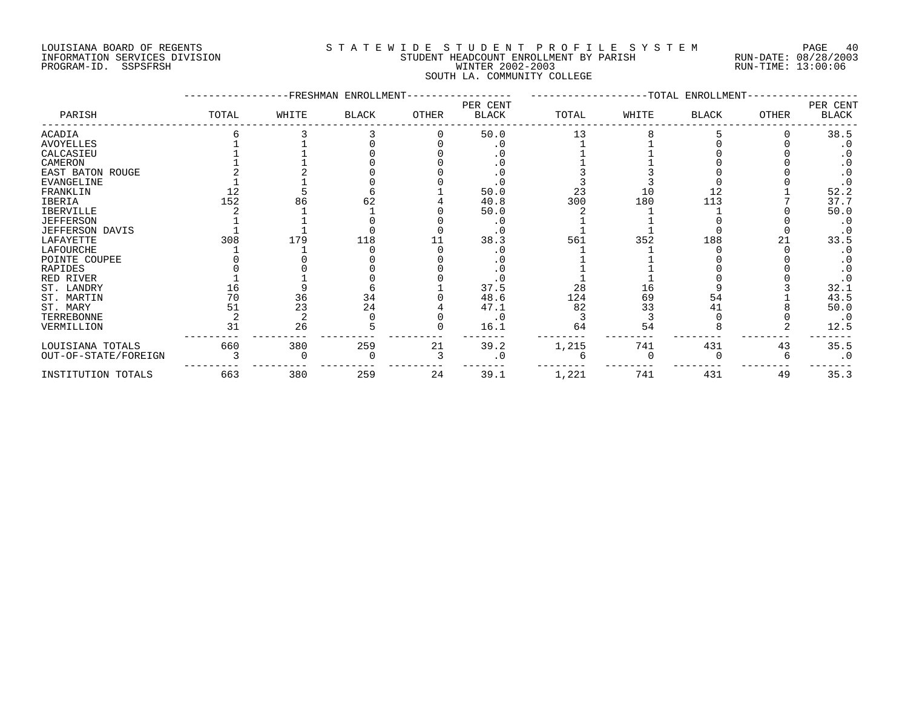#### LOUISIANA BOARD OF REGENTS S T A T E W I D E S T U D E N T P R O F I L E S Y S T E M PAGE 40 INFORMATION SERVICES DIVISION STUDENT HEADCOUNT ENROLLMENT BY PARISH RUN-DATE: 08/28/2003 PROGRAM-ID. SSPSFRSH WINTER 2002-2003 RUN-TIME: 13:00:06 SOUTH LA. COMMUNITY COLLEGE

|                        |       |       | FRESHMAN ENROLLMENT |       |                          | -TOTAL ENROLLMENT- |       |              |              |                   |  |  |  |
|------------------------|-------|-------|---------------------|-------|--------------------------|--------------------|-------|--------------|--------------|-------------------|--|--|--|
| PARISH                 | TOTAL | WHITE | <b>BLACK</b>        | OTHER | PER CENT<br><b>BLACK</b> | TOTAL              | WHITE | <b>BLACK</b> | <b>OTHER</b> | PER CENT<br>BLACK |  |  |  |
| ACADIA                 |       |       |                     |       | 50.0                     | 13                 |       |              |              | 38.5              |  |  |  |
| <b>AVOYELLES</b>       |       |       |                     |       |                          |                    |       |              |              |                   |  |  |  |
| CALCASIEU              |       |       |                     |       |                          |                    |       |              |              |                   |  |  |  |
| CAMERON                |       |       |                     |       | . 0                      |                    |       |              |              |                   |  |  |  |
| EAST BATON ROUGE       |       |       |                     |       |                          |                    |       |              |              |                   |  |  |  |
| EVANGELINE             |       |       |                     |       | $\cdot$ 0                |                    |       |              |              |                   |  |  |  |
| FRANKLIN               |       |       |                     |       | 50.0                     | 23                 | 10    | 12           |              | 52.2              |  |  |  |
| <b>IBERIA</b>          | 152   | 86    |                     |       | 40.8                     | 300                | 180   | 113          |              | 37.7              |  |  |  |
| IBERVILLE              |       |       |                     |       | 50.0                     |                    |       |              |              | 50.0              |  |  |  |
| <b>JEFFERSON</b>       |       |       |                     |       | . 0                      |                    |       |              |              |                   |  |  |  |
| <b>JEFFERSON DAVIS</b> |       |       |                     |       |                          |                    |       |              |              |                   |  |  |  |
| LAFAYETTE              | 308   | 179   | 118                 |       | 38.3                     | 561                | 352   | 188          |              | 33.5              |  |  |  |
| LAFOURCHE              |       |       |                     |       |                          |                    |       |              |              | $\cdot$ 0         |  |  |  |
| POINTE COUPEE          |       |       |                     |       |                          |                    |       |              |              |                   |  |  |  |
| RAPIDES                |       |       |                     |       |                          |                    |       |              |              | $\cdot$ 0         |  |  |  |
| RED RIVER              |       |       |                     |       |                          |                    |       |              |              |                   |  |  |  |
| ST. LANDRY             | 16    |       |                     |       | 37.5                     | 28                 | 16    |              |              | 32.1              |  |  |  |
| ST. MARTIN             | 70    | 36    | 34                  |       | 48.6                     | 124                | 69    | 54           |              | 43.5              |  |  |  |
| ST. MARY               | 51    | 23    | 24                  |       | 47.1                     | 82                 | 33    | 41           |              | 50.0              |  |  |  |
| TERREBONNE             |       |       |                     |       | $\cdot$ 0                |                    |       |              |              | $\cdot$ 0         |  |  |  |
| VERMILLION             | 31    | 26    |                     |       | 16.1                     | 64                 | 54    |              |              | 12.5              |  |  |  |
| LOUISIANA TOTALS       | 660   | 380   | 259                 | 21    | 39.2                     | 1,215              | 741   | 431          | 43           | 35.5              |  |  |  |
| OUT-OF-STATE/FOREIGN   |       |       |                     |       |                          |                    |       |              |              | $\cdot$ 0         |  |  |  |
| INSTITUTION TOTALS     | 663   | 380   | 259                 | 24    | 39.1                     | 1,221              | 741   | 431          | 49           | 35.3              |  |  |  |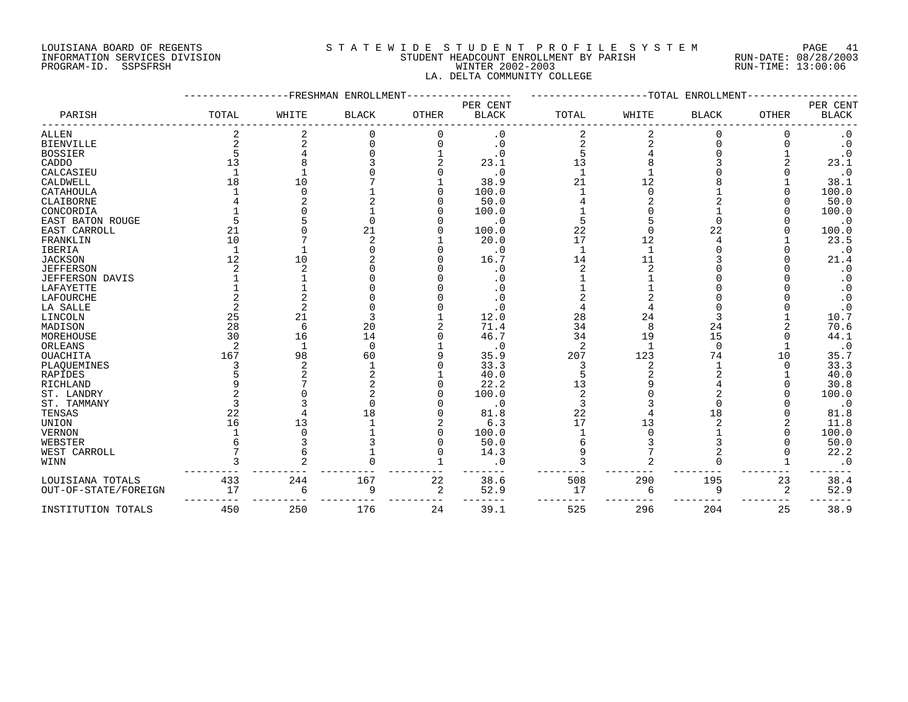#### LOUISIANA BOARD OF REGENTS S T A T E W I D E S T U D E N T P R O F I L E S Y S T E M PAGE 41 INFORMATION SERVICES DIVISION STUDENT HEADCOUNT ENROLLMENT BY PARISH RUN-DATE: 08/28/2003 PROGRAM-ID. SSPSFRSH WINTER 2002-2003 RUN-TIME: 13:00:06 LA. DELTA COMMUNITY COLLEGE

|                      |       |            | -FRESHMAN ENROLLMENT | ------TOTAL<br>ENROLLMENT |                          |       |       |              |              |                          |
|----------------------|-------|------------|----------------------|---------------------------|--------------------------|-------|-------|--------------|--------------|--------------------------|
| PARISH               | TOTAL | WHITE      | <b>BLACK</b>         | <b>OTHER</b>              | PER CENT<br><b>BLACK</b> | TOTAL | WHITE | <b>BLACK</b> | <b>OTHER</b> | PER CENT<br><b>BLACK</b> |
| <b>ALLEN</b>         |       |            |                      | $\Omega$                  | . 0                      |       |       | $\Omega$     |              | $\cdot$ 0                |
| <b>BIENVILLE</b>     |       |            |                      | $\Omega$                  | $\cdot$ 0                |       |       | $\Omega$     |              | $\cdot$ 0                |
| <b>BOSSIER</b>       |       |            |                      |                           | . 0                      |       |       |              |              | $\cdot$ 0                |
| CADDO                | 13    |            |                      |                           | 23.1                     | 13    |       |              |              | 23.1                     |
| CALCASIEU            |       |            |                      |                           | $\cdot$ 0                |       |       |              |              | $\cdot$ 0                |
| CALDWELL             | 18    | 10         |                      |                           | 38.9                     | 21    | 12    |              |              | 38.1                     |
| CATAHOULA            |       |            |                      |                           | 100.0                    |       |       |              |              | 100.0                    |
| CLAIBORNE            |       |            |                      |                           | 50.0                     |       |       |              |              | 50.0                     |
| CONCORDIA            |       |            |                      |                           | 100.0                    |       |       |              |              | 100.0                    |
| EAST BATON ROUGE     |       |            |                      |                           | $\cdot$ 0                |       |       |              |              | $\cdot$ 0                |
| EAST CARROLL         | 21    |            | 21                   |                           | 100.0                    | 22    |       | 22           |              | 100.0                    |
| FRANKLIN             | 10    |            |                      |                           | 20.0                     | 17    | 12    |              |              | 23.5                     |
|                      |       |            |                      |                           | $\cdot$ 0                |       |       |              |              |                          |
| <b>IBERIA</b>        | 12    | 10         |                      |                           | 16.7                     | 14    | 11    |              |              | $\cdot$ 0<br>21.4        |
| <b>JACKSON</b>       |       |            |                      |                           |                          |       |       |              |              |                          |
| <b>JEFFERSON</b>     |       |            |                      |                           | . 0                      |       |       |              |              | $\cdot$ 0                |
| JEFFERSON DAVIS      |       |            |                      |                           | . 0                      |       |       |              |              | $\cdot$ 0                |
| LAFAYETTE            |       |            |                      |                           |                          |       |       |              |              | $\cdot$ 0                |
| LAFOURCHE            |       |            |                      |                           |                          |       |       |              |              | $\cdot$ 0                |
| LA SALLE             |       |            |                      |                           | . 0                      |       |       |              |              | $\cdot$ 0                |
| LINCOLN              | 25    | 21         |                      |                           | 12.0                     | 28    | 24    |              |              | 10.7                     |
| MADISON              | 28    | $\sqrt{2}$ | 20                   |                           | 71.4                     | 34    |       | 24           |              | 70.6                     |
| MOREHOUSE            | 30    | 16         | 14                   |                           | 46.7                     | 34    | 19    | 15           |              | 44.1                     |
| ORLEANS              |       |            | $\Omega$             |                           | $\cdot$ 0                | 2     |       | $\Omega$     |              | 35.7                     |
| OUACHITA             | 167   | 98         | 60                   |                           | 35.9                     | 207   | 123   | 74           | 10           |                          |
| PLAQUEMINES          |       | 2          |                      |                           | 33.3                     |       |       |              | $\Omega$     | 33.3                     |
| RAPIDES              |       |            |                      |                           | 40.0                     |       |       |              |              | 40.0                     |
| RICHLAND             |       |            |                      |                           | 22.2                     | 13    |       |              |              | 30.8                     |
| ST. LANDRY           |       |            |                      |                           | 100.0                    |       |       |              |              | 100.0                    |
| ST. TAMMANY          |       |            |                      |                           | $\cdot$ 0                |       |       |              |              | $\cdot$ 0                |
| TENSAS               | 22    |            |                      |                           | 81.8                     | 22    |       | 18           |              | 81.8                     |
| UNION                | 16    | 13         |                      |                           | 6.3                      | 17    | 13    |              |              | 11.8                     |
| <b>VERNON</b>        |       |            |                      |                           | 100.0                    |       |       |              |              | 100.0                    |
| WEBSTER              |       |            |                      |                           | 50.0                     |       |       |              |              | 50.0                     |
| WEST CARROLL         |       |            |                      |                           | 14.3                     |       |       |              |              | 22.2                     |
| WINN                 |       |            |                      |                           | $\cdot$ 0                |       |       |              |              | $\cdot$ 0                |
| LOUISIANA TOTALS     | 433   | 244        | 167                  | 22                        | 38.6                     | 508   | 290   | 195          | 23           | 38.4                     |
| OUT-OF-STATE/FOREIGN | 17    | 6          | 9                    | 2                         | 52.9                     | 17    | 6     | 9            | 2            | 52.9                     |
| INSTITUTION TOTALS   | 450   | 250        | 176                  | 24                        | 39.1                     | 525   | 296   | 204          | 25           | 38.9                     |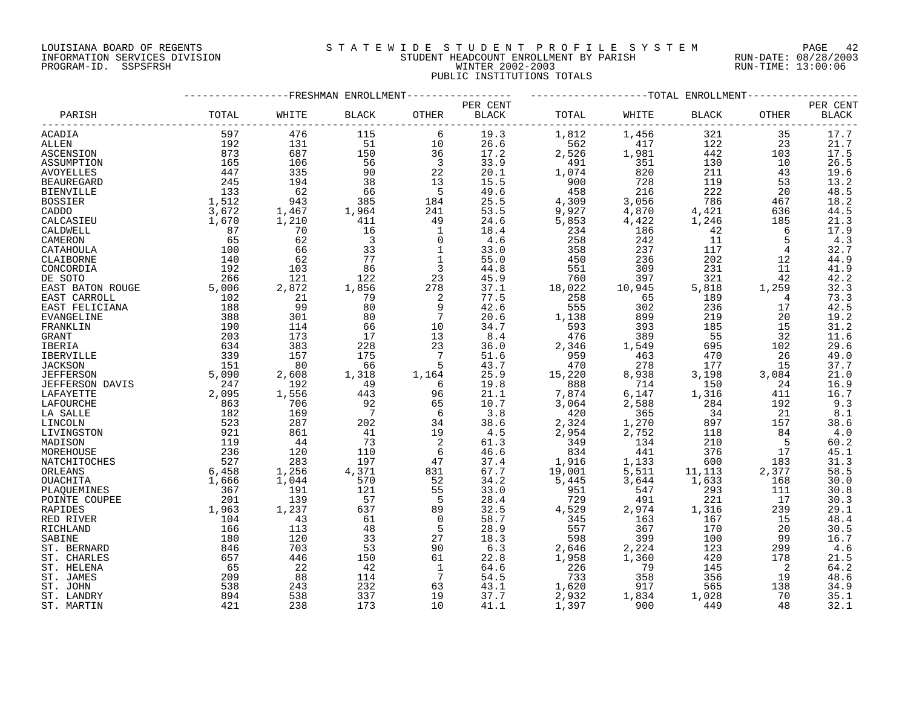# LOUISIANA BOARD OF REGENTS S T A T E W I D E S T U D E N T P R O F I L E S Y S T E M PAGE 42 INFORMATION SERVICES DIVISION STUDENT HEADCOUNT ENROLLMENT BY PARISH RUN-DATE: 08/28/2003 PROGRAM-ID. SSPSFRSH WINTER 2002-2003 RUN-TIME: 13:00:06 PUBLIC INSTITUTIONS TOTALS

|                   |           |       | FRESHMAN ENROLLMENT |                |              |        |         | --TOTAL ENROLLMENT- |       |              |
|-------------------|-----------|-------|---------------------|----------------|--------------|--------|---------|---------------------|-------|--------------|
|                   |           |       |                     |                | PER CENT     |        |         |                     |       | PER CENT     |
| PARISH            | TOTAL     | WHITE | <b>BLACK</b>        | OTHER          | <b>BLACK</b> | TOTAL  | WHITE   | <b>BLACK</b>        | OTHER | <b>BLACK</b> |
| ACADIA            | 597       | 476   | 115                 | 6              | 19.3         | 1,812  | 1,456   | 321                 | 35    | 17.7         |
| ALLEN             | 192       | 131   | 51                  | 10             | 26.6         | 562    | 417     | 122                 | 23    | 21.7         |
| ASCENSION         | 873       | 687   | 150                 | 36             | 17.2         | 2,526  | 1,981   | 442                 | 103   | 17.5         |
| ASSUMPTION        | 165       | 106   | 56                  | $\overline{3}$ | 33.9         | 491    | 351     | 130                 | 10    | 26.5         |
| <b>AVOYELLES</b>  | 447       | 335   | 90                  | 22             | 20.1         | 1,074  | 820     | 211                 | 43    | 19.6         |
| <b>BEAUREGARD</b> | 245       | 194   | 38                  | 13             | 15.5         | 900    | 728     | 119                 | 53    | 13.2         |
| <b>BIENVILLE</b>  | 133       | - 62  | 66                  | -5             | 49.6         | 458    | 216     | 222                 | 20    | 48.5         |
| <b>BOSSIER</b>    | 1,512     | 943   | 385                 | 184            | 25.5         | 4,309  | 3,056   | 786                 | 467   | 18.2         |
| CADDO             | 3,672     | 1,467 | 1,964               | 241            | 53.5         | 9,927  | 4,870   | 4,421               | 636   | 44.5         |
| CALCASIEU         | 1,670     | 1,210 | 411                 | 49             | 24.6         | 5,853  | 4,422   | 1,246               | 185   | 21.3         |
| CALDWELL          | 87        | 70    | 16                  | 1              | 18.4         | 234    | 186     | 42                  | 6     | 17.9         |
| CAMERON           | 65        | 62    | $\overline{3}$      | $\mathbf 0$    | 4.6          | 258    | 242     | 11                  | 5     | 4.3          |
| CATAHOULA         | 100       | 66    | 33                  | $\mathbf{1}$   | 33.0         | 358    | 237     | 117                 | 4     | 32.7         |
| CLAIBORNE         | 140       | 62    | 77                  | $\mathbf 1$    | 55.0         | 450    | 236     | 202                 | 12    | 44.9         |
|                   | 192       | 103   | 86                  |                | 44.8         | 551    | 309     |                     |       |              |
| CONCORDIA         |           |       |                     | 3              |              |        |         | 231                 | 11    | 41.9         |
| DE SOTO           | 266       | 121   | 122                 | 23             | 45.9         | 760    | 397     | 321                 | 42    | 42.2         |
| EAST BATON ROUGE  | 5,006     | 2,872 | 1,856               | 278            | 37.1         | 18,022 | 10,945  | 5,818               | 1,259 | 32.3         |
| EAST CARROLL      | 102       | 21    | 79                  | 2              | 77.5         | 258    | 65      | 189                 | 4     | 73.3         |
| EAST FELICIANA    | 188       | 99    | 80                  | 9              | 42.6         | 555    | 302     | 236                 | 17    | 42.5         |
| <b>EVANGELINE</b> | 388       | 301   | 80                  |                | 20.6         | 1,138  | 899     | 219                 | 20    | 19.2         |
| FRANKLIN          | 190       | 114   | 66                  | 10             | 34.7         | 593    | 393     | 185                 | 15    | 31.2         |
| GRANT             | 203       | 173   | 17                  | 13             | 8.4          | 476    | 389     | 55                  | 32    | 11.6         |
| IBERIA            | 634       | 383   | 228                 | 23             | 36.0         | 2,346  | 1,549   | 695                 | 102   | 29.6         |
| IBERVILLE         | 339       | 157   | 175                 | 7              | 51.6         | 959    | 463     | 470                 | 26    | 49.0         |
| <b>JACKSON</b>    | 151       | 80    | 66                  | 5              | 43.7         | 470    | 278     | 177                 | 15    | 37.7         |
| <b>JEFFERSON</b>  | 5,090     | 2,608 | 1,318               | 1,164          | 25.9         | 15,220 | 8,938   | 3,198               | 3,084 | 21.0         |
| JEFFERSON DAVIS   | 247       | 192   | - 49                | 6              | 19.8         | 888    | 714     | 150                 | 24    | 16.9         |
| LAFAYETTE         | 2,095     | 1,556 | 443                 | 96             | 21.1         | 7,874  | $6,147$ | 1,316               | 411   | 16.7         |
| LAFOURCHE         | 863       | 706   | 92                  | 65             | 10.7         | 3,064  | 2,588   | 284                 | 192   | 9.3          |
| LA SALLE          | 182       | 169   | $\overline{7}$      | - 6            | 3.8          | 420    | 365     | 34                  | -21   | 8.1          |
| LINCOLN           | 523       | 287   | 202                 | 34             | 38.6         | 2,324  | 1,270   | 897                 | 157   | 38.6         |
| LIVINGSTON        | 921       | 861   | 41                  | 19             | 4.5          | 2,954  | 2,752   | 118                 | 84    | 4.0          |
| MADISON           | 119       | -44   | 73                  | 2              | 61.3         | 349    | 134     | 210                 | - 5   | 60.2         |
| MOREHOUSE         | 236       | 120   | 110                 | 6              | 46.6         | 834    | 441     | 376                 | 17    | 45.1         |
| NATCHITOCHES      | 527       | 283   | 197                 | 47             | 37.4         | 1,916  | 1,133   | 600                 | 183   | 31.3         |
| ORLEANS           | 6,458     | 1,256 | 4,371               | 831            | 67.7         | 19,001 | 5,511   | 11,113              | 2,377 | 58.5         |
| OUACHITA          | 1,666     | 1,044 | 570                 | 52             | 34.2         | 5,445  | 3,644   | 1,633               | 168   | 30.0         |
| PLAQUEMINES       | 367       | 191   | 121                 | 55             | 33.0         | 951    | 547     | 293                 | 111   | 30.8         |
| POINTE COUPEE     | 201       | 139   | 57                  | 5              | 28.4         | 729    | 491     | 221                 | 17    | 30.3         |
| RAPIDES           | 1,963     | 1,237 | 637                 | 89             | 32.5         | 4,529  | 2,974   | 1,316               | 239   | 29.1         |
| RED RIVER         | 104       | 43    | 61                  | $\Omega$       | 58.7         | 345    | 163     | 167                 | 15    | 48.4         |
| RICHLAND          | 166       | 113   | 48                  | 5              | 28.9         | 557    | 367     | 170                 | 20    | 30.5         |
| SABINE            | 180       | 120   | 33                  | 27             | 18.3         | 598    | 399     | 100                 | 99    | 16.7         |
| ST. BERNARD       | 846       | 703   | 53                  | 90             | 6.3          | 2,646  | 2,224   | 123                 | 299   | 4.6          |
|                   |           |       |                     | 61             |              |        | 1,360   |                     |       |              |
| ST. CHARLES       | 657<br>65 | 446   | 150<br>42           | 1              | 22.8         | 1,958  | 79      | 420<br>145          | 178   | 21.5         |
| ST. HELENA        |           | 22    |                     |                | 64.6<br>54.5 | 226    |         | 356                 | 2     | 64.2         |
| ST. JAMES         | 209       | 88    | 114                 | 7              |              | 733    | 358     |                     | 19    | 48.6         |
| ST. JOHN          | 538       | 243   | 232                 | 63             | 43.1         | 1,620  | 917     | 565                 | 138   | 34.9         |
| ST. LANDRY        | 894       | 538   | 337                 | 19             | 37.7         | 2,932  | 1,834   | 1,028               | 70    | 35.1         |
| ST. MARTIN        | 421       | 238   | 173                 | 10             | 41.1         | 1,397  | 900     | 449                 | 48    | 32.1         |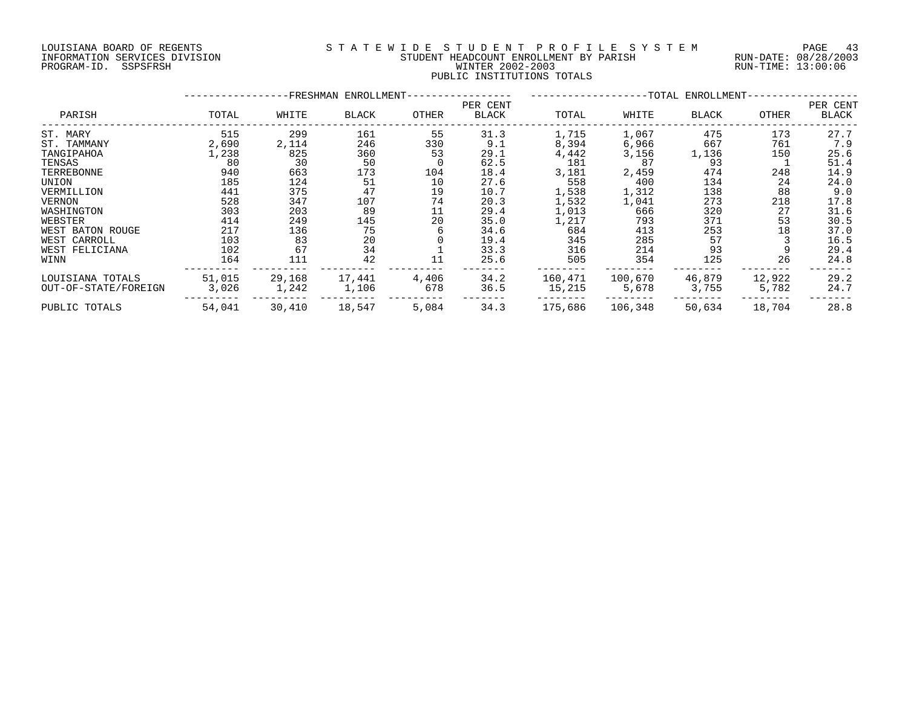## LOUISIANA BOARD OF REGENTS S T A T E W I D E S T U D E N T P R O F I L E S Y S T E M PAGE 43 INFORMATION SERVICES DIVISION STUDENT HEADCOUNT ENROLLMENT BY PARISH RUN-DATE: 08/28/2003 PROGRAM-ID. SSPSFRSH WINTER 2002-2003 RUN-TIME: 13:00:06 PUBLIC INSTITUTIONS TOTALS

|                                          |                 | -FRESHMAN ENROLLMENT- |                 |              |                   |                   | ----------------- | --TOTAL ENROLLMENT- |                 |                   |  |  |  |
|------------------------------------------|-----------------|-----------------------|-----------------|--------------|-------------------|-------------------|-------------------|---------------------|-----------------|-------------------|--|--|--|
| PARISH                                   | TOTAL           | WHITE                 | BLACK           | OTHER        | PER CENT<br>BLACK | TOTAL             | WHITE             | BLACK               | OTHER           | PER CENT<br>BLACK |  |  |  |
| ST. MARY                                 | 515             | 299                   | 161             | 55           | 31.3              | 1,715             | 1,067             | 475                 | 173             | 27.7              |  |  |  |
| ST. TAMMANY<br>TANGIPAHOA                | 2,690<br>1,238  | 2,114<br>825          | 246<br>360      | 330<br>53    | 9.1<br>29.1       | 8,394<br>4,442    | 6,966<br>3,156    | 667<br>1,136        | 761<br>150      | 7.9<br>25.6       |  |  |  |
| TENSAS                                   | 80              | 30                    | 50              | 0            | 62.5              | 181               | 87                | 93                  |                 | 51.4              |  |  |  |
| TERREBONNE                               | 940             | 663                   | 173             | 104          | 18.4              | 3,181             | 2,459             | 474                 | 248             | 14.9              |  |  |  |
| UNION                                    | 185             | 124                   | 51              | 10           | 27.6              | 558               | 400               | 134                 | 24              | 24.0              |  |  |  |
| VERMILLION                               | 441             | 375                   | 47              | 19           | 10.7              | 1,538             | 1,312             | 138                 | 88              | 9.0               |  |  |  |
| VERNON                                   | 528             | 347                   | 107             | 74           | 20.3              | 1,532             | 1,041             | 273                 | 218             | 17.8              |  |  |  |
| WASHINGTON                               | 303             | 203                   | 89              | 11           | 29.4              | 1,013             | 666               | 320                 | 27              | 31.6              |  |  |  |
| WEBSTER                                  | 414             | 249                   | 145             | 20           | 35.0              | 1,217             | 793               | 371                 | 53              | 30.5              |  |  |  |
| WEST BATON ROUGE                         | 217             | 136                   | 75              |              | 34.6              | 684               | 413               | 253                 | 18              | 37.0              |  |  |  |
| WEST CARROLL                             | 103             | 83<br>67              | 20<br>34        |              | 19.4              | 345               | 285               | 57<br>93            |                 | 16.5              |  |  |  |
| WEST FELICIANA<br>WINN                   | 102<br>164      | 111                   | 42              | 11           | 33.3<br>25.6      | 316<br>505        | 214<br>354        | 125                 | 26              | 29.4<br>24.8      |  |  |  |
| LOUISIANA TOTALS<br>OUT-OF-STATE/FOREIGN | 51,015<br>3,026 | 29,168<br>1,242       | 17,441<br>1,106 | 4,406<br>678 | 34.2<br>36.5      | 160,471<br>15,215 | 100,670<br>5,678  | 46,879<br>3,755     | 12,922<br>5,782 | 29.2<br>24.7      |  |  |  |
| PUBLIC TOTALS                            | 54,041          | 30,410                | 18,547          | 5,084        | 34.3              | 175,686           | 106,348           | 50,634              | 18,704          | 28.8              |  |  |  |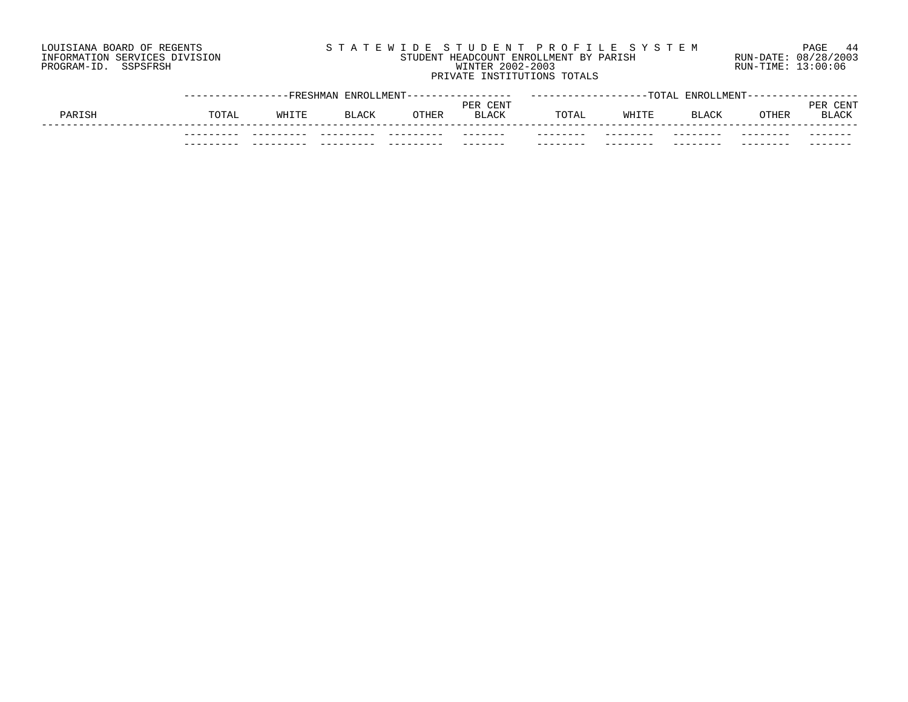# LOUISIANA BOARD OF REGENTS S T A T E W I D E S T U D E N T P R O F I L E S Y S T E M PAGE 44 INFORMATION SERVICES DIVISION STUDENT HEADCOUNT ENROLLMENT BY PARISH RUN-DATE: 08/28/2003 PROGRAM-ID. SSPSFRSH WINTER 2002-2003 RUN-TIME: 13:00:06 PRIVATE INSTITUTIONS TOTALS

|        |               | --FRESHMAN | ENROLLMENT-  |       |                             |          | $-T$ $\cap$ $TA$ $T$ . | <b>ENROLLMENT</b> |       |                      |
|--------|---------------|------------|--------------|-------|-----------------------------|----------|------------------------|-------------------|-------|----------------------|
| PARISH | TOTAL         | WHITE      | <b>BLACK</b> | OTHER | CENT<br>PER<br><b>BLACK</b> | TOTAL    | WHITE                  | <b>BLACK</b>      | OTHER | CENT<br>PE]<br>BLACK |
|        | --<br>$- - -$ |            |              |       | ____<br>_______             | -------- | --------               | ------            |       | ____                 |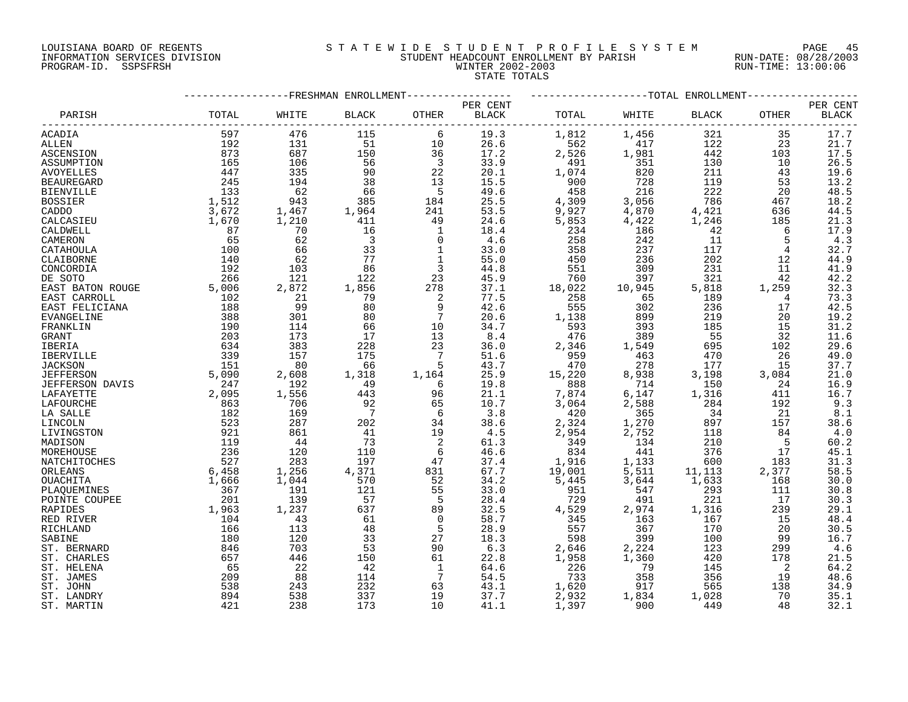# LOUISIANA BOARD OF REGENTS S T A T E W I D E S T U D E N T P R O F I L E S Y S T E M PAGE 45 INFORMATION SERVICES DIVISION STUDENT HEADCOUNT ENROLLMENT BY PARISH RUN-DATE: 08/28/2003 PROGRAM-ID. SSPSFRSH WINTER 2002-2003 RUN-TIME: 13:00:06 STATE TOTALS

|                        |                                         |       | -FRESHMAN ENROLLMENT    |                         |          |        |         | ------------TOTAL ENROLLMENT- |       |                  |
|------------------------|-----------------------------------------|-------|-------------------------|-------------------------|----------|--------|---------|-------------------------------|-------|------------------|
|                        |                                         |       |                         |                         | PER CENT |        |         |                               |       | PER CENT         |
| PARISH                 | TOTAL                                   | WHITE | <b>BLACK</b>            | OTHER                   | BLACK    | TOTAL  | WHITE   | BLACK                         | OTHER | <b>BLACK</b>     |
| ACADIA                 | 597                                     | 476   | 115                     | 6                       | 19.3     | 1,812  | 1,456   | 321                           | 35    | 17.7             |
| ALLEN                  | 192                                     | 131   | 51                      | 10                      | 26.6     | 562    | 417     | 122                           | 23    | 21.7             |
| ASCENSION              | 873                                     | 687   | 150                     | 36                      | 17.2     | 2,526  | 1,981   | 442                           | 103   | 17.5             |
| ASSUMPTION             | 165                                     | 106   | 56                      | $\overline{\mathbf{3}}$ | 33.9     | 491    | 351     | 130                           | 10    | 26.5             |
| <b>AVOYELLES</b>       | 447                                     | 335   | 90                      | 22                      | 20.1     | 1,074  | 820     | 211                           | 43    | 19.6             |
| <b>BEAUREGARD</b>      | 245                                     | 194   | 38                      | 13                      | 15.5     | 900    | 728     | 119                           | 53    | 13.2             |
| <b>BIENVILLE</b>       | 133                                     | 62    | 66                      | $-5$                    | 49.6     | 458    | 216     | 222                           | 20    | 48.5             |
| <b>BOSSIER</b>         | 1,512                                   | 943   | 385                     | 184                     | 25.5     | 4,309  | 3,056   | 786                           | 467   | 18.2             |
| CADDO                  | 3,672                                   | 1,467 | 1,964                   | 241                     | 53.5     | 9,927  | 4,870   | 4,421                         | 636   | 44.5             |
| CALCASIEU              | 1,670                                   | 1,210 | 411                     | 49                      | 24.6     | 5,853  | 4,422   | 1,246                         | 185   | 21.3             |
| CALDWELL               | 87                                      | 70    | 16                      | 1                       | 18.4     | 234    | 186     | 42                            | 6     | 17.9             |
| CAMERON                | 65                                      | 62    | $\overline{\mathbf{3}}$ | $\mathbf 0$             | 4.6      | 258    | 242     | 11                            | 5     | 4.3              |
| CATAHOULA              | 100                                     | 66    | 33                      | 1                       | 33.0     | 358    | 237     | 117                           | 4     | 32.7             |
| CLAIBORNE              | 140                                     | 62    | 77                      | $\mathbf{1}$            | 55.0     | 450    | 236     | 202                           | 12    | 44.9             |
| CONCORDIA              | 192                                     | 103   | 86                      | 3                       | 44.8     | 551    | 309     | 231                           | 11    | 41.9             |
| DE SOTO                | 266                                     | 121   | 122                     | 23                      | 45.9     | 760    | 397     | 321                           | 42    | 42.2             |
|                        | 5,006                                   | 2,872 | 1,856                   | 278                     | 37.1     | 18,022 | 10,945  | 5,818                         | 1,259 | 32.3             |
| EAST BATON ROUGE       | 102                                     | 21    | 79                      |                         | 77.5     | 258    | 65      | 189                           | 4     | 73.3             |
| EAST CARROLL           | $\begin{array}{c}\n 188 \\ \end{array}$ | 99    | 80                      | 2<br>9                  | 42.6     | 555    |         | 236                           |       | 42.5             |
| EAST FELICIANA         |                                         |       |                         |                         |          |        | 302     |                               | 17    |                  |
| EVANGELINE             | 388                                     | 301   | 80                      | $7\phantom{.0}$         | 20.6     | 1,138  | 899     | 219                           | 20    | 19.2             |
| FRANKLIN               | 190                                     | 114   | 66                      | 10                      | 34.7     | 593    | 393     | 185                           | 15    | 31.2             |
| GRANT                  | 203                                     | 173   | 17                      | 13                      | 8.4      | 476    | 389     | 55                            | 32    | 11.6             |
| IBERIA                 | 634                                     | 383   | 228                     | 23                      | 36.0     | 2,346  | 1,549   | 695                           | 102   | 29.6             |
| IBERVILLE              | 339                                     | 157   | 175                     | 7                       | 51.6     | 959    | 463     | 470                           | 26    | 49.0             |
| <b>JACKSON</b>         | 151                                     | 80    | 66                      | 5                       | 43.7     | 470    | 278     | 177                           | 15    | 37.7             |
| <b>JEFFERSON</b>       | 5,090                                   | 2,608 | 1,318                   | 1,164                   | 25.9     | 15,220 | 8,938   | 3,198                         | 3,084 | 21.0             |
| <b>JEFFERSON DAVIS</b> | 247                                     | 192   | 49                      | 6                       | 19.8     | 888    | 714     | 150                           | 24    | 16.9             |
| LAFAYETTE              | 2,095                                   | 1,556 | 443                     | 96                      | 21.1     | 7,874  | $6,147$ | 1,316                         | 411   | 16.7             |
| LAFOURCHE              | 863                                     | 706   | 92                      | 65                      | 10.7     | 3,064  | 2,588   | 284                           | 192   | 9.3              |
| LA SALLE               | 182                                     | 169   | $\overline{7}$          | - 6                     | 3.8      | 420    | 365     | 34                            | 21    | $8.1\,$          |
| LINCOLN                | 523                                     | 287   | 202                     | 34                      | 38.6     | 2,324  | 1,270   | 897                           | 157   | 38.6             |
| LIVINGSTON             | 921                                     | 861   | 41                      | 19                      | 4.5      | 2,954  | 2,752   | 118                           | 84    | 4.0              |
| MADISON                | 119                                     | 44    | 73                      | 2                       | 61.3     | 349    | 134     | 210                           | 5     | 60.2             |
| MOREHOUSE              | 236                                     | 120   | 110                     | 6                       | 46.6     | 834    | 441     | 376                           | 17    | 45.1             |
| NATCHITOCHES           | 527                                     | 283   | 197                     | 47                      | 37.4     | 1,916  | 1,133   | 600                           | 183   | $31.3$<br>$58.5$ |
| ORLEANS                | 6,458                                   | 1,256 | 4,371                   | 831                     | 67.7     | 19,001 | 5,511   | 11,113                        | 2,377 |                  |
| OUACHITA               | 1,666                                   | 1,044 | 570                     | 52                      | 34.2     | 5,445  | 3,644   | 1,633                         | 168   | 30.0             |
| PLAQUEMINES            | 367                                     | 191   | 121                     | 55                      | 33.0     | 951    | 547     | 293                           | 111   | 30.8             |
| POINTE COUPEE          | 201                                     | 139   | 57                      | 5                       | 28.4     | 729    | 491     | 221                           | 17    | 30.3             |
| RAPIDES                | 1,963                                   | 1,237 | 637                     | 89                      | 32.5     | 4,529  | 2,974   | 1,316                         | 239   | 29.1             |
| RED RIVER              | 104                                     | 43    | 61                      | $\Omega$                | 58.7     | 345    | 163     | 167                           | 15    | 48.4             |
| RICHLAND               | 166                                     | 113   | 48                      | 5                       | 28.9     | 557    | 367     | 170                           | 20    | 30.5             |
| SABINE                 | 180                                     | 120   | 33                      | 27                      | 18.3     | 598    | 399     | 100                           | 99    | 16.7             |
| ST. BERNARD            | 846                                     | 703   | 53                      | 90                      | 6.3      | 2,646  | 2,224   | 123                           | 299   | 4.6              |
| ST. CHARLES            | 657                                     | 446   | 150                     | 61                      | 22.8     | 1,958  | 1,360   | 420                           | 178   | 21.5             |
| ST. HELENA             | 65                                      | 22    | 42                      | 1                       | 64.6     | 226    | 79      | 145                           | 2     | 64.2             |
| ST. JAMES              | 209                                     | 88    | 114                     | $7\phantom{.0}$         | 54.5     | 733    | 358     | 356                           | 19    | 48.6             |
| ST. JOHN               | 538                                     | 243   | 232                     | 63                      | 43.1     | 1,620  | 917     | 565                           | 138   | 34.9             |
| ST. LANDRY             | 894                                     | 538   | 337                     | 19                      | 37.7     | 2,932  | 1,834   | 1,028                         | 70    | 35.1             |
| ST. MARTIN             | 421                                     | 238   | 173                     | 10                      | 41.1     | 1,397  | 900     | 449                           | 48    | 32.1             |
|                        |                                         |       |                         |                         |          |        |         |                               |       |                  |